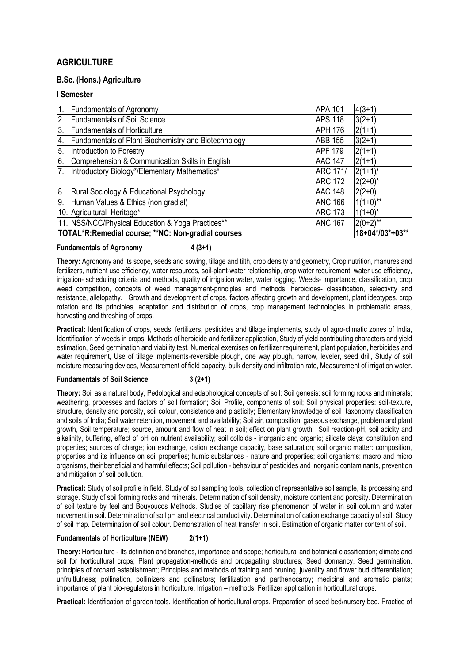# **AGRICULTURE**

### **B.Sc. (Hons.) Agriculture**

### **I Semester**

| 1.               | <b>Fundamentals of Agronomy</b>                             | <b>APA 101</b>  | $4(3+1)$        |
|------------------|-------------------------------------------------------------|-----------------|-----------------|
| $\overline{2}$ . | <b>Fundamentals of Soil Science</b>                         | <b>APS 118</b>  | $3(2+1)$        |
| Ι3.              | <b>Fundamentals of Horticulture</b>                         | <b>APH 176</b>  | $2(1+1)$        |
| 4.               | <b>Fundamentals of Plant Biochemistry and Biotechnology</b> | <b>ABB 155</b>  | $3(2+1)$        |
| 5.               | Introduction to Forestry                                    | <b>APF 179</b>  | $2(1+1)$        |
| 6.               | Comprehension & Communication Skills in English             | <b>AAC 147</b>  | $2(1+1)$        |
| 7.               | Introductory Biology*/Elementary Mathematics*               | <b>ARC 171/</b> | $2(1+1)$ /      |
|                  |                                                             | <b>ARC 172</b>  | $2(2+0)^*$      |
| 8.               | Rural Sociology & Educational Psychology                    | <b>AAC 148</b>  | $2(2+0)$        |
| 9.               | Human Values & Ethics (non gradial)                         | <b>ANC 166</b>  | $1(1+0)$ **     |
|                  | 10. Agricultural Heritage*                                  | <b>ARC 173</b>  | $1(1+0)^{*}$    |
|                  | 11. NSS/NCC/Physical Education & Yoga Practices**           | <b>ANC 167</b>  | $2(0+2)$ **     |
|                  | TOTAL*R:Remedial course; **NC: Non-gradial courses          |                 | 18+04*/03*+03** |

### **Fundamentals of Agronomy 4 (3+1)**

**Theory:** Agronomy and its scope, seeds and sowing, tillage and tilth, crop density and geometry, Crop nutrition, manures and fertilizers, nutrient use efficiency, water resources, soil-plant-water relationship, crop water requirement, water use efficiency, irrigation- scheduling criteria and methods, quality of irrigation water, water logging. Weeds- importance, classification, crop weed competition, concepts of weed management-principles and methods, herbicides- classification, selectivity and resistance, allelopathy. Growth and development of crops, factors affecting growth and development, plant ideotypes, crop rotation and its principles, adaptation and distribution of crops, crop management technologies in problematic areas, harvesting and threshing of crops.

**Practical:** Identification of crops, seeds, fertilizers, pesticides and tillage implements, study of agro-climatic zones of India, Identification of weeds in crops, Methods of herbicide and fertilizer application, Study of yield contributing characters and yield estimation, Seed germination and viability test, Numerical exercises on fertilizer requirement, plant population, herbicides and water requirement, Use of tillage implements-reversible plough, one way plough, harrow, leveler, seed drill, Study of soil moisture measuring devices, Measurement of field capacity, bulk density and infiltration rate, Measurement of irrigation water.

### **Fundamentals of Soil Science 3 (2+1)**

**Theory:** Soil as a natural body, Pedological and edaphological concepts of soil; Soil genesis: soil forming rocks and minerals; weathering, processes and factors of soil formation; Soil Profile, components of soil; Soil physical properties: soil-texture, structure, density and porosity, soil colour, consistence and plasticity; Elementary knowledge of soil taxonomy classification and soils of India; Soil water retention, movement and availability; Soil air, composition, gaseous exchange, problem and plant growth, Soil temperature; source, amount and flow of heat in soil; effect on plant growth, Soil reaction-pH, soil acidity and alkalinity, buffering, effect of pH on nutrient availability; soil colloids - inorganic and organic; silicate clays: constitution and properties; sources of charge; ion exchange, cation exchange capacity, base saturation; soil organic matter: composition, properties and its influence on soil properties; humic substances - nature and properties; soil organisms: macro and micro organisms, their beneficial and harmful effects; Soil pollution - behaviour of pesticides and inorganic contaminants, prevention and mitigation of soil pollution.

**Practical:** Study of soil profile in field. Study of soil sampling tools, collection of representative soil sample, its processing and storage. Study of soil forming rocks and minerals. Determination of soil density, moisture content and porosity. Determination of soil texture by feel and Bouyoucos Methods. Studies of capillary rise phenomenon of water in soil column and water movement in soil. Determination of soil pH and electrical conductivity. Determination of cation exchange capacity of soil. Study of soil map. Determination of soil colour. Demonstration of heat transfer in soil. Estimation of organic matter content of soil.

### **Fundamentals of Horticulture (NEW) 2(1+1)**

**Theory:** Horticulture - Its definition and branches, importance and scope; horticultural and botanical classification; climate and soil for horticultural crops; Plant propagation-methods and propagating structures; Seed dormancy, Seed germination, principles of orchard establishment; Principles and methods of training and pruning, juvenility and flower bud differentiation; unfruitfulness; pollination, pollinizers and pollinators; fertilization and parthenocarpy; medicinal and aromatic plants; importance of plant bio-regulators in horticulture. Irrigation – methods, Fertilizer application in horticultural crops.

**Practical:** Identification of garden tools. Identification of horticultural crops. Preparation of seed bed/nursery bed. Practice of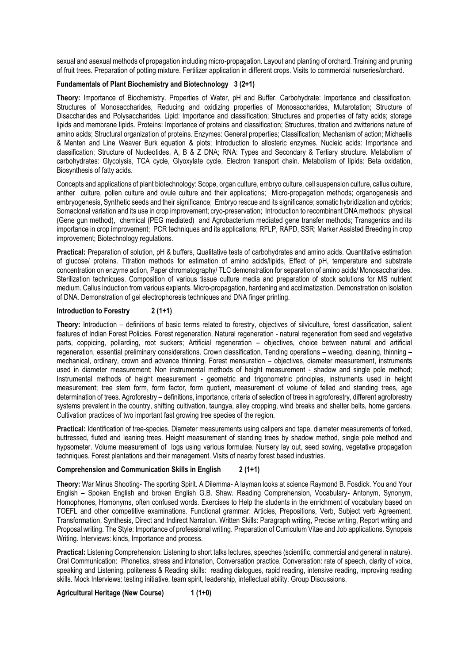sexual and asexual methods of propagation including micro-propagation. Layout and planting of orchard. Training and pruning of fruit trees. Preparation of potting mixture. Fertilizer application in different crops. Visits to commercial nurseries/orchard.

#### **Fundamentals of Plant Biochemistry and Biotechnology 3 (2+1)**

**Theory:** Importance of Biochemistry. Properties of Water, pH and Buffer. Carbohydrate: Importance and classification. Structures of Monosaccharides, Reducing and oxidizing properties of Monosaccharides, Mutarotation; Structure of Disaccharides and Polysaccharides. Lipid: Importance and classification; Structures and properties of fatty acids; storage lipids and membrane lipids. Proteins: Importance of proteins and classification; Structures, titration and zwitterions nature of amino acids; Structural organization of proteins. Enzymes: General properties; Classification; Mechanism of action; Michaelis & Menten and Line Weaver Burk equation & plots; Introduction to allosteric enzymes. Nucleic acids: Importance and classification; Structure of Nucleotides, A, B & Z DNA; RNA: Types and Secondary & Tertiary structure. Metabolism of carbohydrates: Glycolysis, TCA cycle, Glyoxylate cycle, Electron transport chain. Metabolism of lipids: Beta oxidation, Biosynthesis of fatty acids.

Concepts and applications of plant biotechnology: Scope, organ culture, embryo culture, cell suspension culture, callus culture, anther culture, pollen culture and ovule culture and their applications; Micro-propagation methods; organogenesis and embryogenesis, Synthetic seeds and their significance; Embryo rescue and its significance; somatic hybridization and cybrids; Somaclonal variation and its use in crop improvement; cryo-preservation; Introduction to recombinant DNA methods: physical (Gene gun method), chemical (PEG mediated) and Agrobacterium mediated gene transfer methods; Transgenics and its importance in crop improvement; PCR techniques and its applications; RFLP, RAPD, SSR; Marker Assisted Breeding in crop improvement; Biotechnology regulations.

**Practical:** Preparation of solution, pH & buffers, Qualitative tests of carbohydrates and amino acids. Quantitative estimation of glucose/ proteins. Titration methods for estimation of amino acids/lipids, Effect of pH, temperature and substrate concentration on enzyme action, Paper chromatography/ TLC demonstration for separation of amino acids/ Monosaccharides. Sterilization techniques. Composition of various tissue culture media and preparation of stock solutions for MS nutrient medium. Callus induction from various explants. Micro-propagation, hardening and acclimatization. Demonstration on isolation of DNA. Demonstration of gel electrophoresis techniques and DNA finger printing.

#### **Introduction to Forestry 2 (1+1)**

**Theory:** Introduction – definitions of basic terms related to forestry, objectives of silviculture, forest classification, salient features of Indian Forest Policies. Forest regeneration, Natural regeneration - natural regeneration from seed and vegetative parts, coppicing, pollarding, root suckers; Artificial regeneration – objectives, choice between natural and artificial regeneration, essential preliminary considerations. Crown classification. Tending operations – weeding, cleaning, thinning – mechanical, ordinary, crown and advance thinning. Forest mensuration – objectives, diameter measurement, instruments used in diameter measurement; Non instrumental methods of height measurement - shadow and single pole method; Instrumental methods of height measurement - geometric and trigonometric principles, instruments used in height measurement; tree stem form, form factor, form quotient, measurement of volume of felled and standing trees, age determination of trees. Agroforestry – definitions, importance, criteria of selection of trees in agroforestry, different agroforestry systems prevalent in the country, shifting cultivation, taungya, alley cropping, wind breaks and shelter belts, home gardens. Cultivation practices of two important fast growing tree species of the region.

**Practical:** Identification of tree-species. Diameter measurements using calipers and tape, diameter measurements of forked, buttressed, fluted and leaning trees. Height measurement of standing trees by shadow method, single pole method and hypsometer. Volume measurement of logs using various formulae. Nursery lay out, seed sowing, vegetative propagation techniques. Forest plantations and their management. Visits of nearby forest based industries.

#### **Comprehension and Communication Skills in English 2 (1+1)**

**Theory:** War Minus Shooting- The sporting Spirit. A Dilemma- A layman looks at science Raymond B. Fosdick. You and Your English – Spoken English and broken English G.B. Shaw. Reading Comprehension, Vocabulary- Antonym, Synonym, Homophones, Homonyms, often confused words. Exercises to Help the students in the enrichment of vocabulary based on TOEFL and other competitive examinations. Functional grammar: Articles, Prepositions, Verb, Subject verb Agreement, Transformation, Synthesis, Direct and Indirect Narration. Written Skills: Paragraph writing, Precise writing, Report writing and Proposal writing. The Style: Importance of professional writing. Preparation of Curriculum Vitae and Job applications. Synopsis Writing. Interviews: kinds, Importance and process.

**Practical:** Listening Comprehension: Listening to short talks lectures, speeches (scientific, commercial and general in nature). Oral Communication: Phonetics, stress and intonation, Conversation practice. Conversation: rate of speech, clarity of voice, speaking and Listening, politeness & Reading skills: reading dialogues, rapid reading, intensive reading, improving reading skills. Mock Interviews: testing initiative, team spirit, leadership, intellectual ability. Group Discussions.

**Agricultural Heritage (New Course) 1 (1+0)**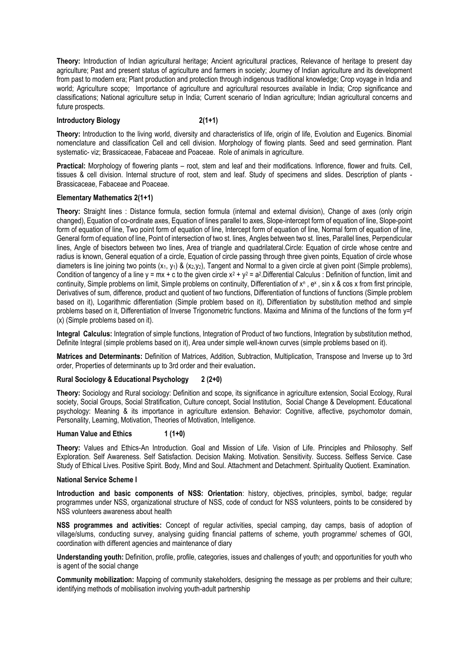**Theory:** Introduction of Indian agricultural heritage; Ancient agricultural practices, Relevance of heritage to present day agriculture; Past and present status of agriculture and farmers in society; Journey of Indian agriculture and its development from past to modern era; Plant production and protection through indigenous traditional knowledge; Crop voyage in India and world; Agriculture scope; Importance of agriculture and agricultural resources available in India; Crop significance and classifications; National agriculture setup in India; Current scenario of Indian agriculture; Indian agricultural concerns and future prospects.

#### **Introductory Biology 2(1+1)**

**Theory:** Introduction to the living world, diversity and characteristics of life, origin of life, Evolution and Eugenics. Binomial nomenclature and classification Cell and cell division. Morphology of flowing plants. Seed and seed germination. Plant systematic- viz; Brassicaceae, Fabaceae and Poaceae. Role of animals in agriculture.

**Practical:** Morphology of flowering plants – root, stem and leaf and their modifications. Inflorence, flower and fruits. Cell, tissues & cell division. Internal structure of root, stem and leaf. Study of specimens and slides. Description of plants - Brassicaceae, Fabaceae and Poaceae.

### **Elementary Mathematics 2(1+1)**

**Theory:** Straight lines : Distance formula, section formula (internal and external division), Change of axes (only origin changed), Equation of co-ordinate axes, Equation of lines parallel to axes, Slope-intercept form of equation of line, Slope-point form of equation of line, Two point form of equation of line, Intercept form of equation of line, Normal form of equation of line, General form of equation of line, Point of intersection of two st. lines, Angles between two st. lines, Parallel lines, Perpendicular lines, Angle of bisectors between two lines, Area of triangle and quadrilateral.Circle: Equation of circle whose centre and radius is known, General equation of a circle, Equation of circle passing through three given points, Equation of circle whose diameters is line joining two points  $(x_1, y_1)$  &  $(x_2, y_2)$ , Tangent and Normal to a given circle at given point (Simple problems), Condition of tangency of a line y = mx + c to the given circle  $x^2 + y^2 = a^2$ . Differential Calculus : Definition of function, limit and continuity, Simple problems on limit, Simple problems on continuity, Differentiation of x<sup>n</sup>, e<sup>x</sup>, sin x & cos x from first principle, Derivatives of sum, difference, product and quotient of two functions, Differentiation of functions of functions (Simple problem based on it), Logarithmic differentiation (Simple problem based on it), Differentiation by substitution method and simple problems based on it, Differentiation of Inverse Trigonometric functions. Maxima and Minima of the functions of the form y=f (x) (Simple problems based on it).

**Integral Calculus:** Integration of simple functions, Integration of Product of two functions, Integration by substitution method, Definite Integral (simple problems based on it), Area under simple well-known curves (simple problems based on it).

**Matrices and Determinants:** Definition of Matrices, Addition, Subtraction, Multiplication, Transpose and Inverse up to 3rd order, Properties of determinants up to 3rd order and their evaluation**.**

### **Rural Sociology & Educational Psychology 2 (2+0)**

**Theory:** Sociology and Rural sociology: Definition and scope, its significance in agriculture extension, Social Ecology, Rural society, Social Groups, Social Stratification, Culture concept, Social Institution, Social Change & Development. Educational psychology: Meaning & its importance in agriculture extension. Behavior: Cognitive, affective, psychomotor domain, Personality, Learning, Motivation, Theories of Motivation, Intelligence.

### Human Value and Ethics 1 (1+0)

**Theory:** Values and Ethics-An Introduction. Goal and Mission of Life. Vision of Life. Principles and Philosophy. Self Exploration. Self Awareness. Self Satisfaction. Decision Making. Motivation. Sensitivity. Success. Selfless Service. Case Study of Ethical Lives. Positive Spirit. Body, Mind and Soul. Attachment and Detachment. Spirituality Quotient. Examination.

#### **National Service Scheme I**

**Introduction and basic components of NSS: Orientation**: history, objectives, principles, symbol, badge; regular programmes under NSS, organizational structure of NSS, code of conduct for NSS volunteers, points to be considered by NSS volunteers awareness about health

**NSS programmes and activities:** Concept of regular activities, special camping, day camps, basis of adoption of village/slums, conducting survey, analysing guiding financial patterns of scheme, youth programme/ schemes of GOI, coordination with different agencies and maintenance of diary

**Understanding youth:** Definition, profile, profile, categories, issues and challenges of youth; and opportunities for youth who is agent of the social change

**Community mobilization:** Mapping of community stakeholders, designing the message as per problems and their culture; identifying methods of mobilisation involving youth-adult partnership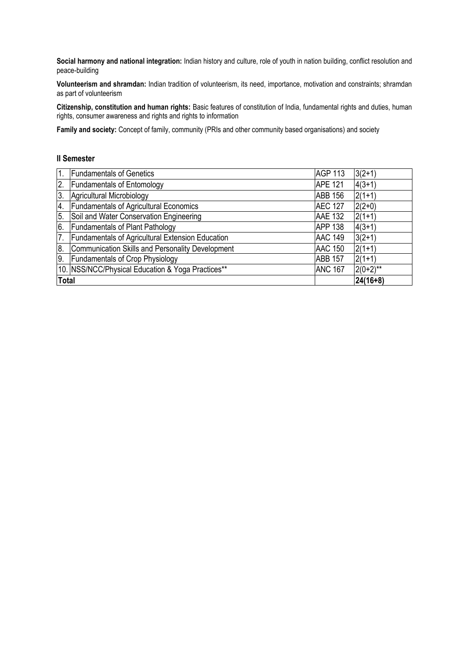**Social harmony and national integration:** Indian history and culture, role of youth in nation building, conflict resolution and peace-building

**Volunteerism and shramdan:** Indian tradition of volunteerism, its need, importance, motivation and constraints; shramdan as part of volunteerism

**Citizenship, constitution and human rights:** Basic features of constitution of India, fundamental rights and duties, human rights, consumer awareness and rights and rights to information

**Family and society:** Concept of family, community (PRIs and other community based organisations) and society

### **II Semester**

| $\mathbf{1}$ . | <b>Fundamentals of Genetics</b>                         | <b>AGP 113</b> | $3(2+1)$    |
|----------------|---------------------------------------------------------|----------------|-------------|
| 2.             | <b>Fundamentals of Entomology</b>                       | <b>APE 121</b> | $4(3+1)$    |
| 3.             | Agricultural Microbiology                               | <b>ABB 156</b> | $2(1+1)$    |
| 4.             | <b>Fundamentals of Agricultural Economics</b>           | <b>AEC 127</b> | $2(2+0)$    |
| 5.             | Soil and Water Conservation Engineering                 | <b>AAE 132</b> | $2(1+1)$    |
|                | 6. Fundamentals of Plant Pathology                      | <b>APP 138</b> | $4(3+1)$    |
| 7.             | <b>Fundamentals of Agricultural Extension Education</b> | <b>AAC 149</b> | $3(2+1)$    |
| 8.             | Communication Skills and Personality Development        | <b>AAC 150</b> | $2(1+1)$    |
| 9.             | <b>Fundamentals of Crop Physiology</b>                  | <b>ABB 157</b> | $2(1+1)$    |
|                | 10. NSS/NCC/Physical Education & Yoga Practices**       | <b>ANC 167</b> | $2(0+2)$ ** |
| <b>Total</b>   |                                                         |                | $24(16+8)$  |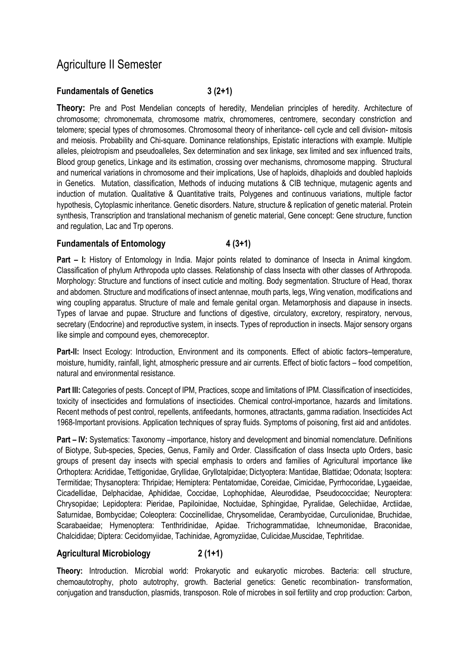# Agriculture II Semester

# **Fundamentals of Genetics 3 (2+1)**

**Theory:** Pre and Post Mendelian concepts of heredity, Mendelian principles of heredity. Architecture of chromosome; chromonemata, chromosome matrix, chromomeres, centromere, secondary constriction and telomere; special types of chromosomes. Chromosomal theory of inheritance- cell cycle and cell division- mitosis and meiosis. Probability and Chi-square. Dominance relationships, Epistatic interactions with example. Multiple alleles, pleiotropism and pseudoalleles, Sex determination and sex linkage, sex limited and sex influenced traits, Blood group genetics, Linkage and its estimation, crossing over mechanisms, chromosome mapping. Structural and numerical variations in chromosome and their implications, Use of haploids, dihaploids and doubled haploids in Genetics. Mutation, classification, Methods of inducing mutations & CIB technique, mutagenic agents and induction of mutation. Qualitative & Quantitative traits, Polygenes and continuous variations, multiple factor hypothesis, Cytoplasmic inheritance. Genetic disorders. Nature, structure & replication of genetic material. Protein synthesis, Transcription and translational mechanism of genetic material, Gene concept: Gene structure, function and regulation, Lac and Trp operons.

## **Fundamentals of Entomology 4 (3+1)**

**Part – I:** History of Entomology in India. Major points related to dominance of Insecta in Animal kingdom. Classification of phylum Arthropoda upto classes. Relationship of class Insecta with other classes of Arthropoda. Morphology: Structure and functions of insect cuticle and molting. Body segmentation. Structure of Head, thorax and abdomen. Structure and modifications of insect antennae, mouth parts, legs, Wing venation, modifications and wing coupling apparatus. Structure of male and female genital organ. Metamorphosis and diapause in insects. Types of larvae and pupae. Structure and functions of digestive, circulatory, excretory, respiratory, nervous, secretary (Endocrine) and reproductive system, in insects. Types of reproduction in insects. Major sensory organs like simple and compound eyes, chemoreceptor.

**Part-II:** Insect Ecology: Introduction, Environment and its components. Effect of abiotic factors–temperature, moisture, humidity, rainfall, light, atmospheric pressure and air currents. Effect of biotic factors – food competition, natural and environmental resistance.

Part III: Categories of pests. Concept of IPM, Practices, scope and limitations of IPM. Classification of insecticides, toxicity of insecticides and formulations of insecticides. Chemical control-importance, hazards and limitations. Recent methods of pest control, repellents, antifeedants, hormones, attractants, gamma radiation. Insecticides Act 1968-Important provisions. Application techniques of spray fluids. Symptoms of poisoning, first aid and antidotes.

**Part – IV:** Systematics: Taxonomy –importance, history and development and binomial nomenclature. Definitions of Biotype, Sub-species, Species, Genus, Family and Order. Classification of class Insecta upto Orders, basic groups of present day insects with special emphasis to orders and families of Agricultural importance like Orthoptera: Acrididae, Tettigonidae, Gryllidae, Gryllotalpidae; Dictyoptera: Mantidae, Blattidae; Odonata; Isoptera: Termitidae; Thysanoptera: Thripidae; Hemiptera: Pentatomidae, Coreidae, Cimicidae, Pyrrhocoridae, Lygaeidae, Cicadellidae, Delphacidae, Aphididae, Coccidae, Lophophidae, Aleurodidae, Pseudococcidae; Neuroptera: Chrysopidae; Lepidoptera: Pieridae, Papiloinidae, Noctuidae, Sphingidae, Pyralidae, Gelechiidae, Arctiidae, Saturnidae, Bombycidae; Coleoptera: Coccinellidae, Chrysomelidae, Cerambycidae, Curculionidae, Bruchidae, Scarabaeidae; Hymenoptera: Tenthridinidae, Apidae. Trichogrammatidae, lchneumonidae, Braconidae, Chalcididae; Diptera: Cecidomyiidae, Tachinidae, Agromyziidae, Culicidae, Muscidae, Tephritidae.

### **Agricultural Microbiology 2 (1+1)**

**Theory:** Introduction. Microbial world: Prokaryotic and eukaryotic microbes. Bacteria: cell structure, chemoautotrophy, photo autotrophy, growth. Bacterial genetics: Genetic recombination- transformation, conjugation and transduction, plasmids, transposon. Role of microbes in soil fertility and crop production: Carbon,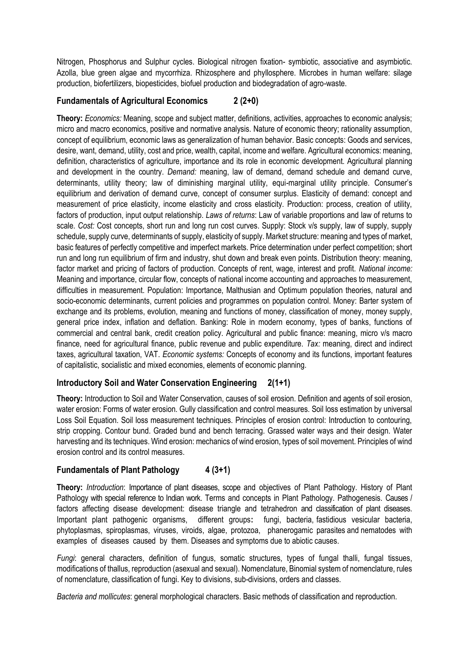Nitrogen, Phosphorus and Sulphur cycles. Biological nitrogen fixation- symbiotic, associative and asymbiotic. Azolla, blue green algae and mycorrhiza. Rhizosphere and phyllosphere. Microbes in human welfare: silage production, biofertilizers, biopesticides, biofuel production and biodegradation of agro-waste.

# **Fundamentals of Agricultural Economics 2 (2+0)**

**Theory:** *Economics:* Meaning, scope and subject matter, definitions, activities, approaches to economic analysis; micro and macro economics, positive and normative analysis. Nature of economic theory; rationality assumption, concept of equilibrium, economic laws as generalization of human behavior. Basic concepts: Goods and services, desire, want, demand, utility, cost and price, wealth, capital, income and welfare. Agricultural economics: meaning, definition, characteristics of agriculture, importance and its role in economic development. Agricultural planning and development in the country. *Demand:* meaning, law of demand, demand schedule and demand curve, determinants, utility theory; law of diminishing marginal utility, equi-marginal utility principle. Consumer's equilibrium and derivation of demand curve, concept of consumer surplus. Elasticity of demand: concept and measurement of price elasticity, income elasticity and cross elasticity. Production: process, creation of utility, factors of production, input output relationship. *Laws of returns*: Law of variable proportions and law of returns to scale. *Cost:* Cost concepts, short run and long run cost curves. Supply: Stock v/s supply, law of supply, supply schedule, supply curve, determinants of supply, elasticity of supply. Market structure: meaning and types of market, basic features of perfectly competitive and imperfect markets. Price determination under perfect competition; short run and long run equilibrium of firm and industry, shut down and break even points. Distribution theory: meaning, factor market and pricing of factors of production. Concepts of rent, wage, interest and profit. *National income:* Meaning and importance, circular flow, concepts of national income accounting and approaches to measurement, difficulties in measurement. Population: Importance, Malthusian and Optimum population theories, natural and socio-economic determinants, current policies and programmes on population control. Money: Barter system of exchange and its problems, evolution, meaning and functions of money, classification of money, money supply, general price index, inflation and deflation. Banking: Role in modern economy, types of banks, functions of commercial and central bank, credit creation policy. Agricultural and public finance: meaning, micro v/s macro finance, need for agricultural finance, public revenue and public expenditure. *Tax:* meaning, direct and indirect taxes, agricultural taxation, VAT. *Economic systems:* Concepts of economy and its functions, important features of capitalistic, socialistic and mixed economies, elements of economic planning.

### **Introductory Soil and Water Conservation Engineering 2(1+1)**

**Theory:** Introduction to Soil and Water Conservation, causes of soil erosion. Definition and agents of soil erosion, water erosion: Forms of water erosion. Gully classification and control measures. Soil loss estimation by universal Loss Soil Equation. Soil loss measurement techniques. Principles of erosion control: Introduction to contouring, strip cropping. Contour bund. Graded bund and bench terracing. Grassed water ways and their design. Water harvesting and its techniques. Wind erosion: mechanics of wind erosion, types of soil movement. Principles of wind erosion control and its control measures.

# **Fundamentals of Plant Pathology 4 (3+1)**

**Theory:** *Introduction*: Importance of plant diseases, scope and objectives of Plant Pathology. History of Plant Pathology with special reference to Indian work. Terms and concepts in Plant Pathology. Pathogenesis. Causes / factors affecting disease development: disease triangle and tetrahedron and classification of plant diseases. Important plant pathogenic organisms, different groups**:** fungi, bacteria, fastidious vesicular bacteria, phytoplasmas, spiroplasmas, viruses, viroids, algae, protozoa, phanerogamic parasites and nematodes with examples of diseases caused by them. Diseases and symptoms due to abiotic causes.

*Fungi*: general characters, definition of fungus, somatic structures, types of fungal thalli, fungal tissues, modifications of thallus, reproduction (asexual and sexual). Nomenclature, Binomial system of nomenclature, rules of nomenclature, classification of fungi. Key to divisions, sub-divisions, orders and classes.

*Bacteria and mollicutes*: general morphological characters. Basic methods of classification and reproduction.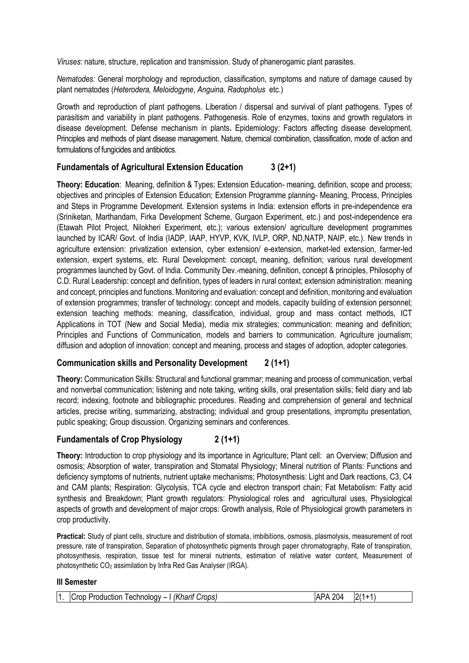*Viruses*: nature, structure, replication and transmission. Study of phanerogamic plant parasites.

*Nematodes:* General morphology and reproduction, classification, symptoms and nature of damage caused by plant nematodes (*Heterodera, Meloidogyne*, *Anguina, Radopholus* etc.)

Growth and reproduction of plant pathogens. Liberation / dispersal and survival of plant pathogens. Types of parasitism and variability in plant pathogens. Pathogenesis. Role of enzymes, toxins and growth regulators in disease development. Defense mechanism in plants**.** Epidemiology: Factors affecting disease development. Principles and methods of plant disease management. Nature, chemical combination, classification, mode of action and formulations of fungicides and antibiotics.

## **Fundamentals of Agricultural Extension Education 3 (2+1)**

**Theory: Education**: Meaning, definition & Types; Extension Education- meaning, definition, scope and process; objectives and principles of Extension Education; Extension Programme planning- Meaning, Process, Principles and Steps in Programme Development. Extension systems in India: extension efforts in pre-independence era (Sriniketan, Marthandam, Firka Development Scheme, Gurgaon Experiment, etc.) and post-independence era (Etawah Pilot Project, Nilokheri Experiment, etc.); various extension/ agriculture development programmes launched by ICAR/ Govt. of India (IADP, IAAP, HYVP, KVK, IVLP, ORP, ND,NATP, NAIP, etc.). New trends in agriculture extension: privatization extension, cyber extension/ e-extension, market-led extension, farmer-led extension, expert systems, etc. Rural Development: concept, meaning, definition; various rural development programmes launched by Govt. of India. Community Dev.-meaning, definition, concept & principles, Philosophy of C.D. Rural Leadership: concept and definition, types of leaders in rural context; extension administration: meaning and concept, principles and functions. Monitoring and evaluation: concept and definition, monitoring and evaluation of extension programmes; transfer of technology: concept and models, capacity building of extension personnel; extension teaching methods: meaning, classification, individual, group and mass contact methods, ICT Applications in TOT (New and Social Media), media mix strategies; communication: meaning and definition; Principles and Functions of Communication, models and barriers to communication. Agriculture journalism; diffusion and adoption of innovation: concept and meaning, process and stages of adoption, adopter categories.

# **Communication skills and Personality Development 2 (1+1)**

**Theory:** Communication Skills: Structural and functional grammar; meaning and process of communication, verbal and nonverbal communication; listening and note taking, writing skills, oral presentation skills; field diary and lab record; indexing, footnote and bibliographic procedures. Reading and comprehension of general and technical articles, precise writing, summarizing, abstracting; individual and group presentations, impromptu presentation, public speaking; Group discussion. Organizing seminars and conferences.

### **Fundamentals of Crop Physiology 2 (1+1)**

**Theory:** Introduction to crop physiology and its importance in Agriculture; Plant cell: an Overview; Diffusion and osmosis; Absorption of water, transpiration and Stomatal Physiology; Mineral nutrition of Plants: Functions and deficiency symptoms of nutrients, nutrient uptake mechanisms; Photosynthesis: Light and Dark reactions, C3, C4 and CAM plants; Respiration: Glycolysis, TCA cycle and electron transport chain; Fat Metabolism: Fatty acid synthesis and Breakdown; Plant growth regulators: Physiological roles and agricultural uses, Physiological aspects of growth and development of major crops: Growth analysis, Role of Physiological growth parameters in crop productivity.

**Practical:** Study of plant cells, structure and distribution of stomata, imbibitions, osmosis, plasmolysis, measurement of root pressure, rate of transpiration, Separation of photosynthetic pigments through paper chromatography, Rate of transpiration, photosynthesis, respiration, tissue test for mineral nutrients, estimation of relative water content, Measurement of photosynthetic CO<sup>2</sup> assimilation by Infra Red Gas Analyser (IRGA).

### **III Semester**

| 0/1<br>$\vert$ 1.<br>ንበ∆<br>I (Kharif Crops)<br>ADΔ<br>$\sim$ Production Technology – $\ldots$<br>ICrop |
|---------------------------------------------------------------------------------------------------------|
|---------------------------------------------------------------------------------------------------------|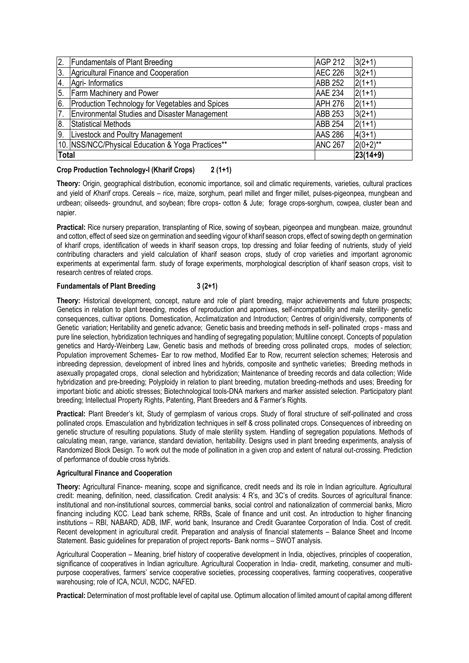| 2.               | <b>Fundamentals of Plant Breeding</b>                | <b>AGP 212</b> | $3(2+1)$    |
|------------------|------------------------------------------------------|----------------|-------------|
| 3.               | Agricultural Finance and Cooperation                 | <b>AEC 226</b> | $3(2+1)$    |
| 4.               | Agri- Informatics                                    | <b>ABB 252</b> | $2(1+1)$    |
| 5.               | <b>Farm Machinery and Power</b>                      | <b>AAE 234</b> | $2(1+1)$    |
| 6.               | Production Technology for Vegetables and Spices      | <b>APH 276</b> | $2(1+1)$    |
| 7.               | <b>Environmental Studies and Disaster Management</b> | <b>ABB 253</b> | $3(2+1)$    |
| 8.               | Statistical Methods                                  | <b>ABB 254</b> | $2(1+1)$    |
| $\overline{9}$ . | Livestock and Poultry Management                     | <b>AAS 286</b> | $4(3+1)$    |
|                  | 10. NSS/NCC/Physical Education & Yoga Practices**    | <b>ANC 267</b> | $2(0+2)$ ** |
| <b>Total</b>     |                                                      |                | 23(14+9)    |

### **Crop Production Technology-I (Kharif Crops) 2 (1+1)**

**Theory:** Origin, geographical distribution, economic importance, soil and climatic requirements, varieties, cultural practices and yield of *Kharif* crops. Cereals – rice, maize, sorghum, pearl millet and finger millet, pulses-pigeonpea, mungbean and urdbean; oilseeds- groundnut, and soybean; fibre crops- cotton & Jute; forage crops-sorghum, cowpea, cluster bean and napier.

**Practical:** Rice nursery preparation, transplanting of Rice, sowing of soybean, pigeonpea and mungbean. maize, groundnut and cotton, effect of seed size on germination and seedling vigour of kharif season crops, effect of sowing depth on germination of kharif crops, identification of weeds in kharif season crops, top dressing and foliar feeding of nutrients, study of yield contributing characters and yield calculation of kharif season crops, study of crop varieties and important agronomic experiments at experimental farm. study of forage experiments, morphological description of kharif season crops, visit to research centres of related crops.

### **Fundamentals of Plant Breeding 3 (2+1)**

**Theory:** Historical development, concept, nature and role of plant breeding, major achievements and future prospects; Genetics in relation to plant breeding, modes of reproduction and apomixes, self-incompatibility and male sterility- genetic consequences, cultivar options. Domestication, Acclimatization and Introduction; Centres of origin/diversity, components of Genetic variation; Heritability and genetic advance; Genetic basis and breeding methods in self- pollinated crops - mass and pure line selection, hybridization techniques and handling of segregating population; Multiline concept. Concepts of population genetics and Hardy-Weinberg Law, Genetic basis and methods of breeding cross pollinated crops, modes of selection; Population improvement Schemes- Ear to row method, Modified Ear to Row, recurrent selection schemes; Heterosis and inbreeding depression, development of inbred lines and hybrids, composite and synthetic varieties; Breeding methods in asexually propagated crops, clonal selection and hybridization; Maintenance of breeding records and data collection; Wide hybridization and pre-breeding; Polyploidy in relation to plant breeding, mutation breeding-methods and uses; Breeding for important biotic and abiotic stresses; Biotechnological tools-DNA markers and marker assisted selection. Participatory plant breeding; Intellectual Property Rights, Patenting, Plant Breeders and & Farmer's Rights.

**Practical:** Plant Breeder's kit, Study of germplasm of various crops. Study of floral structure of self-pollinated and cross pollinated crops. Emasculation and hybridization techniques in self & cross pollinated crops. Consequences of inbreeding on genetic structure of resulting populations. Study of male sterility system. Handling of segregation populations. Methods of calculating mean, range, variance, standard deviation, heritability. Designs used in plant breeding experiments, analysis of Randomized Block Design. To work out the mode of pollination in a given crop and extent of natural out-crossing. Prediction of performance of double cross hybrids.

### **Agricultural Finance and Cooperation**

**Theory:** Agricultural Finance- meaning, scope and significance, credit needs and its role in Indian agriculture. Agricultural credit: meaning, definition, need, classification. Credit analysis: 4 R's, and 3C's of credits. Sources of agricultural finance: institutional and non-institutional sources, commercial banks, social control and nationalization of commercial banks, Micro financing including KCC. Lead bank scheme, RRBs, Scale of finance and unit cost. An introduction to higher financing institutions – RBI, NABARD, ADB, IMF, world bank, Insurance and Credit Guarantee Corporation of India. Cost of credit. Recent development in agricultural credit. Preparation and analysis of financial statements – Balance Sheet and Income Statement. Basic guidelines for preparation of project reports- Bank norms – SWOT analysis.

Agricultural Cooperation – Meaning, brief history of cooperative development in India, objectives, principles of cooperation, significance of cooperatives in Indian agriculture. Agricultural Cooperation in India- credit, marketing, consumer and multipurpose cooperatives, farmers' service cooperative societies, processing cooperatives, farming cooperatives, cooperative warehousing; role of ICA, NCUI, NCDC, NAFED.

**Practical:** Determination of most profitable level of capital use. Optimum allocation of limited amount of capital among different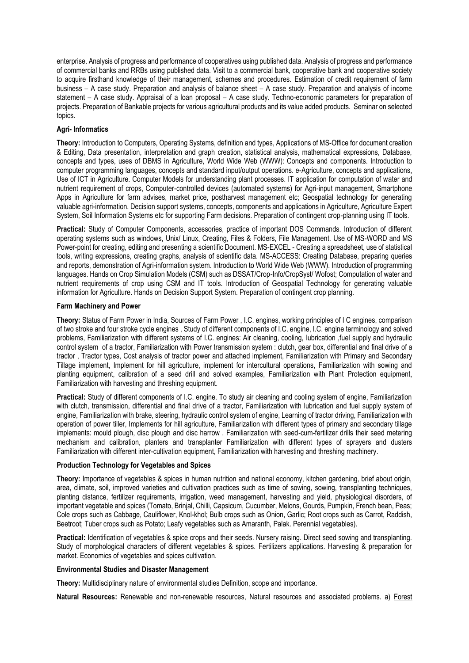enterprise. Analysis of progress and performance of cooperatives using published data. Analysis of progress and performance of commercial banks and RRBs using published data. Visit to a commercial bank, cooperative bank and cooperative society to acquire firsthand knowledge of their management, schemes and procedures. Estimation of credit requirement of farm business – A case study. Preparation and analysis of balance sheet – A case study. Preparation and analysis of income statement – A case study. Appraisal of a loan proposal – A case study. Techno-economic parameters for preparation of projects. Preparation of Bankable projects for various agricultural products and its value added products. Seminar on selected topics.

### **Agri- Informatics**

**Theory:** Introduction to Computers, Operating Systems, definition and types, Applications of MS-Office for document creation & Editing, Data presentation, interpretation and graph creation, statistical analysis, mathematical expressions, Database, concepts and types, uses of DBMS in Agriculture, World Wide Web (WWW): Concepts and components. Introduction to computer programming languages, concepts and standard input/output operations. e-Agriculture, concepts and applications, Use of ICT in Agriculture. Computer Models for understanding plant processes. IT application for computation of water and nutrient requirement of crops, Computer-controlled devices (automated systems) for Agri-input management, Smartphone Apps in Agriculture for farm advises, market price, postharvest management etc; Geospatial technology for generating valuable agri-information. Decision support systems, concepts, components and applications in Agriculture, Agriculture Expert System, Soil Information Systems etc for supporting Farm decisions. Preparation of contingent crop-planning using IT tools.

**Practical:** Study of Computer Components, accessories, practice of important DOS Commands. Introduction of different operating systems such as windows, Unix/ Linux, Creating, Files & Folders, File Management. Use of MS-WORD and MS Power-point for creating, editing and presenting a scientific Document. MS-EXCEL - Creating a spreadsheet, use of statistical tools, writing expressions, creating graphs, analysis of scientific data. MS-ACCESS: Creating Database, preparing queries and reports, demonstration of Agri-information system. Introduction to World Wide Web (WWW). Introduction of programming languages. Hands on Crop Simulation Models (CSM) such as DSSAT/Crop-Info/CropSyst/ Wofost; Computation of water and nutrient requirements of crop using CSM and IT tools. Introduction of Geospatial Technology for generating valuable information for Agriculture. Hands on Decision Support System. Preparation of contingent crop planning.

### **Farm Machinery and Power**

**Theory:** Status of Farm Power in India, Sources of Farm Power , I.C. engines, working principles of I C engines, comparison of two stroke and four stroke cycle engines , Study of different components of I.C. engine, I.C. engine terminology and solved problems, Familiarization with different systems of I.C. engines: Air cleaning, cooling, lubrication ,fuel supply and hydraulic control system of a tractor, Familiarization with Power transmission system : clutch, gear box, differential and final drive of a tractor , Tractor types, Cost analysis of tractor power and attached implement, Familiarization with Primary and Secondary Tillage implement, Implement for hill agriculture, implement for intercultural operations, Familiarization with sowing and planting equipment, calibration of a seed drill and solved examples, Familiarization with Plant Protection equipment, Familiarization with harvesting and threshing equipment.

**Practical:** Study of different components of I.C. engine. To study air cleaning and cooling system of engine, Familiarization with clutch, transmission, differential and final drive of a tractor, Familiarization with lubrication and fuel supply system of engine, Familiarization with brake, steering, hydraulic control system of engine, Learning of tractor driving, Familiarization with operation of power tiller, Implements for hill agriculture, Familiarization with different types of primary and secondary tillage implements: mould plough, disc plough and disc harrow . Familiarization with seed-cum-fertilizer drills their seed metering mechanism and calibration, planters and transplanter Familiarization with different types of sprayers and dusters Familiarization with different inter-cultivation equipment, Familiarization with harvesting and threshing machinery.

### **Production Technology for Vegetables and Spices**

**Theory:** Importance of vegetables & spices in human nutrition and national economy, kitchen gardening, brief about origin, area, climate, soil, improved varieties and cultivation practices such as time of sowing, sowing, transplanting techniques, planting distance, fertilizer requirements, irrigation, weed management, harvesting and yield, physiological disorders, of important vegetable and spices (Tomato, Brinjal, Chilli, Capsicum, Cucumber, Melons, Gourds, Pumpkin, French bean, Peas; Cole crops such as Cabbage, Cauliflower, Knol-khol; Bulb crops such as Onion, Garlic; Root crops such as Carrot, Raddish, Beetroot; Tuber crops such as Potato; Leafy vegetables such as Amaranth, Palak. Perennial vegetables).

**Practical:** Identification of vegetables & spice crops and their seeds. Nursery raising. Direct seed sowing and transplanting. Study of morphological characters of different vegetables & spices. Fertilizers applications. Harvesting & preparation for market. Economics of vegetables and spices cultivation.

### **Environmental Studies and Disaster Management**

**Theory:** Multidisciplinary nature of environmental studies Definition, scope and importance.

**Natural Resources:** Renewable and non-renewable resources, Natural resources and associated problems. a) Forest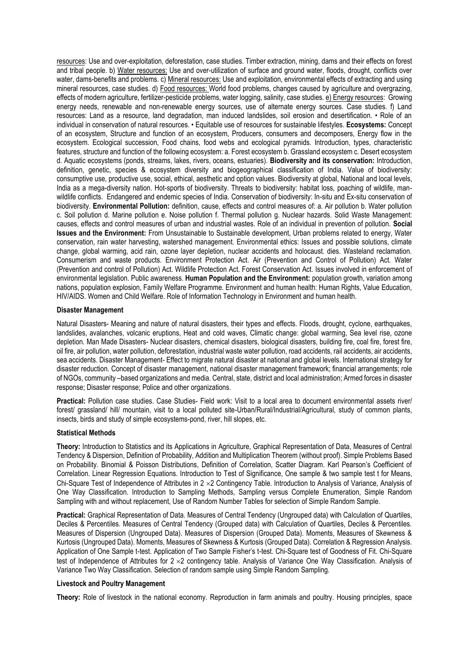resources: Use and over-exploitation, deforestation, case studies. Timber extraction, mining, dams and their effects on forest and tribal people. b) Water resources: Use and over-utilization of surface and ground water, floods, drought, conflicts over water, dams-benefits and problems. c) Mineral resources: Use and exploitation, environmental effects of extracting and using mineral resources, case studies. d) Food resources: World food problems, changes caused by agriculture and overgrazing, effects of modern agriculture, fertilizer-pesticide problems, water logging, salinity, case studies. e) Energy resources: Growing energy needs, renewable and non-renewable energy sources, use of alternate energy sources. Case studies. f) Land resources: Land as a resource, land degradation, man induced landslides, soil erosion and desertification. • Role of an individual in conservation of natural resources. • Equitable use of resources for sustainable lifestyles. **Ecosystems:** Concept of an ecosystem, Structure and function of an ecosystem, Producers, consumers and decomposers, Energy flow in the ecosystem. Ecological succession, Food chains, food webs and ecological pyramids. Introduction, types, characteristic features, structure and function of the following ecosystem: a. Forest ecosystem b. Grassland ecosystem c. Desert ecosystem d. Aquatic ecosystems (ponds, streams, lakes, rivers, oceans, estuaries). **Biodiversity and its conservation:** Introduction, definition, genetic, species & ecosystem diversity and biogeographical classification of India. Value of biodiversity: consumptive use, productive use, social, ethical, aesthetic and option values. Biodiversity at global, National and local levels, India as a mega-diversity nation. Hot-sports of biodiversity. Threats to biodiversity: habitat loss, poaching of wildlife, manwildlife conflicts. Endangered and endemic species of India. Conservation of biodiversity: In-situ and Ex-situ conservation of biodiversity. **Environmental Pollution:** definition, cause, effects and control measures of: a. Air pollution b. Water pollution c. Soil pollution d. Marine pollution e. Noise pollution f. Thermal pollution g. Nuclear hazards. Solid Waste Management: causes, effects and control measures of urban and industrial wastes. Role of an individual in prevention of pollution. **Social Issues and the Environment:** From Unsustainable to Sustainable development, Urban problems related to energy, Water conservation, rain water harvesting, watershed management. Environmental ethics: Issues and possible solutions, climate change, global warming, acid rain, ozone layer depletion, nuclear accidents and holocaust. dies. Wasteland reclamation. Consumerism and waste products. Environment Protection Act. Air (Prevention and Control of Pollution) Act. Water (Prevention and control of Pollution) Act. Wildlife Protection Act. Forest Conservation Act. Issues involved in enforcement of environmental legislation. Public awareness. **Human Population and the Environment:** population growth, variation among nations, population explosion, Family Welfare Programme. Environment and human health: Human Rights, Value Education, HIV/AIDS. Women and Child Welfare. Role of Information Technology in Environment and human health.

#### **Disaster Management**

Natural Disasters- Meaning and nature of natural disasters, their types and effects. Floods, drought, cyclone, earthquakes, landslides, avalanches, volcanic eruptions, Heat and cold waves, Climatic change: global warming, Sea level rise, ozone depletion. Man Made Disasters- Nuclear disasters, chemical disasters, biological disasters, building fire, coal fire, forest fire, oil fire, air pollution, water pollution, deforestation, industrial waste water pollution, road accidents, rail accidents, air accidents, sea accidents. Disaster Management- Effect to migrate natural disaster at national and global levels. International strategy for disaster reduction. Concept of disaster management, national disaster management framework; financial arrangements; role of NGOs, community –based organizations and media. Central, state, district and local administration; Armed forces in disaster response; Disaster response; Police and other organizations.

**Practical:** Pollution case studies. Case Studies- Field work: Visit to a local area to document environmental assets river/ forest/ grassland/ hill/ mountain, visit to a local polluted site-Urban/Rural/Industrial/Agricultural, study of common plants, insects, birds and study of simple ecosystems-pond, river, hill slopes, etc.

#### **Statistical Methods**

**Theory:** Introduction to Statistics and its Applications in Agriculture, Graphical Representation of Data, Measures of Central Tendency & Dispersion, Definition of Probability, Addition and Multiplication Theorem (without proof). Simple Problems Based on Probability. Binomial & Poisson Distributions, Definition of Correlation, Scatter Diagram. Karl Pearson's Coefficient of Correlation. Linear Regression Equations. Introduction to Test of Significance, One sample & two sample test t for Means, Chi-Square Test of Independence of Attributes in  $2 \times 2$  Contingency Table. Introduction to Analysis of Variance, Analysis of One Way Classification. Introduction to Sampling Methods, Sampling versus Complete Enumeration, Simple Random Sampling with and without replacement, Use of Random Number Tables for selection of Simple Random Sample.

**Practical:** Graphical Representation of Data. Measures of Central Tendency (Ungrouped data) with Calculation of Quartiles, Deciles & Percentiles. Measures of Central Tendency (Grouped data) with Calculation of Quartiles, Deciles & Percentiles. Measures of Dispersion (Ungrouped Data). Measures of Dispersion (Grouped Data). Moments, Measures of Skewness & Kurtosis (Ungrouped Data). Moments, Measures of Skewness & Kurtosis (Grouped Data). Correlation & Regression Analysis. Application of One Sample t-test. Application of Two Sample Fisher's t-test. Chi-Square test of Goodness of Fit. Chi-Square test of Independence of Attributes for  $2 \times 2$  contingency table. Analysis of Variance One Way Classification. Analysis of Variance Two Way Classification. Selection of random sample using Simple Random Sampling.

#### **Livestock and Poultry Management**

**Theory:** Role of livestock in the national economy. Reproduction in farm animals and poultry. Housing principles, space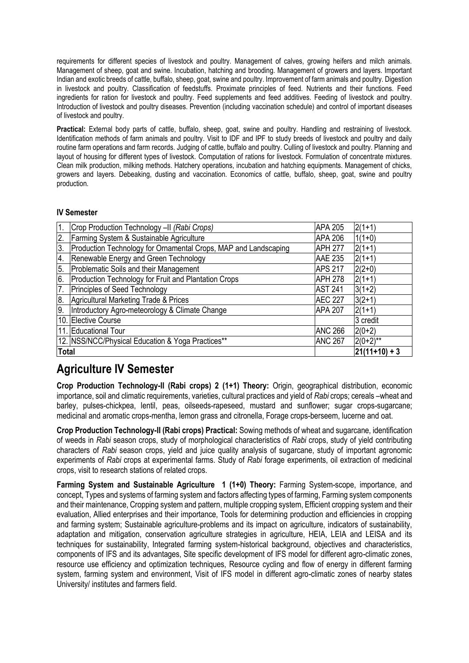requirements for different species of livestock and poultry. Management of calves, growing heifers and milch animals. Management of sheep, goat and swine. Incubation, hatching and brooding. Management of growers and layers. Important Indian and exotic breeds of cattle, buffalo, sheep, goat, swine and poultry. Improvement of farm animals and poultry. Digestion in livestock and poultry. Classification of feedstuffs. Proximate principles of feed. Nutrients and their functions. Feed ingredients for ration for livestock and poultry. Feed supplements and feed additives. Feeding of livestock and poultry. Introduction of livestock and poultry diseases. Prevention (including vaccination schedule) and control of important diseases of livestock and poultry.

**Practical:** External body parts of cattle, buffalo, sheep, goat, swine and poultry. Handling and restraining of livestock. Identification methods of farm animals and poultry. Visit to IDF and IPF to study breeds of livestock and poultry and daily routine farm operations and farm records. Judging of cattle, buffalo and poultry. Culling of livestock and poultry. Planning and layout of housing for different types of livestock. Computation of rations for livestock. Formulation of concentrate mixtures. Clean milk production, milking methods. Hatchery operations, incubation and hatching equipments. Management of chicks, growers and layers. Debeaking, dusting and vaccination. Economics of cattle, buffalo, sheep, goat, swine and poultry production.

### **IV Semester**

| 1.               | Crop Production Technology -II (Rabi Crops)                     | APA 205        | $2(1+1)$        |
|------------------|-----------------------------------------------------------------|----------------|-----------------|
| 2.               | Farming System & Sustainable Agriculture                        | APA 206        | $1(1+0)$        |
| 3.               | Production Technology for Ornamental Crops, MAP and Landscaping | <b>APH 277</b> | $2(1+1)$        |
| 4.               | Renewable Energy and Green Technology                           | <b>AAE 235</b> | $2(1+1)$        |
| 5.               | Problematic Soils and their Management                          | <b>APS 217</b> | $2(2+0)$        |
| 6.               | Production Technology for Fruit and Plantation Crops            | <b>APH 278</b> | $2(1+1)$        |
| $\overline{7}$ . | Principles of Seed Technology                                   | <b>AST 241</b> | $3(1+2)$        |
| 8.               | Agricultural Marketing Trade & Prices                           | <b>AEC 227</b> | $3(2+1)$        |
| 9.               | Introductory Agro-meteorology & Climate Change                  | <b>APA 207</b> | $2(1+1)$        |
|                  | 10. Elective Course                                             |                | 3 credit        |
|                  | 11. Educational Tour                                            | <b>ANC 266</b> | $2(0+2)$        |
|                  | 12. NSS/NCC/Physical Education & Yoga Practices**               | <b>ANC 267</b> | $2(0+2)$ **     |
| <b>Total</b>     |                                                                 |                | $ 21(11+10)+3 $ |

# **Agriculture IV Semester**

**Crop Production Technology-II (Rabi crops) 2 (1+1) Theory:** Origin, geographical distribution, economic importance, soil and climatic requirements, varieties, cultural practices and yield of *Rabi* crops; cereals –wheat and barley, pulses-chickpea, lentil, peas, oilseeds-rapeseed, mustard and sunflower; sugar crops-sugarcane; medicinal and aromatic crops-mentha, lemon grass and citronella, Forage crops-berseem, lucerne and oat.

**Crop Production Technology-II (Rabi crops) Practical:** Sowing methods of wheat and sugarcane, identification of weeds in *Rabi* season crops, study of morphological characteristics of *Rabi* crops, study of yield contributing characters of *Rabi* season crops, yield and juice quality analysis of sugarcane, study of important agronomic experiments of *Rabi* crops at experimental farms. Study of *Rabi* forage experiments, oil extraction of medicinal crops, visit to research stations of related crops.

**Farming System and Sustainable Agriculture 1 (1+0) Theory:** Farming System-scope, importance, and concept, Types and systems of farming system and factors affecting types of farming, Farming system components and their maintenance, Cropping system and pattern, multiple cropping system, Efficient cropping system and their evaluation, Allied enterprises and their importance, Tools for determining production and efficiencies in cropping and farming system; Sustainable agriculture-problems and its impact on agriculture, indicators of sustainability, adaptation and mitigation, conservation agriculture strategies in agriculture, HEIA, LEIA and LEISA and its techniques for sustainability, Integrated farming system-historical background, objectives and characteristics, components of IFS and its advantages, Site specific development of IFS model for different agro-climatic zones, resource use efficiency and optimization techniques, Resource cycling and flow of energy in different farming system, farming system and environment, Visit of IFS model in different agro-climatic zones of nearby states University/ institutes and farmers field.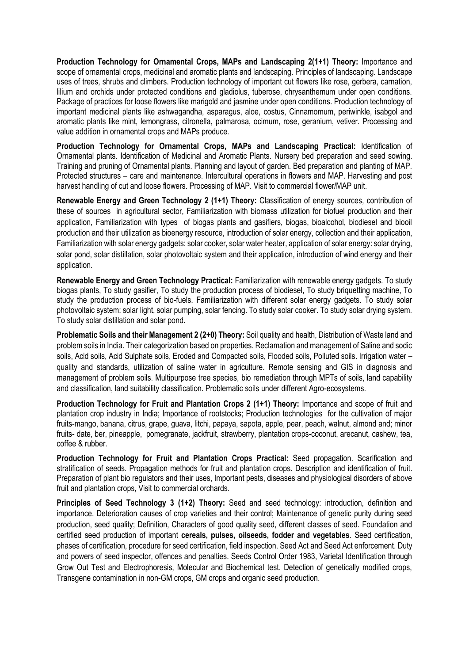**Production Technology for Ornamental Crops, MAPs and Landscaping 2(1+1) Theory:** Importance and scope of ornamental crops, medicinal and aromatic plants and landscaping. Principles of landscaping. Landscape uses of trees, shrubs and climbers. Production technology of important cut flowers like rose, gerbera, carnation, lilium and orchids under protected conditions and gladiolus, tuberose, chrysanthemum under open conditions. Package of practices for loose flowers like marigold and jasmine under open conditions. Production technology of important medicinal plants like ashwagandha, asparagus, aloe, costus, Cinnamomum, periwinkle, isabgol and aromatic plants like mint, lemongrass, citronella, palmarosa, ocimum, rose, geranium, vetiver. Processing and value addition in ornamental crops and MAPs produce.

**Production Technology for Ornamental Crops, MAPs and Landscaping Practical:** Identification of Ornamental plants. Identification of Medicinal and Aromatic Plants. Nursery bed preparation and seed sowing. Training and pruning of Ornamental plants. Planning and layout of garden. Bed preparation and planting of MAP. Protected structures – care and maintenance. Intercultural operations in flowers and MAP. Harvesting and post harvest handling of cut and loose flowers. Processing of MAP. Visit to commercial flower/MAP unit.

**Renewable Energy and Green Technology 2 (1+1) Theory:** Classification of energy sources, contribution of these of sources in agricultural sector, Familiarization with biomass utilization for biofuel production and their application, Familiarization with types of biogas plants and gasifiers, biogas, bioalcohol, biodiesel and biooil production and their utilization as bioenergy resource, introduction of solar energy, collection and their application, Familiarization with solar energy gadgets: solar cooker, solar water heater, application of solar energy: solar drying, solar pond, solar distillation, solar photovoltaic system and their application, introduction of wind energy and their application.

**Renewable Energy and Green Technology Practical:** Familiarization with renewable energy gadgets. To study biogas plants, To study gasifier, To study the production process of biodiesel, To study briquetting machine, To study the production process of bio-fuels. Familiarization with different solar energy gadgets. To study solar photovoltaic system: solar light, solar pumping, solar fencing. To study solar cooker. To study solar drying system. To study solar distillation and solar pond.

**Problematic Soils and their Management 2 (2+0) Theory:** Soil quality and health, Distribution of Waste land and problem soils in India. Their categorization based on properties. Reclamation and management of Saline and sodic soils, Acid soils, Acid Sulphate soils, Eroded and Compacted soils, Flooded soils, Polluted soils. Irrigation water – quality and standards, utilization of saline water in agriculture. Remote sensing and GIS in diagnosis and management of problem soils. Multipurpose tree species, bio remediation through MPTs of soils, land capability and classification, land suitability classification. Problematic soils under different Agro-ecosystems.

**Production Technology for Fruit and Plantation Crops 2 (1+1) Theory:** Importance and scope of fruit and plantation crop industry in India; Importance of rootstocks; Production technologies for the cultivation of major fruits-mango, banana, citrus, grape, guava, litchi, papaya, sapota, apple, pear, peach, walnut, almond and; minor fruits- date, ber, pineapple, pomegranate, jackfruit, strawberry, plantation crops-coconut, arecanut, cashew, tea, coffee & rubber.

**Production Technology for Fruit and Plantation Crops Practical:** Seed propagation. Scarification and stratification of seeds. Propagation methods for fruit and plantation crops. Description and identification of fruit. Preparation of plant bio regulators and their uses, Important pests, diseases and physiological disorders of above fruit and plantation crops, Visit to commercial orchards.

Principles of Seed Technology 3 (1+2) Theory: Seed and seed technology: introduction, definition and importance. Deterioration causes of crop varieties and their control; Maintenance of genetic purity during seed production, seed quality; Definition, Characters of good quality seed, different classes of seed. Foundation and certified seed production of important **cereals, pulses, oilseeds, fodder and vegetables**. Seed certification, phases of certification, procedure for seed certification, field inspection. Seed Act and Seed Act enforcement. Duty and powers of seed inspector, offences and penalties. Seeds Control Order 1983, Varietal Identification through Grow Out Test and Electrophoresis, Molecular and Biochemical test. Detection of genetically modified crops, Transgene contamination in non-GM crops, GM crops and organic seed production.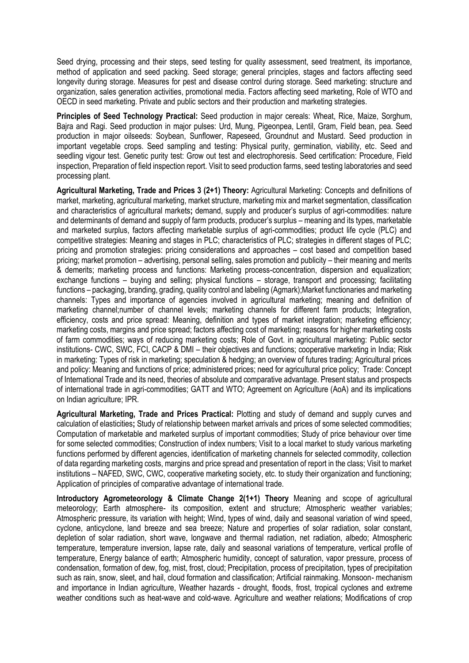Seed drying, processing and their steps, seed testing for quality assessment, seed treatment, its importance, method of application and seed packing. Seed storage; general principles, stages and factors affecting seed longevity during storage. Measures for pest and disease control during storage. Seed marketing: structure and organization, sales generation activities, promotional media. Factors affecting seed marketing, Role of WTO and OECD in seed marketing. Private and public sectors and their production and marketing strategies.

**Principles of Seed Technology Practical:** Seed production in major cereals: Wheat, Rice, Maize, Sorghum, Bajra and Ragi. Seed production in major pulses: Urd, Mung, Pigeonpea, Lentil, Gram, Field bean, pea. Seed production in major oilseeds: Soybean, Sunflower, Rapeseed, Groundnut and Mustard. Seed production in important vegetable crops. Seed sampling and testing: Physical purity, germination, viability, etc. Seed and seedling vigour test. Genetic purity test: Grow out test and electrophoresis. Seed certification: Procedure, Field inspection, Preparation of field inspection report. Visit to seed production farms, seed testing laboratories and seed processing plant.

**Agricultural Marketing, Trade and Prices 3 (2+1) Theory:** Agricultural Marketing: Concepts and definitions of market, marketing, agricultural marketing, market structure, marketing mix and market segmentation, classification and characteristics of agricultural markets**;** demand, supply and producer's surplus of agri-commodities: nature and determinants of demand and supply of farm products, producer's surplus – meaning and its types, marketable and marketed surplus, factors affecting marketable surplus of agri-commodities; product life cycle (PLC) and competitive strategies: Meaning and stages in PLC; characteristics of PLC; strategies in different stages of PLC; pricing and promotion strategies: pricing considerations and approaches – cost based and competition based pricing; market promotion – advertising, personal selling, sales promotion and publicity – their meaning and merits & demerits; marketing process and functions: Marketing process-concentration, dispersion and equalization; exchange functions – buying and selling; physical functions – storage, transport and processing; facilitating functions – packaging, branding, grading, quality control and labeling (Agmark);Market functionaries and marketing channels: Types and importance of agencies involved in agricultural marketing; meaning and definition of marketing channel;number of channel levels; marketing channels for different farm products; Integration, efficiency, costs and price spread: Meaning, definition and types of market integration; marketing efficiency; marketing costs, margins and price spread; factors affecting cost of marketing; reasons for higher marketing costs of farm commodities; ways of reducing marketing costs; Role of Govt. in agricultural marketing: Public sector institutions- CWC, SWC, FCI, CACP & DMI – their objectives and functions; cooperative marketing in India; Risk in marketing: Types of risk in marketing; speculation & hedging; an overview of futures trading; Agricultural prices and policy: Meaning and functions of price; administered prices; need for agricultural price policy; Trade: Concept of International Trade and its need, theories of absolute and comparative advantage. Present status and prospects of international trade in agri-commodities; GATT and WTO; Agreement on Agriculture (AoA) and its implications on Indian agriculture; IPR.

**Agricultural Marketing, Trade and Prices Practical:** Plotting and study of demand and supply curves and calculation of elasticities**;** Study of relationship between market arrivals and prices of some selected commodities; Computation of marketable and marketed surplus of important commodities; Study of price behaviour over time for some selected commodities; Construction of index numbers; Visit to a local market to study various marketing functions performed by different agencies, identification of marketing channels for selected commodity, collection of data regarding marketing costs, margins and price spread and presentation of report in the class; Visit to market institutions – NAFED, SWC, CWC, cooperative marketing society, etc. to study their organization and functioning; Application of principles of comparative advantage of international trade.

**Introductory Agrometeorology & Climate Change 2(1+1) Theory** Meaning and scope of agricultural meteorology; Earth atmosphere- its composition, extent and structure; Atmospheric weather variables; Atmospheric pressure, its variation with height; Wind, types of wind, daily and seasonal variation of wind speed, cyclone, anticyclone, land breeze and sea breeze; Nature and properties of solar radiation, solar constant, depletion of solar radiation, short wave, longwave and thermal radiation, net radiation, albedo; Atmospheric temperature, temperature inversion, lapse rate, daily and seasonal variations of temperature, vertical profile of temperature, Energy balance of earth; Atmospheric humidity, concept of saturation, vapor pressure, process of condensation, formation of dew, fog, mist, frost, cloud; Precipitation, process of precipitation, types of precipitation such as rain, snow, sleet, and hail, cloud formation and classification; Artificial rainmaking. Monsoon- mechanism and importance in Indian agriculture, Weather hazards - drought, floods, frost, tropical cyclones and extreme weather conditions such as heat-wave and cold-wave. Agriculture and weather relations; Modifications of crop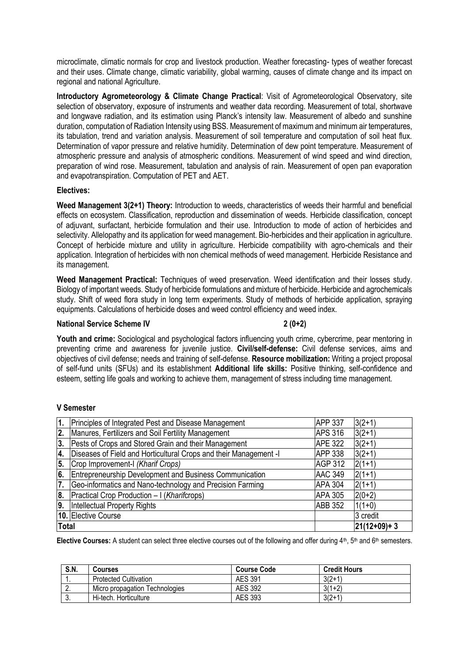microclimate, climatic normals for crop and livestock production. Weather forecasting- types of weather forecast and their uses. Climate change, climatic variability, global warming, causes of climate change and its impact on regional and national Agriculture.

**Introductory Agrometeorology & Climate Change Practical**: Visit of Agrometeorological Observatory, site selection of observatory, exposure of instruments and weather data recording. Measurement of total, shortwave and longwave radiation, and its estimation using Planck's intensity law. Measurement of albedo and sunshine duration, computation of Radiation Intensity using BSS. Measurement of maximum and minimum air temperatures, its tabulation, trend and variation analysis. Measurement of soil temperature and computation of soil heat flux. Determination of vapor pressure and relative humidity. Determination of dew point temperature. Measurement of atmospheric pressure and analysis of atmospheric conditions. Measurement of wind speed and wind direction, preparation of wind rose. Measurement, tabulation and analysis of rain. Measurement of open pan evaporation and evapotranspiration. Computation of PET and AET.

### **Electives:**

**Weed Management 3(2+1) Theory:** Introduction to weeds, characteristics of weeds their harmful and beneficial effects on ecosystem. Classification, reproduction and dissemination of weeds. Herbicide classification, concept of adjuvant, surfactant, herbicide formulation and their use. Introduction to mode of action of herbicides and selectivity. Allelopathy and its application for weed management. Bio-herbicides and their application in agriculture. Concept of herbicide mixture and utility in agriculture. Herbicide compatibility with agro-chemicals and their application. Integration of herbicides with non chemical methods of weed management. Herbicide Resistance and its management.

**Weed Management Practical:** Techniques of weed preservation. Weed identification and their losses study. Biology of important weeds. Study of herbicide formulations and mixture of herbicide. Herbicide and agrochemicals study. Shift of weed flora study in long term experiments. Study of methods of herbicide application, spraying equipments. Calculations of herbicide doses and weed control efficiency and weed index.

### **National Service Scheme IV** 2 (0+2)

Youth and crime: Sociological and psychological factors influencing youth crime, cybercrime, pear mentoring in preventing crime and awareness for juvenile justice. **Civil/self-defense:** Civil defense services, aims and objectives of civil defense; needs and training of self-defense. **Resource mobilization:** Writing a project proposal of self-fund units (SFUs) and its establishment **Additional life skills:** Positive thinking, self-confidence and esteem, setting life goals and working to achieve them, management of stress including time management.

### **V Semester**

| 1.           | Principles of Integrated Pest and Disease Management              | <b>APP 337</b> | $3(2+1)$    |
|--------------|-------------------------------------------------------------------|----------------|-------------|
| 2.           | Manures, Fertilizers and Soil Fertility Management                | <b>APS 316</b> | $3(2+1)$    |
| 3.           | Pests of Crops and Stored Grain and their Management              | <b>APE 322</b> | $3(2+1)$    |
| 4.           | Diseases of Field and Horticultural Crops and their Management -I | <b>APP 338</b> | $3(2+1)$    |
| 5.           | Crop Improvement-I (Kharif Crops)                                 | AGP 312        | $2(1+1)$    |
| 6.           | Entrepreneurship Development and Business Communication           | <b>AAC 349</b> | $2(1+1)$    |
| 7.           | Geo-informatics and Nano-technology and Precision Farming         | <b>APA 304</b> | $2(1+1)$    |
| 8.           | Practical Crop Production - I (Kharifcrops)                       | <b>APA 305</b> | $2(0+2)$    |
| 9.           | Intellectual Property Rights                                      | <b>ABB 352</b> | $1(1+0)$    |
|              | 10. Elective Course                                               |                | 3 credit    |
| <b>Total</b> |                                                                   |                | 21(12+09)+3 |

Elective Courses: A student can select three elective courses out of the following and offer during 4<sup>th</sup>, 5<sup>th</sup> and 6<sup>th</sup> semesters.

| S.N.     | Courses                        | <b>Course Code</b> | <b>Credit Hours</b> |
|----------|--------------------------------|--------------------|---------------------|
|          | <b>Protected Cultivation</b>   | <b>AES 391</b>     | $3(2+1)$            |
| <u>.</u> | Micro propagation Technologies | <b>AES 392</b>     | $3(1+2)$            |
| J.       | Hi-tech. Horticulture          | AES 393            | $3(2+1)$            |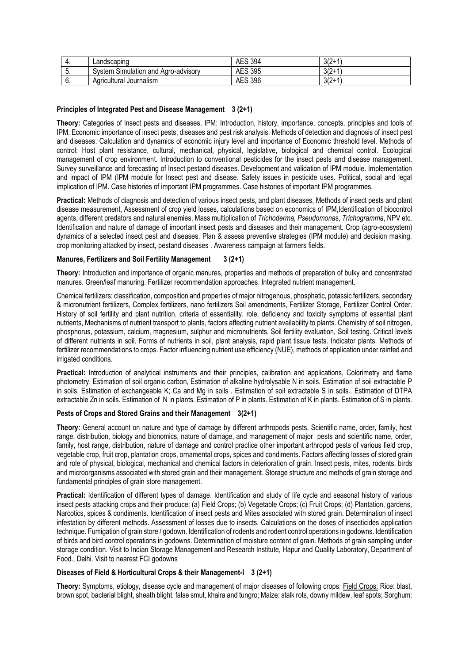| . . | Landscapınd                              | 394<br><b>AES</b> | $3/2+1$<br>ے ان   |
|-----|------------------------------------------|-------------------|-------------------|
| J.  | System Simulation and /<br>Agro-advisory | <b>AES 395</b>    | $3/2 + 1$<br>ے ان |
| v.  | Agricultural Journalism                  | <b>AES 396</b>    | $3/2 + 1$<br>ے اد |

### **Principles of Integrated Pest and Disease Management 3 (2+1)**

**Theory:** Categories of insect pests and diseases, IPM: Introduction, history, importance, concepts, principles and tools of IPM. Economic importance of insect pests, diseases and pest risk analysis. Methods of detection and diagnosis of insect pest and diseases. Calculation and dynamics of economic injury level and importance of Economic threshold level. Methods of control: Host plant resistance, cultural, mechanical, physical, legislative, biological and chemical control. Ecological management of crop environment. Introduction to conventional pesticides for the insect pests and disease management. Survey surveillance and forecasting of Insect pestand diseases. Development and validation of IPM module. Implementation and impact of IPM (IPM module for Insect pest and disease. Safety issues in pesticide uses. Political, social and legal implication of IPM. Case histories of important IPM programmes. Case histories of important IPM programmes.

**Practical:** Methods of diagnosis and detection of various insect pests, and plant diseases, Methods of insect pests and plant disease measurement, Assessment of crop yield losses, calculations based on economics of IPM,Identification of biocontrol agents, different predators and natural enemies. Mass multiplication of *Trichoderma, Pseudomona*s, *Trichogramma*, NPV etc. Identification and nature of damage of important insect pests and diseases and their management. Crop (agro-ecosystem) dynamics of a selected insect pest and diseases. Plan & assess preventive strategies (IPM module) and decision making. crop monitoring attacked by insect, pestand diseases . Awareness campaign at farmers fields.

### **Manures, Fertilizers and Soil Fertility Management 3 (2+1)**

**Theory:** Introduction and importance of organic manures, properties and methods of preparation of bulky and concentrated manures. Green/leaf manuring. Fertilizer recommendation approaches. Integrated nutrient management.

Chemical fertilizers: classification, composition and properties of major nitrogenous, phosphatic, potassic fertilizers, secondary & micronutrient fertilizers, Complex fertilizers, nano fertilizers Soil amendments, Fertilizer Storage, Fertilizer Control Order. History of soil fertility and plant nutrition. criteria of essentiality. role, deficiency and toxicity symptoms of essential plant nutrients, Mechanisms of nutrient transport to plants, factors affecting nutrient availability to plants. Chemistry of soil nitrogen, phosphorus, potassium, calcium, magnesium, sulphur and micronutrients. Soil fertility evaluation, Soil testing. Critical levels of different nutrients in soil. Forms of nutrients in soil, plant analysis, rapid plant tissue tests. Indicator plants. Methods of fertilizer recommendations to crops. Factor influencing nutrient use efficiency (NUE), methods of application under rainfed and irrigated conditions.

**Practical:** Introduction of analytical instruments and their principles, calibration and applications, Colorimetry and flame photometry. Estimation of soil organic carbon, Estimation of alkaline hydrolysable N in soils. Estimation of soil extractable P in soils. Estimation of exchangeable K; Ca and Mg in soils . Estimation of soil extractable S in soils.. Estimation of DTPA extractable Zn in soils. Estimation of N in plants. Estimation of P in plants. Estimation of K in plants. Estimation of S in plants.

### **Pests of Crops and Stored Grains and their Management 3(2+1)**

**Theory:** General account on nature and type of damage by different arthropods pests. Scientific name, order, family, host range, distribution, biology and bionomics, nature of damage, and management of major pests and scientific name, order, family, host range, distribution, nature of damage and control practice other important arthropod pests of various field crop, vegetable crop, fruit crop, plantation crops, ornamental crops, spices and condiments. Factors affecting losses of stored grain and role of physical, biological, mechanical and chemical factors in deterioration of grain. Insect pests, mites, rodents, birds and microorganisms associated with stored grain and their management. Storage structure and methods of grain storage and fundamental principles of grain store management.

**Practical:** Identification of different types of damage. Identification and study of life cycle and seasonal history of various insect pests attacking crops and their produce: (a) Field Crops; (b) Vegetable Crops; (c) Fruit Crops; (d) Plantation, gardens, Narcotics, spices & condiments. Identification of insect pests and Mites associated with stored grain. Determination of insect infestation by different methods. Assessment of losses due to insects. Calculations on the doses of insecticides application technique. Fumigation of grain store / godown. Identification of rodents and rodent control operations in godowns. Identification of birds and bird control operations in godowns. Determination of moisture content of grain. Methods of grain sampling under storage condition. Visit to Indian Storage Management and Research Institute, Hapur and Quality Laboratory, Department of Food., Delhi. Visit to nearest FCI godowns

### **Diseases of Field & Horticultural Crops & their Management-I 3 (2+1)**

**Theory:** Symptoms, etiology, disease cycle and management of major diseases of following crops: Field Crops: Rice: blast, brown spot, bacterial blight, sheath blight, false smut, khaira and tungro; Maize: stalk rots, downy mildew, leaf spots; Sorghum: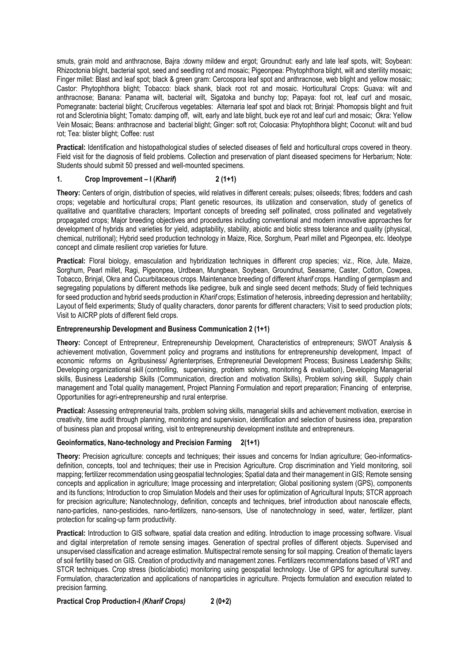smuts, grain mold and anthracnose, Bajra :downy mildew and ergot; Groundnut: early and late leaf spots, wilt; Soybean: Rhizoctonia blight, bacterial spot, seed and seedling rot and mosaic; Pigeonpea: Phytophthora blight, wilt and sterility mosaic; Finger millet: Blast and leaf spot; black & green gram: Cercospora leaf spot and anthracnose, web blight and yellow mosaic; Castor: Phytophthora blight; Tobacco: black shank, black root rot and mosaic. Horticultural Crops: Guava: wilt and anthracnose; Banana: Panama wilt, bacterial wilt, Sigatoka and bunchy top; Papaya: foot rot, leaf curl and mosaic, Pomegranate: bacterial blight; Cruciferous vegetables: Alternaria leaf spot and black rot; Brinjal: Phomopsis blight and fruit rot and Sclerotinia blight; Tomato: damping off, wilt, early and late blight, buck eye rot and leaf curl and mosaic; Okra: Yellow Vein Mosaic; Beans: anthracnose and bacterial blight; Ginger: soft rot; Colocasia: Phytophthora blight; Coconut: wilt and bud rot; Tea: blister blight; Coffee: rust

**Practical:** Identification and histopathological studies of selected diseases of field and horticultural crops covered in theory. Field visit for the diagnosis of field problems. Collection and preservation of plant diseased specimens for Herbarium; Note: Students should submit 50 pressed and well-mounted specimens.

### **1. Crop Improvement – I (***Kharif***) 2 (1+1)**

**Theory:** Centers of origin, distribution of species, wild relatives in different cereals; pulses; oilseeds; fibres; fodders and cash crops; vegetable and horticultural crops; Plant genetic resources, its utilization and conservation, study of genetics of qualitative and quantitative characters; Important concepts of breeding self pollinated, cross pollinated and vegetatively propagated crops; Major breeding objectives and procedures including conventional and modern innovative approaches for development of hybrids and varieties for yield, adaptability, stability, abiotic and biotic stress tolerance and quality (physical, chemical, nutritional); Hybrid seed production technology in Maize, Rice, Sorghum, Pearl millet and Pigeonpea, etc. Ideotype concept and climate resilient crop varieties for future.

**Practical:** Floral biology, emasculation and hybridization techniques in different crop species; viz., Rice, Jute, Maize, Sorghum, Pearl millet, Ragi, Pigeonpea, Urdbean, Mungbean, Soybean, Groundnut, Seasame, Caster, Cotton, Cowpea, Tobacco, Brinjal, Okra and Cucurbitaceous crops. Maintenance breeding of different *kharif* crops. Handling of germplasm and segregating populations by different methods like pedigree, bulk and single seed decent methods; Study of field techniques for seed production and hybrid seeds production in *Kharif* crops; Estimation of heterosis, inbreeding depression and heritability; Layout of field experiments; Study of quality characters, donor parents for different characters; Visit to seed production plots; Visit to AICRP plots of different field crops.

### **Entrepreneurship Development and Business Communication 2 (1+1)**

**Theory:** Concept of Entrepreneur, Entrepreneurship Development, Characteristics of entrepreneurs; SWOT Analysis & achievement motivation, Government policy and programs and institutions for entrepreneurship development, Impact of economic reforms on Agribusiness/ Agrienterprises, Entrepreneurial Development Process; Business Leadership Skills; Developing organizational skill (controlling, supervising, problem solving, monitoring & evaluation), Developing Managerial skills, Business Leadership Skills (Communication, direction and motivation Skills), Problem solving skill, Supply chain management and Total quality management, Project Planning Formulation and report preparation; Financing of enterprise, Opportunities for agri-entrepreneurship and rural enterprise.

**Practical:** Assessing entrepreneurial traits, problem solving skills, managerial skills and achievement motivation, exercise in creativity, time audit through planning, monitoring and supervision, identification and selection of business idea, preparation of business plan and proposal writing, visit to entrepreneurship development institute and entrepreneurs.

### **Geoinformatics, Nano-technology and Precision Farming 2(1+1)**

**Theory:** Precision agriculture: concepts and techniques; their issues and concerns for Indian agriculture; Geo-informaticsdefinition, concepts, tool and techniques; their use in Precision Agriculture. Crop discrimination and Yield monitoring, soil mapping; fertilizer recommendation using geospatial technologies; Spatial data and their management in GIS; Remote sensing concepts and application in agriculture; Image processing and interpretation; Global positioning system (GPS), components and its functions; Introduction to crop Simulation Models and their uses for optimization of Agricultural Inputs; STCR approach for precision agriculture; Nanotechnology, definition, concepts and techniques, brief introduction about nanoscale effects, nano-particles, nano-pesticides, nano-fertilizers, nano-sensors, Use of nanotechnology in seed, water, fertilizer, plant protection for scaling-up farm productivity.

**Practical:** Introduction to GIS software, spatial data creation and editing. Introduction to image processing software. Visual and digital interpretation of remote sensing images. Generation of spectral profiles of different objects. Supervised and unsupervised classification and acreage estimation. Multispectral remote sensing for soil mapping. Creation of thematic layers of soil fertility based on GIS. Creation of productivity and management zones. Fertilizers recommendations based of VRT and STCR techniques. Crop stress (biotic/abiotic) monitoring using geospatial technology. Use of GPS for agricultural survey. Formulation, characterization and applications of nanoparticles in agriculture. Projects formulation and execution related to precision farming.

### **Practical Crop Production-I** *(Kharif Crops)* **2 (0+2)**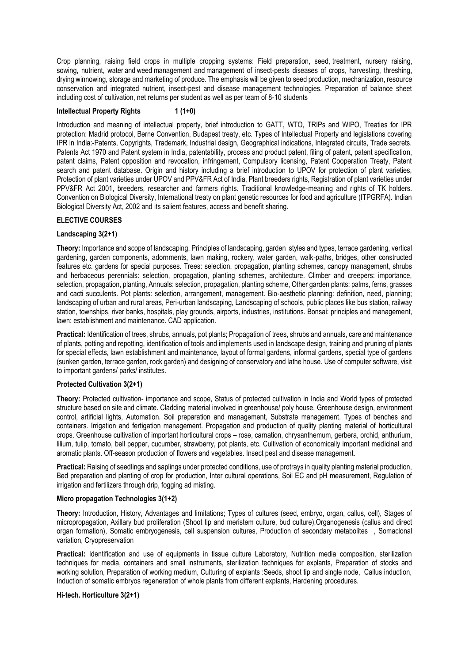Crop planning, raising field crops in multiple cropping systems: Field preparation, seed, treatment, nursery raising, sowing, nutrient, water and weed management and management of insect-pests diseases of crops, harvesting, threshing, drying winnowing, storage and marketing of produce. The emphasis will be given to seed production, mechanization, resource conservation and integrated nutrient, insect-pest and disease management technologies. Preparation of balance sheet including cost of cultivation, net returns per student as well as per team of 8-10 students

### **Intellectual Property Rights 1 (1+0)**

Introduction and meaning of intellectual property, brief introduction to GATT, WTO, TRIPs and WIPO, Treaties for IPR protection: Madrid protocol, Berne Convention, Budapest treaty, etc. Types of Intellectual Property and legislations covering IPR in India:-Patents, Copyrights, Trademark, Industrial design, Geographical indications, Integrated circuits, Trade secrets. Patents Act 1970 and Patent system in India, patentability, process and product patent, filing of patent, patent specification, patent claims, Patent opposition and revocation, infringement, Compulsory licensing, Patent Cooperation Treaty, Patent search and patent database. Origin and history including a brief introduction to UPOV for protection of plant varieties, Protection of plant varieties under UPOV and PPV&FR Act of India, Plant breeders rights, Registration of plant varieties under PPV&FR Act 2001, breeders, researcher and farmers rights. Traditional knowledge-meaning and rights of TK holders. Convention on Biological Diversity, International treaty on plant genetic resources for food and agriculture (ITPGRFA). Indian Biological Diversity Act, 2002 and its salient features, access and benefit sharing.

### **ELECTIVE COURSES**

### **Landscaping 3(2+1)**

**Theory:** Importance and scope of landscaping. Principles of landscaping, garden styles and types, terrace gardening, vertical gardening, garden components, adornments, lawn making, rockery, water garden, walk-paths, bridges, other constructed features etc. gardens for special purposes. Trees: selection, propagation, planting schemes, canopy management, shrubs and herbaceous perennials: selection, propagation, planting schemes, architecture. Climber and creepers: importance, selection, propagation, planting, Annuals: selection, propagation, planting scheme, Other garden plants: palms, ferns, grasses and cacti succulents. Pot plants: selection, arrangement, management. Bio-aesthetic planning: definition, need, planning; landscaping of urban and rural areas, Peri-urban landscaping, Landscaping of schools, public places like bus station, railway station, townships, river banks, hospitals, play grounds, airports, industries, institutions. Bonsai: principles and management, lawn: establishment and maintenance. CAD application.

**Practical:** Identification of trees, shrubs, annuals, pot plants; Propagation of trees, shrubs and annuals, care and maintenance of plants, potting and repotting, identification of tools and implements used in landscape design, training and pruning of plants for special effects, lawn establishment and maintenance, layout of formal gardens, informal gardens, special type of gardens (sunken garden, terrace garden, rock garden) and designing of conservatory and lathe house. Use of computer software, visit to important gardens/ parks/ institutes.

### **Protected Cultivation 3(2+1)**

**Theory:** Protected cultivation- importance and scope, Status of protected cultivation in India and World types of protected structure based on site and climate. Cladding material involved in greenhouse/ poly house. Greenhouse design, environment control, artificial lights, Automation. Soil preparation and management, Substrate management. Types of benches and containers. Irrigation and fertigation management. Propagation and production of quality planting material of horticultural crops. Greenhouse cultivation of important horticultural crops – rose, carnation, chrysanthemum, gerbera, orchid, anthurium, lilium, tulip, tomato, bell pepper, cucumber, strawberry, pot plants, etc. Cultivation of economically important medicinal and aromatic plants. Off-season production of flowers and vegetables. Insect pest and disease management.

**Practical:** Raising of seedlings and saplings under protected conditions, use of protrays in quality planting material production, Bed preparation and planting of crop for production, Inter cultural operations, Soil EC and pH measurement, Regulation of irrigation and fertilizers through drip, fogging ad misting.

#### **Micro propagation Technologies 3(1+2)**

**Theory:** Introduction, History, Advantages and limitations; Types of cultures (seed, embryo, organ, callus, cell), Stages of micropropagation, Axillary bud proliferation (Shoot tip and meristem culture, bud culture),Organogenesis (callus and direct organ formation), Somatic embryogenesis, cell suspension cultures, Production of secondary metabolites , Somaclonal variation, Cryopreservation

**Practical:** Identification and use of equipments in tissue culture Laboratory, Nutrition media composition, sterilization techniques for media, containers and small instruments, sterilization techniques for explants, Preparation of stocks and working solution, Preparation of working medium, Culturing of explants :Seeds, shoot tip and single node, Callus induction, Induction of somatic embryos regeneration of whole plants from different explants, Hardening procedures.

### **Hi-tech. Horticulture 3(2+1)**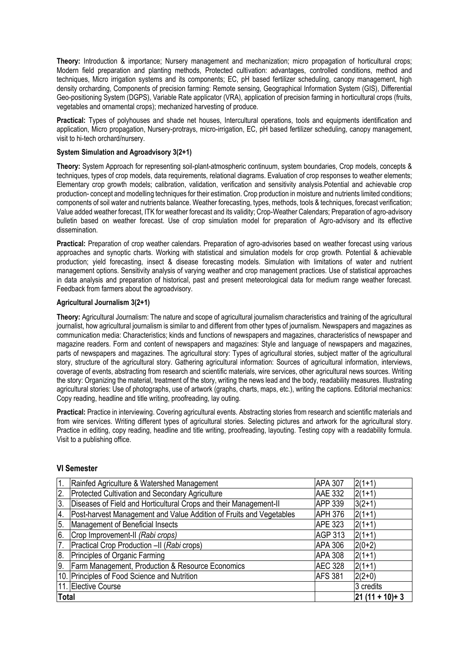**Theory:** Introduction & importance; Nursery management and mechanization; micro propagation of horticultural crops; Modern field preparation and planting methods, Protected cultivation: advantages, controlled conditions, method and techniques, Micro irrigation systems and its components; EC, pH based fertilizer scheduling, canopy management, high density orcharding, Components of precision farming: Remote sensing, Geographical Information System (GIS), Differential Geo-positioning System (DGPS), Variable Rate applicator (VRA), application of precision farming in horticultural crops (fruits, vegetables and ornamental crops); mechanized harvesting of produce.

**Practical:** Types of polyhouses and shade net houses, Intercultural operations, tools and equipments identification and application, Micro propagation, Nursery-protrays, micro-irrigation, EC, pH based fertilizer scheduling, canopy management, visit to hi-tech orchard/nursery.

### **System Simulation and Agroadvisory 3(2+1)**

**Theory:** System Approach for representing soil-plant-atmospheric continuum, system boundaries, Crop models, concepts & techniques, types of crop models, data requirements, relational diagrams. Evaluation of crop responses to weather elements; Elementary crop growth models; calibration, validation, verification and sensitivity analysis.Potential and achievable crop production- concept and modelling techniques for their estimation. Crop production in moisture and nutrients limited conditions; components of soil water and nutrients balance. Weather forecasting, types, methods, tools & techniques, forecast verification; Value added weather forecast, ITK for weather forecast and its validity; Crop-Weather Calendars; Preparation of agro-advisory bulletin based on weather forecast. Use of crop simulation model for preparation of Agro-advisory and its effective dissemination.

**Practical:** Preparation of crop weather calendars. Preparation of agro-advisories based on weather forecast using various approaches and synoptic charts. Working with statistical and simulation models for crop growth. Potential & achievable production; yield forecasting, insect & disease forecasting models. Simulation with limitations of water and nutrient management options. Sensitivity analysis of varying weather and crop management practices. Use of statistical approaches in data analysis and preparation of historical, past and present meteorological data for medium range weather forecast. Feedback from farmers about the agroadvisory.

### **Agricultural Journalism 3(2+1)**

**Theory:** Agricultural Journalism: The nature and scope of agricultural journalism characteristics and training of the agricultural journalist, how agricultural journalism is similar to and different from other types of journalism. Newspapers and magazines as communication media: Characteristics; kinds and functions of newspapers and magazines, characteristics of newspaper and magazine readers. Form and content of newspapers and magazines: Style and language of newspapers and magazines, parts of newspapers and magazines. The agricultural story: Types of agricultural stories, subject matter of the agricultural story, structure of the agricultural story. Gathering agricultural information: Sources of agricultural information, interviews, coverage of events, abstracting from research and scientific materials, wire services, other agricultural news sources. Writing the story: Organizing the material, treatment of the story, writing the news lead and the body, readability measures. Illustrating agricultural stories: Use of photographs, use of artwork (graphs, charts, maps, etc.), writing the captions. Editorial mechanics: Copy reading, headline and title writing, proofreading, lay outing.

**Practical:** Practice in interviewing. Covering agricultural events. Abstracting stories from research and scientific materials and from wire services. Writing different types of agricultural stories. Selecting pictures and artwork for the agricultural story. Practice in editing, copy reading, headline and title writing, proofreading, layouting. Testing copy with a readability formula. Visit to a publishing office.

### **VI Semester**

| 1.           | Rainfed Agriculture & Watershed Management                          | <b>APA 307</b> | $2(1+1)$            |
|--------------|---------------------------------------------------------------------|----------------|---------------------|
| 2.           | Protected Cultivation and Secondary Agriculture                     | <b>AAE 332</b> | $2(1+1)$            |
| 3.           | Diseases of Field and Horticultural Crops and their Management-II   | APP 339        | $3(2+1)$            |
| 4.           | Post-harvest Management and Value Addition of Fruits and Vegetables | <b>APH 376</b> | $2(1+1)$            |
| 5.           | Management of Beneficial Insects                                    | <b>APE 323</b> | $2(1+1)$            |
| 6.           | Crop Improvement-II (Rabi crops)                                    | AGP 313        | $2(1+1)$            |
| 17.          | Practical Crop Production -II (Rabi crops)                          | <b>APA 306</b> | $2(0+2)$            |
| 8.           | Principles of Organic Farming                                       | <b>APA 308</b> | $2(1+1)$            |
| 9.           | Farm Management, Production & Resource Economics                    | <b>AEC 328</b> | $2(1+1)$            |
|              | 10. Principles of Food Science and Nutrition                        | <b>AFS 381</b> | $2(2+0)$            |
|              | 11. Elective Course                                                 |                | 3 credits           |
| <b>Total</b> |                                                                     |                | $ 21 (11 + 10) + 3$ |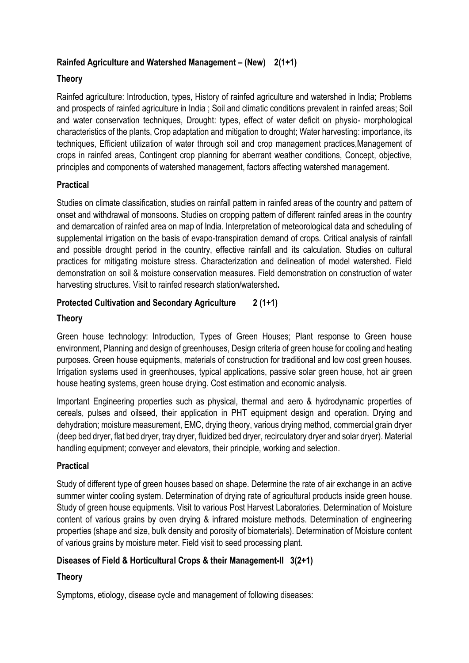# **Rainfed Agriculture and Watershed Management – (New) 2(1+1)**

# **Theory**

Rainfed agriculture: Introduction, types, History of rainfed agriculture and watershed in India; Problems and prospects of rainfed agriculture in India ; Soil and climatic conditions prevalent in rainfed areas; Soil and water conservation techniques, Drought: types, effect of water deficit on physio- morphological characteristics of the plants, Crop adaptation and mitigation to drought; Water harvesting: importance, its techniques, Efficient utilization of water through soil and crop management practices,Management of crops in rainfed areas, Contingent crop planning for aberrant weather conditions, Concept, objective, principles and components of watershed management, factors affecting watershed management.

# **Practical**

Studies on climate classification, studies on rainfall pattern in rainfed areas of the country and pattern of onset and withdrawal of monsoons. Studies on cropping pattern of different rainfed areas in the country and demarcation of rainfed area on map of India. Interpretation of meteorological data and scheduling of supplemental irrigation on the basis of evapo-transpiration demand of crops. Critical analysis of rainfall and possible drought period in the country, effective rainfall and its calculation. Studies on cultural practices for mitigating moisture stress. Characterization and delineation of model watershed. Field demonstration on soil & moisture conservation measures. Field demonstration on construction of water harvesting structures. Visit to rainfed research station/watershed**.**

# **Protected Cultivation and Secondary Agriculture 2 (1+1)**

# **Theory**

Green house technology: Introduction, Types of Green Houses; Plant response to Green house environment, Planning and design of greenhouses, Design criteria of green house for cooling and heating purposes. Green house equipments, materials of construction for traditional and low cost green houses. Irrigation systems used in greenhouses, typical applications, passive solar green house, hot air green house heating systems, green house drying. Cost estimation and economic analysis.

Important Engineering properties such as physical, thermal and aero & hydrodynamic properties of cereals, pulses and oilseed, their application in PHT equipment design and operation. Drying and dehydration; moisture measurement, EMC, drying theory, various drying method, commercial grain dryer (deep bed dryer, flat bed dryer, tray dryer, fluidized bed dryer, recirculatory dryer and solar dryer). Material handling equipment; conveyer and elevators, their principle, working and selection.

# **Practical**

Study of different type of green houses based on shape. Determine the rate of air exchange in an active summer winter cooling system. Determination of drying rate of agricultural products inside green house. Study of green house equipments. Visit to various Post Harvest Laboratories. Determination of Moisture content of various grains by oven drying & infrared moisture methods. Determination of engineering properties (shape and size, bulk density and porosity of biomaterials). Determination of Moisture content of various grains by moisture meter. Field visit to seed processing plant.

# **Diseases of Field & Horticultural Crops & their Management-II 3(2+1)**

# **Theory**

Symptoms, etiology, disease cycle and management of following diseases: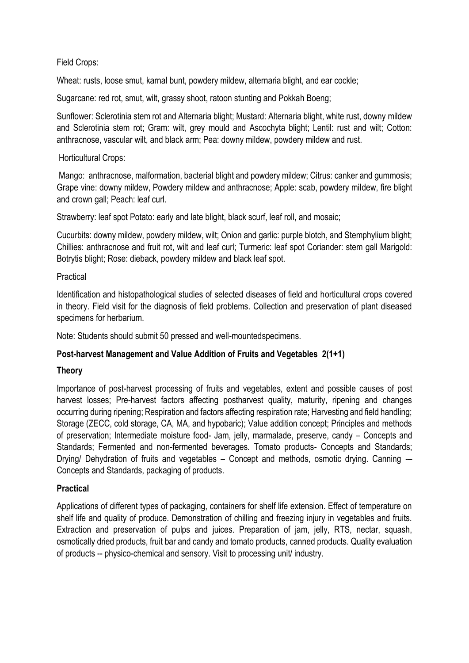# Field Crops:

Wheat: rusts, loose smut, karnal bunt, powdery mildew, alternaria blight, and ear cockle;

Sugarcane: red rot, smut, wilt, grassy shoot, ratoon stunting and Pokkah Boeng;

Sunflower: Sclerotinia stem rot and Alternaria blight; Mustard: Alternaria blight, white rust, downy mildew and Sclerotinia stem rot: Gram: wilt, grey mould and Ascochyta blight; Lentil: rust and wilt; Cotton; anthracnose, vascular wilt, and black arm; Pea: downy mildew, powdery mildew and rust.

## Horticultural Crops:

Mango: anthracnose, malformation, bacterial blight and powdery mildew; Citrus: canker and gummosis; Grape vine: downy mildew, Powdery mildew and anthracnose; Apple: scab, powdery mildew, fire blight and crown gall; Peach: leaf curl.

Strawberry: leaf spot Potato: early and late blight, black scurf, leaf roll, and mosaic;

Cucurbits: downy mildew, powdery mildew, wilt; Onion and garlic: purple blotch, and Stemphylium blight; Chillies: anthracnose and fruit rot, wilt and leaf curl; Turmeric: leaf spot Coriander: stem gall Marigold: Botrytis blight; Rose: dieback, powdery mildew and black leaf spot.

## Practical

Identification and histopathological studies of selected diseases of field and horticultural crops covered in theory. Field visit for the diagnosis of field problems. Collection and preservation of plant diseased specimens for herbarium.

Note: Students should submit 50 pressed and well-mountedspecimens.

# **Post-harvest Management and Value Addition of Fruits and Vegetables 2(1+1)**

### **Theory**

Importance of post-harvest processing of fruits and vegetables, extent and possible causes of post harvest losses; Pre-harvest factors affecting postharvest quality, maturity, ripening and changes occurring during ripening; Respiration and factors affecting respiration rate; Harvesting and field handling; Storage (ZECC, cold storage, CA, MA, and hypobaric); Value addition concept; Principles and methods of preservation; Intermediate moisture food- Jam, jelly, marmalade, preserve, candy – Concepts and Standards; Fermented and non-fermented beverages. Tomato products- Concepts and Standards; Drying/ Dehydration of fruits and vegetables – Concept and methods, osmotic drying. Canning -Concepts and Standards, packaging of products.

# **Practical**

Applications of different types of packaging, containers for shelf life extension. Effect of temperature on shelf life and quality of produce. Demonstration of chilling and freezing injury in vegetables and fruits. Extraction and preservation of pulps and juices. Preparation of jam, jelly, RTS, nectar, squash, osmotically dried products, fruit bar and candy and tomato products, canned products. Quality evaluation of products -- physico-chemical and sensory. Visit to processing unit/ industry.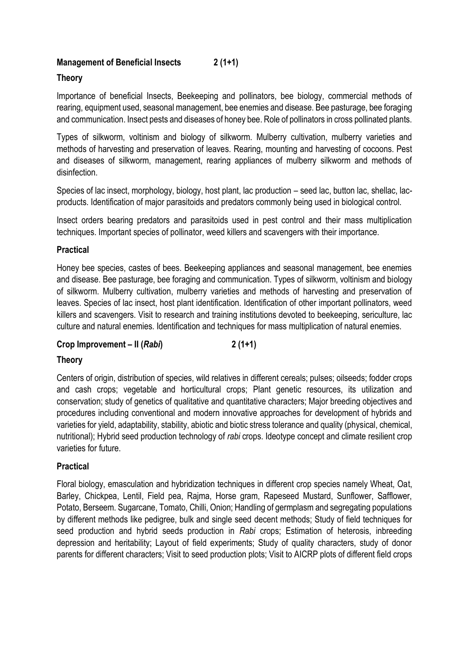# **Management of Beneficial Insects 2 (1+1)**

# **Theory**

Importance of beneficial Insects, Beekeeping and pollinators, bee biology, commercial methods of rearing, equipment used, seasonal management, bee enemies and disease. Bee pasturage, bee foraging and communication. Insect pests and diseases of honey bee. Role of pollinators in cross pollinated plants.

Types of silkworm, voltinism and biology of silkworm. Mulberry cultivation, mulberry varieties and methods of harvesting and preservation of leaves. Rearing, mounting and harvesting of cocoons. Pest and diseases of silkworm, management, rearing appliances of mulberry silkworm and methods of disinfection.

Species of lac insect, morphology, biology, host plant, lac production – seed lac, button lac, shellac, lacproducts. Identification of major parasitoids and predators commonly being used in biological control.

Insect orders bearing predators and parasitoids used in pest control and their mass multiplication techniques. Important species of pollinator, weed killers and scavengers with their importance.

# **Practical**

Honey bee species, castes of bees. Beekeeping appliances and seasonal management, bee enemies and disease. Bee pasturage, bee foraging and communication. Types of silkworm, voltinism and biology of silkworm. Mulberry cultivation, mulberry varieties and methods of harvesting and preservation of leaves. Species of lac insect, host plant identification. Identification of other important pollinators, weed killers and scavengers. Visit to research and training institutions devoted to beekeeping, sericulture, lac culture and natural enemies. Identification and techniques for mass multiplication of natural enemies.

# **Crop Improvement – II (***Rabi***) 2 (1+1)**

# **Theory**

Centers of origin, distribution of species, wild relatives in different cereals; pulses; oilseeds; fodder crops and cash crops; vegetable and horticultural crops; Plant genetic resources, its utilization and conservation; study of genetics of qualitative and quantitative characters; Major breeding objectives and procedures including conventional and modern innovative approaches for development of hybrids and varieties for yield, adaptability, stability, abiotic and biotic stress tolerance and quality (physical, chemical, nutritional); Hybrid seed production technology of *rabi* crops. Ideotype concept and climate resilient crop varieties for future.

# **Practical**

Floral biology, emasculation and hybridization techniques in different crop species namely Wheat, Oat, Barley, Chickpea, Lentil, Field pea, Rajma, Horse gram, Rapeseed Mustard, Sunflower, Safflower, Potato, Berseem. Sugarcane, Tomato, Chilli, Onion; Handling of germplasm and segregating populations by different methods like pedigree, bulk and single seed decent methods; Study of field techniques for seed production and hybrid seeds production in *Rabi* crops; Estimation of heterosis, inbreeding depression and heritability; Layout of field experiments; Study of quality characters, study of donor parents for different characters; Visit to seed production plots; Visit to AICRP plots of different field crops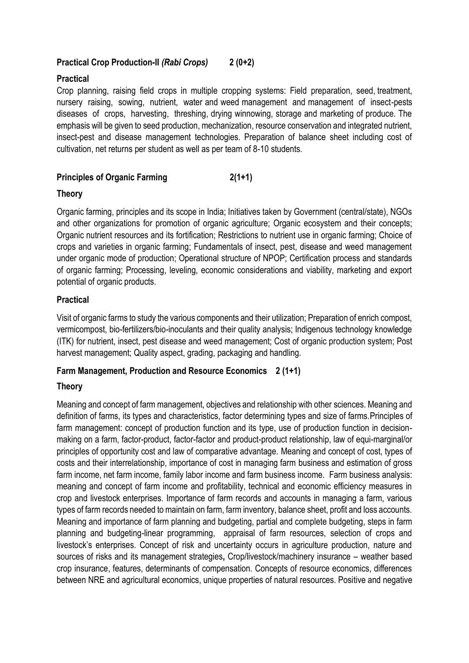# **Practical Crop Production-II** *(Rabi Crops)* **2 (0+2)**

# **Practical**

Crop planning, raising field crops in multiple cropping systems: Field preparation, seed, treatment, nursery raising, sowing, nutrient, water and weed management and management of insect-pests diseases of crops, harvesting, threshing, drying winnowing, storage and marketing of produce. The emphasis will be given to seed production, mechanization, resource conservation and integrated nutrient, insect-pest and disease management technologies. Preparation of balance sheet including cost of cultivation, net returns per student as well as per team of 8-10 students.

# **Principles of Organic Farming 2(1+1)**

## **Theory**

Organic farming, principles and its scope in India; Initiatives taken by Government (central/state), NGOs and other organizations for promotion of organic agriculture; Organic ecosystem and their concepts; Organic nutrient resources and its fortification; Restrictions to nutrient use in organic farming; Choice of crops and varieties in organic farming; Fundamentals of insect, pest, disease and weed management under organic mode of production; Operational structure of NPOP; Certification process and standards of organic farming; Processing, leveling, economic considerations and viability, marketing and export potential of organic products.

# **Practical**

Visit of organic farms to study the various components and their utilization; Preparation of enrich compost, vermicompost, bio-fertilizers/bio-inoculants and their quality analysis; Indigenous technology knowledge (ITK) for nutrient, insect, pest disease and weed management; Cost of organic production system; Post harvest management; Quality aspect, grading, packaging and handling.

# **Farm Management, Production and Resource Economics 2 (1+1)**

# **Theory**

Meaning and concept of farm management, objectives and relationship with other sciences. Meaning and definition of farms, its types and characteristics, factor determining types and size of farms.Principles of farm management: concept of production function and its type, use of production function in decisionmaking on a farm, factor-product, factor-factor and product-product relationship, law of equi-marginal/or principles of opportunity cost and law of comparative advantage. Meaning and concept of cost, types of costs and their interrelationship, importance of cost in managing farm business and estimation of gross farm income, net farm income, family labor income and farm business income. Farm business analysis: meaning and concept of farm income and profitability, technical and economic efficiency measures in crop and livestock enterprises. Importance of farm records and accounts in managing a farm, various types of farm records needed to maintain on farm, farm inventory, balance sheet, profit and loss accounts. Meaning and importance of farm planning and budgeting, partial and complete budgeting, steps in farm planning and budgeting-linear programming, appraisal of farm resources, selection of crops and livestock's enterprises. Concept of risk and uncertainty occurs in agriculture production, nature and sources of risks and its management strategies**,** Crop/livestock/machinery insurance – weather based crop insurance, features, determinants of compensation. Concepts of resource economics, differences between NRE and agricultural economics, unique properties of natural resources. Positive and negative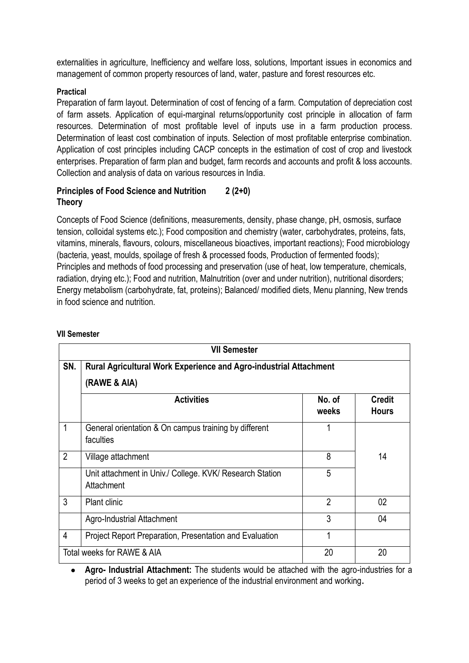externalities in agriculture, Inefficiency and welfare loss, solutions, Important issues in economics and management of common property resources of land, water, pasture and forest resources etc.

# **Practical**

Preparation of farm layout. Determination of cost of fencing of a farm. Computation of depreciation cost of farm assets. Application of equi-marginal returns/opportunity cost principle in allocation of farm resources. Determination of most profitable level of inputs use in a farm production process. Determination of least cost combination of inputs. Selection of most profitable enterprise combination. Application of cost principles including CACP concepts in the estimation of cost of crop and livestock enterprises. Preparation of farm plan and budget, farm records and accounts and profit & loss accounts. Collection and analysis of data on various resources in India.

# **Principles of Food Science and Nutrition 2 (2+0) Theory**

Concepts of Food Science (definitions, measurements, density, phase change, pH, osmosis, surface tension, colloidal systems etc.); Food composition and chemistry (water, carbohydrates, proteins, fats, vitamins, minerals, flavours, colours, miscellaneous bioactives, important reactions); Food microbiology (bacteria, yeast, moulds, spoilage of fresh & processed foods, Production of fermented foods); Principles and methods of food processing and preservation (use of heat, low temperature, chemicals, radiation, drying etc.); Food and nutrition, Malnutrition (over and under nutrition), nutritional disorders; Energy metabolism (carbohydrate, fat, proteins); Balanced/ modified diets, Menu planning, New trends in food science and nutrition.

|                                                                                                 | <b>VII Semester</b>                                                    |                 |                               |
|-------------------------------------------------------------------------------------------------|------------------------------------------------------------------------|-----------------|-------------------------------|
| SN.<br><b>Rural Agricultural Work Experience and Agro-industrial Attachment</b><br>(RAWE & AIA) |                                                                        |                 |                               |
|                                                                                                 | <b>Activities</b>                                                      | No. of<br>weeks | <b>Credit</b><br><b>Hours</b> |
| 1                                                                                               | General orientation & On campus training by different<br>faculties     |                 |                               |
| $\overline{2}$                                                                                  | Village attachment                                                     | 8               | 14                            |
|                                                                                                 | Unit attachment in Univ./ College. KVK/ Research Station<br>Attachment | 5               |                               |
| 3                                                                                               | <b>Plant clinic</b>                                                    | $\overline{2}$  | 02                            |
|                                                                                                 | <b>Agro-Industrial Attachment</b>                                      | 3               | 04                            |
| 4                                                                                               | Project Report Preparation, Presentation and Evaluation                |                 |                               |
|                                                                                                 | Total weeks for RAWE & AIA                                             | 20              | 20                            |

### **VII Semester**

• **Agro- Industrial Attachment:** The students would be attached with the agro-industries for a period of 3 weeks to get an experience of the industrial environment and working**.**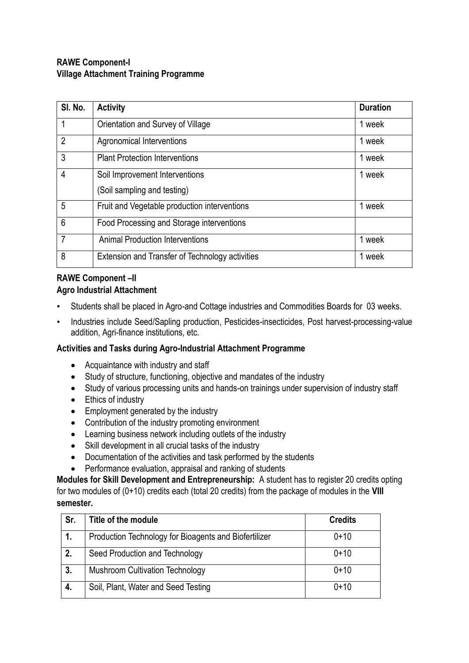# **RAWE Component-I Village Attachment Training Programme**

| SI. No.        | <b>Activity</b>                                        | <b>Duration</b> |
|----------------|--------------------------------------------------------|-----------------|
|                | Orientation and Survey of Village                      | 1 week          |
| $\overline{2}$ | Agronomical Interventions                              | 1 week          |
| 3              | <b>Plant Protection Interventions</b>                  | 1 week          |
| 4              | Soil Improvement Interventions                         | 1 week          |
|                | (Soil sampling and testing)                            |                 |
| 5              | Fruit and Vegetable production interventions           | 1 week          |
| 6              | Food Processing and Storage interventions              |                 |
| $\overline{7}$ | <b>Animal Production Interventions</b>                 | 1 week          |
| 8              | <b>Extension and Transfer of Technology activities</b> | 1 week          |

# **RAWE Component –II Agro Industrial Attachment**

- Students shall be placed in Agro-and Cottage industries and Commodities Boards for 03 weeks.
- Industries include Seed/Sapling production, Pesticides-insecticides, Post harvest-processing-value addition, Agri-finance institutions, etc.

# **Activities and Tasks during Agro-Industrial Attachment Programme**

- Acquaintance with industry and staff
- Study of structure, functioning, objective and mandates of the industry
- Study of various processing units and hands-on trainings under supervision of industry staff
- Ethics of industry
- Employment generated by the industry
- Contribution of the industry promoting environment
- Learning business network including outlets of the industry
- Skill development in all crucial tasks of the industry
- Documentation of the activities and task performed by the students
- Performance evaluation, appraisal and ranking of students

**Modules for Skill Development and Entrepreneurship:** A student has to register 20 credits opting for two modules of (0+10) credits each (total 20 credits) from the package of modules in the **VIII semester.**

| Sr. | Title of the module                                   | <b>Credits</b> |
|-----|-------------------------------------------------------|----------------|
|     | Production Technology for Bioagents and Biofertilizer | $0 + 10$       |
| 2.  | Seed Production and Technology                        | $0 + 10$       |
| 3.  | <b>Mushroom Cultivation Technology</b>                | $0 + 10$       |
| 4.  | Soil, Plant, Water and Seed Testing                   | $0 + 10$       |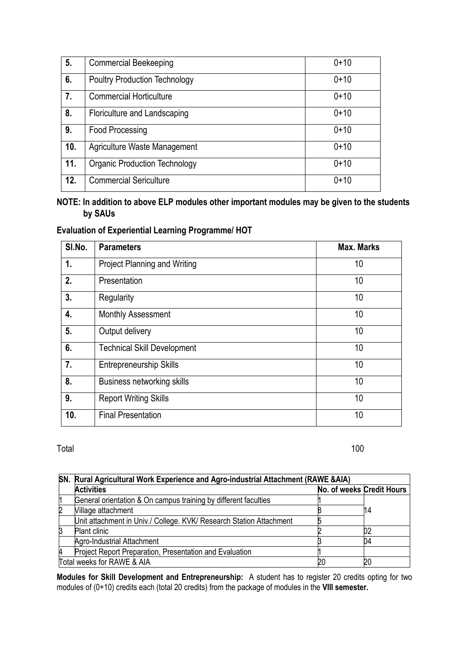| 5.  | <b>Commercial Beekeeping</b>         | $0 + 10$ |
|-----|--------------------------------------|----------|
| 6.  | <b>Poultry Production Technology</b> | $0 + 10$ |
| 7.  | <b>Commercial Horticulture</b>       | $0 + 10$ |
| 8.  | Floriculture and Landscaping         | $0 + 10$ |
| 9.  | Food Processing                      | $0 + 10$ |
| 10. | Agriculture Waste Management         | $0 + 10$ |
| 11. | <b>Organic Production Technology</b> | $0+10$   |
| 12. | <b>Commercial Sericulture</b>        | $0 + 10$ |

# **NOTE: In addition to above ELP modules other important modules may be given to the students by SAUs**

# **Evaluation of Experiential Learning Programme/ HOT**

| SI.No. | <b>Parameters</b>                   | <b>Max. Marks</b> |
|--------|-------------------------------------|-------------------|
| 1.     | <b>Project Planning and Writing</b> | 10                |
| 2.     | Presentation                        | 10                |
| 3.     | Regularity                          | 10                |
| 4.     | <b>Monthly Assessment</b>           | 10                |
| 5.     | Output delivery                     | 10                |
| 6.     | <b>Technical Skill Development</b>  | 10                |
| 7.     | <b>Entrepreneurship Skills</b>      | 10                |
| 8.     | <b>Business networking skills</b>   | 10                |
| 9.     | <b>Report Writing Skills</b>        | 10                |
| 10.    | <b>Final Presentation</b>           | 10                |

### Total 100

|   | SN. Rural Agricultural Work Experience and Agro-industrial Attachment (RAWE &AIA) |                           |    |  |
|---|-----------------------------------------------------------------------------------|---------------------------|----|--|
|   | <b>Activities</b>                                                                 | No. of weeks Credit Hours |    |  |
| 1 | General orientation & On campus training by different faculties                   |                           |    |  |
| 2 | Village attachment                                                                |                           | 14 |  |
|   | Unit attachment in Univ./ College. KVK/ Research Station Attachment               |                           |    |  |
| β | <b>Plant clinic</b>                                                               |                           |    |  |
|   | Agro-Industrial Attachment                                                        |                           | 04 |  |
| 4 | Project Report Preparation, Presentation and Evaluation                           |                           |    |  |
|   | Total weeks for RAWE & AIA                                                        |                           |    |  |

**Modules for Skill Development and Entrepreneurship:** A student has to register 20 credits opting for two modules of (0+10) credits each (total 20 credits) from the package of modules in the **VIII semester.**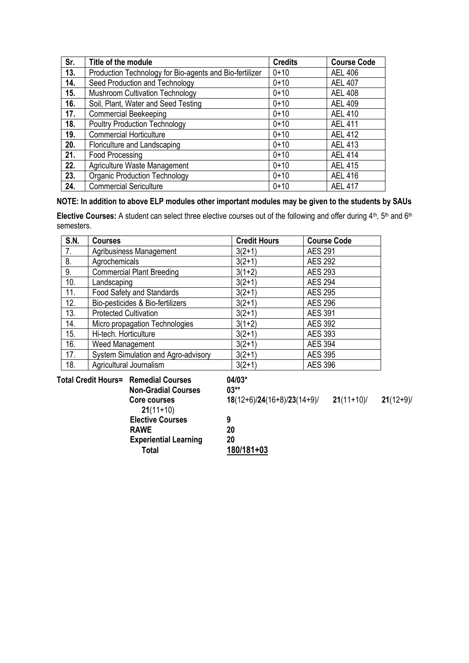| Sr. | Title of the module                                     | <b>Credits</b> | <b>Course Code</b> |
|-----|---------------------------------------------------------|----------------|--------------------|
| 13. | Production Technology for Bio-agents and Bio-fertilizer | $0 + 10$       | <b>AEL 406</b>     |
| 14. | Seed Production and Technology                          | $0 + 10$       | <b>AEL 407</b>     |
| 15. | <b>Mushroom Cultivation Technology</b>                  | $0 + 10$       | <b>AEL 408</b>     |
| 16. | Soil, Plant, Water and Seed Testing                     | $0 + 10$       | <b>AEL 409</b>     |
| 17. | <b>Commercial Beekeeping</b>                            | $0 + 10$       | <b>AEL 410</b>     |
| 18. | <b>Poultry Production Technology</b>                    | $0 + 10$       | <b>AEL 411</b>     |
| 19. | <b>Commercial Horticulture</b>                          | $0 + 10$       | <b>AEL 412</b>     |
| 20. | Floriculture and Landscaping                            | $0 + 10$       | <b>AEL 413</b>     |
| 21. | Food Processing                                         | $0 + 10$       | <b>AEL 414</b>     |
| 22. | Agriculture Waste Management                            | $0 + 10$       | <b>AEL 415</b>     |
| 23. | <b>Organic Production Technology</b>                    | $0 + 10$       | <b>AEL 416</b>     |
| 24. | <b>Commercial Sericulture</b>                           | $0 + 10$       | <b>AEL 417</b>     |

# **NOTE: In addition to above ELP modules other important modules may be given to the students by SAUs**

Elective Courses: A student can select three elective courses out of the following and offer during 4<sup>th</sup>, 5<sup>th</sup> and 6<sup>th</sup> semesters.

| <b>S.N.</b> | <b>Courses</b>                      | <b>Credit Hours</b> | <b>Course Code</b> |
|-------------|-------------------------------------|---------------------|--------------------|
| 7.          | <b>Agribusiness Management</b>      | $3(2+1)$            | <b>AES 291</b>     |
| 8.          | Agrochemicals                       | $3(2+1)$            | <b>AES 292</b>     |
| 9.          | <b>Commercial Plant Breeding</b>    | $3(1+2)$            | <b>AES 293</b>     |
| 10.         | Landscaping                         | $3(2+1)$            | <b>AES 294</b>     |
| 11.         | Food Safety and Standards           | $3(2+1)$            | <b>AES 295</b>     |
| 12.         | Bio-pesticides & Bio-fertilizers    | $3(2+1)$            | <b>AES 296</b>     |
| 13.         | <b>Protected Cultivation</b>        | $3(2+1)$            | <b>AES 391</b>     |
| 14.         | Micro propagation Technologies      | $3(1+2)$            | <b>AES 392</b>     |
| 15.         | Hi-tech. Horticulture               | $3(2+1)$            | AES 393            |
| 16.         | Weed Management                     | $3(2+1)$            | <b>AES 394</b>     |
| 17.         | System Simulation and Agro-advisory | $3(2+1)$            | <b>AES 395</b>     |
| 18.         | Agricultural Journalism             | $3(2+1)$            | <b>AES 396</b>     |

**Total Credit Hours= Remedial Courses 04/03\***

| <b>Non-Gradial Courses</b>   | $03^{**}$                    |             |            |
|------------------------------|------------------------------|-------------|------------|
| Core courses                 | $18(12+6)/24(16+8)/23(14+9)$ | $21(11+10)$ | $21(12+9)$ |
| $21(11+10)$                  |                              |             |            |
| <b>Elective Courses</b>      | 9                            |             |            |
| <b>RAWE</b>                  | 20                           |             |            |
| <b>Experiential Learning</b> | 20                           |             |            |
| Total                        | 180/181+03                   |             |            |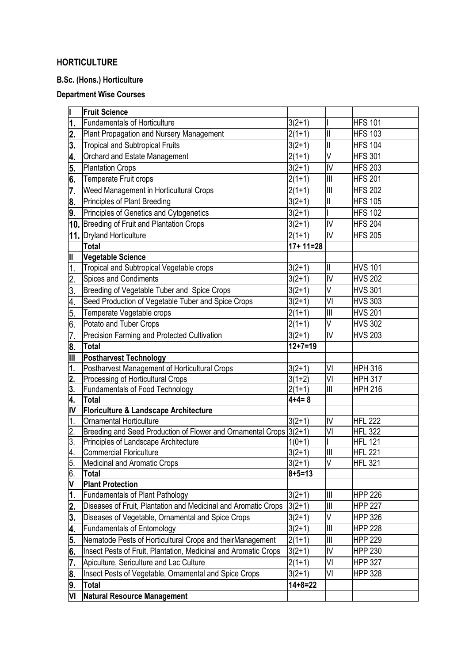# **HORTICULTURE**

# **B.Sc. (Hons.) Horticulture**

# **Department Wise Courses**

|                           | <b>Fruit Science</b>                                               |                          |                                                  |                |
|---------------------------|--------------------------------------------------------------------|--------------------------|--------------------------------------------------|----------------|
| 1.                        | <b>Fundamentals of Horticulture</b>                                | $3(2+1)$                 |                                                  | <b>HFS 101</b> |
| 2.                        | Plant Propagation and Nursery Management                           | $2(1+1)$                 | $\mathsf{II}$                                    | <b>HFS 103</b> |
| 3.                        | <b>Tropical and Subtropical Fruits</b>                             | $3(2+1)$                 | $\overline{\mathsf{I}}$                          | <b>HFS 104</b> |
| 4.                        | Orchard and Estate Management                                      | $2(1+1)$                 | V                                                | <b>HFS 301</b> |
| 5.                        | <b>Plantation Crops</b>                                            | $3(2+1)$                 | IV                                               | <b>HFS 203</b> |
| 6.                        | Temperate Fruit crops                                              | $2(1+1)$                 | Ш                                                | <b>HFS 201</b> |
| 7.                        | Weed Management in Horticultural Crops                             | $2(1+1)$                 | III                                              | <b>HFS 202</b> |
| 8.                        | Principles of Plant Breeding                                       | $3(2+1)$                 | $\mathsf{II}$                                    | <b>HFS 105</b> |
| 9.                        | Principles of Genetics and Cytogenetics                            | $3(2+1)$                 |                                                  | <b>HFS 102</b> |
|                           | 10. Breeding of Fruit and Plantation Crops                         | $3(2+1)$                 | IV                                               | <b>HFS 204</b> |
|                           | 11. Dryland Horticulture                                           | $2(1+1)$                 | IV                                               | <b>HFS 205</b> |
|                           | <b>Total</b>                                                       | $17+11=28$               |                                                  |                |
| Ш                         | Vegetable Science                                                  |                          |                                                  |                |
| 1.                        | Tropical and Subtropical Vegetable crops                           | $3(2+1)$                 | II                                               | <b>HVS 101</b> |
| 2.                        | <b>Spices and Condiments</b>                                       | $3(2+1)$                 | IV                                               | <b>HVS 202</b> |
| 3.                        | Breeding of Vegetable Tuber and Spice Crops                        | $3(2+1)$                 | V                                                | <b>HVS 301</b> |
| 4.                        | Seed Production of Vegetable Tuber and Spice Crops                 | $3(2+1)$                 | VI                                               | <b>HVS 303</b> |
| 5.                        | Temperate Vegetable crops                                          | $2(1+1)$                 | III                                              | <b>HVS 201</b> |
| 6.                        | Potato and Tuber Crops                                             | $2(1+1)$                 | V                                                | <b>HVS 302</b> |
| 7.                        | Precision Farming and Protected Cultivation                        | $3(2+1)$                 | IV                                               | <b>HVS 203</b> |
| 8.                        | Total                                                              | $12 + 7 = 19$            |                                                  |                |
| III                       | <b>Postharvest Technology</b>                                      |                          |                                                  |                |
| 1.                        | Postharvest Management of Horticultural Crops                      | $3(2+1)$                 | VI                                               | <b>HPH 316</b> |
| $\overline{\mathbf{2}}$ . | Processing of Horticultural Crops                                  | $3(1+2)$                 | VI                                               | <b>HPH 317</b> |
| 3.                        | Fundamentals of Food Technology                                    | $\overline{2}(1+1)$      | Ш                                                | <b>HPH 216</b> |
| 4.                        | <b>Total</b>                                                       | $4 + 4 = 8$              |                                                  |                |
| IV                        | Floriculture & Landscape Architecture                              |                          |                                                  |                |
| 1.                        | Ornamental Horticulture                                            | $3(2+1)$                 | IV                                               | <b>HFL 222</b> |
| 2.                        | Breeding and Seed Production of Flower and Ornamental Crops 3(2+1) |                          | VI                                               | <b>HFL 322</b> |
| 3.                        | Principles of Landscape Architecture                               | $1(0+1)$                 |                                                  | <b>HFL 121</b> |
| 4.                        | Commercial Floriculture                                            | $3(2+1)$                 | $\begin{array}{c} \hline \text{III} \end{array}$ | <b>HFL 221</b> |
| 15.<br>6.                 | Medicinal and Aromatic Crops<br><b>Total</b>                       | $3(2+1)$<br>$8 + 5 = 13$ | V                                                | <b>HFL 321</b> |
| V                         | <b>Plant Protection</b>                                            |                          |                                                  |                |
| 1.                        | <b>Fundamentals of Plant Pathology</b>                             | $3(2+1)$                 | $\mathsf{III}$                                   | <b>HPP 226</b> |
| $\overline{\mathbf{2}}$ . | Diseases of Fruit, Plantation and Medicinal and Aromatic Crops     | $3(2+1)$                 | Ш                                                | <b>HPP 227</b> |
| 3.                        | Diseases of Vegetable, Ornamental and Spice Crops                  | $3(2+1)$                 | V                                                | <b>HPP 326</b> |
| 4.                        | <b>Fundamentals of Entomology</b>                                  | $3(2+1)$                 | III                                              | <b>HPP 228</b> |
| 5.                        | Nematode Pests of Horticultural Crops and theirManagement          | $2(1+1)$                 | Ш                                                | <b>HPP 229</b> |
| 6.                        | Insect Pests of Fruit, Plantation, Medicinal and Aromatic Crops    | $3(2+1)$                 | IV                                               | <b>HPP 230</b> |
| 7.                        | Apiculture, Sericulture and Lac Culture                            | $2(1+1)$                 | VI                                               | <b>HPP 327</b> |
| 8.                        | Insect Pests of Vegetable, Ornamental and Spice Crops              | $3(2+1)$                 | VI                                               | <b>HPP 328</b> |
| 9.                        | <b>Total</b>                                                       | $14 + 8 = 22$            |                                                  |                |
| VI                        | Natural Resource Management                                        |                          |                                                  |                |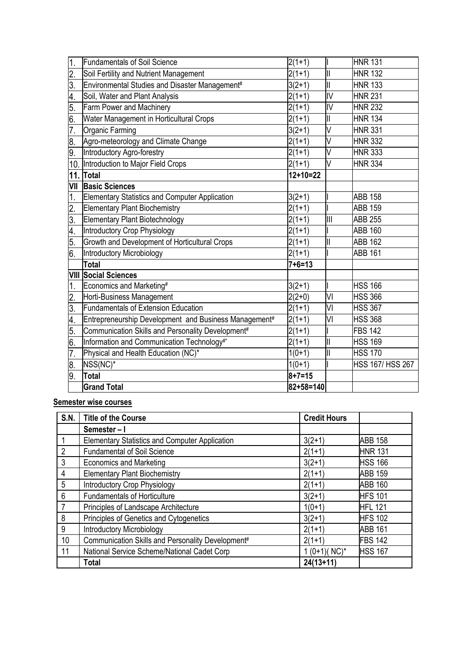| $\mathbf 1$      | <b>Fundamentals of Soil Science</b>                   | $2(1+1)$     |                         | <b>HNR 131</b>          |
|------------------|-------------------------------------------------------|--------------|-------------------------|-------------------------|
| $\overline{2}$ . | Soil Fertility and Nutrient Management                | $2(1+1)$     | $\mathbf{II}$           | <b>HNR 132</b>          |
| 3.               | Environmental Studies and Disaster Management#        | $3(2+1)$     | Ш                       | <b>HNR 133</b>          |
| 4.               | Soil, Water and Plant Analysis                        | $2(1+1)$     | Ī                       | <b>HNR 231</b>          |
| 5.               | Farm Power and Machinery                              | $2(1+1)$     | IV                      | <b>HNR 232</b>          |
| 6.               | Water Management in Horticultural Crops               | $2(1+1)$     | $\mathbf{II}$           | <b>HNR 134</b>          |
| 7.               | <b>Organic Farming</b>                                | $3(2+1)$     | V                       | <b>HNR 331</b>          |
| 8.               | Agro-meteorology and Climate Change                   | $2(1+1)$     | V                       | <b>HNR 332</b>          |
| 9.               | Introductory Agro-forestry                            | $2(1+1)$     | V                       | <b>HNR 333</b>          |
| 10.              | Introduction to Major Field Crops                     | $2(1+1)$     | V                       | <b>HNR 334</b>          |
| 11.              | Total                                                 | $12+10=22$   |                         |                         |
| VII              | <b>Basic Sciences</b>                                 |              |                         |                         |
| 1.               | <b>Elementary Statistics and Computer Application</b> | $3(2+1)$     |                         | <b>ABB 158</b>          |
| $\overline{2}$ . | <b>Elementary Plant Biochemistry</b>                  | $2(1+1)$     |                         | <b>ABB 159</b>          |
| 3.               | Elementary Plant Biotechnology                        | $2(1+1)$     | III                     | <b>ABB 255</b>          |
| 4.               | Introductory Crop Physiology                          | $2(1+1)$     |                         | <b>ABB 160</b>          |
| 5.               | Growth and Development of Horticultural Crops         | $2(1+1)$     | $\mathbf{  }$           | <b>ABB 162</b>          |
| 6.               | Introductory Microbiology                             | $2(1+1)$     |                         | <b>ABB 161</b>          |
|                  | <b>Total</b>                                          | $7 + 6 = 13$ |                         |                         |
|                  | <b>VIII Social Sciences</b>                           |              |                         |                         |
| 1.               | Economics and Marketing#                              | $3(2+1)$     |                         | <b>HSS 166</b>          |
| $\overline{2}$ . | Horti-Business Management                             | $2(2+0)$     | VI                      | <b>HSS 366</b>          |
| 3.               | <b>Fundamentals of Extension Education</b>            | $2(1+1)$     | VI                      | <b>HSS 367</b>          |
| 4.               | Entrepreneurship Development and Business Management# | $2(1+1)$     | VI                      | <b>HSS 368</b>          |
| 5                | Communication Skills and Personality Development#     | $2(1+1)$     |                         | <b>FBS 142</b>          |
| 6.               | Information and Communication Technology#*            | $2(1+1)$     | $\overline{\mathbb{I}}$ | <b>HSS 169</b>          |
| $\overline{7}$   | Physical and Health Education (NC)*                   | $1(0+1)$     | $\mathbf{II}$           | <b>HSS 170</b>          |
| œ.               | NSS(NC)*                                              | $1(0+1)$     |                         | <b>HSS 167/ HSS 267</b> |
| 9.               | <b>Total</b>                                          | $8 + 7 = 15$ |                         |                         |
|                  | <b>Grand Total</b>                                    | 82+58=140    |                         |                         |

# **Semester wise courses**

| S.N.           | <b>Title of the Course</b>                            | <b>Credit Hours</b> |                |
|----------------|-------------------------------------------------------|---------------------|----------------|
|                | Semester-I                                            |                     |                |
|                | <b>Elementary Statistics and Computer Application</b> | $3(2+1)$            | <b>ABB 158</b> |
| $\overline{2}$ | <b>Fundamental of Soil Science</b>                    | $2(1+1)$            | <b>HNR 131</b> |
| 3              | <b>Economics and Marketing</b>                        | $3(2+1)$            | <b>HSS 166</b> |
| $\overline{4}$ | <b>Elementary Plant Biochemistry</b>                  | $2(1+1)$            | <b>ABB 159</b> |
| 5              | <b>Introductory Crop Physiology</b>                   | $2(1+1)$            | <b>ABB 160</b> |
| 6              | <b>Fundamentals of Horticulture</b>                   | $3(2+1)$            | <b>HFS 101</b> |
|                | Principles of Landscape Architecture                  | $1(0+1)$            | <b>HFL 121</b> |
| 8              | Principles of Genetics and Cytogenetics               | $3(2+1)$            | <b>HFS 102</b> |
| 9              | <b>Introductory Microbiology</b>                      | $2(1+1)$            | <b>ABB 161</b> |
| 10             | Communication Skills and Personality Development#     | $2(1+1)$            | <b>FBS 142</b> |
| 11             | National Service Scheme/National Cadet Corp           | $1(0+1)(NC)^{*}$    | <b>HSS 167</b> |
|                | <b>Total</b>                                          | $24(13+11)$         |                |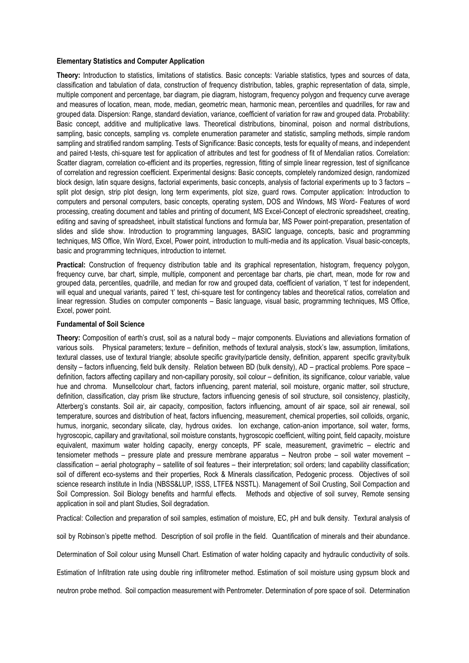#### **Elementary Statistics and Computer Application**

**Theory:** Introduction to statistics, limitations of statistics. Basic concepts: Variable statistics, types and sources of data, classification and tabulation of data, construction of frequency distribution, tables, graphic representation of data, simple, multiple component and percentage, bar diagram, pie diagram, histogram, frequency polygon and frequency curve average and measures of location, mean, mode, median, geometric mean, harmonic mean, percentiles and quadrilles, for raw and grouped data. Dispersion: Range, standard deviation, variance, coefficient of variation for raw and grouped data. Probability: Basic concept, additive and multiplicative laws. Theoretical distributions, binominal, poison and normal distributions, sampling, basic concepts, sampling vs. complete enumeration parameter and statistic, sampling methods, simple random sampling and stratified random sampling. Tests of Significance: Basic concepts, tests for equality of means, and independent and paired t-tests, chi-square test for application of attributes and test for goodness of fit of Mendalian ratios. Correlation: Scatter diagram, correlation co-efficient and its properties, regression, fitting of simple linear regression, test of significance of correlation and regression coefficient. Experimental designs: Basic concepts, completely randomized design, randomized block design, latin square designs, factorial experiments, basic concepts, analysis of factorial experiments up to 3 factors – split plot design, strip plot design, long term experiments, plot size, guard rows. Computer application: Introduction to computers and personal computers, basic concepts, operating system, DOS and Windows, MS Word- Features of word processing, creating document and tables and printing of document, MS Excel-Concept of electronic spreadsheet, creating, editing and saving of spreadsheet, inbuilt statistical functions and formula bar, MS Power point-preparation, presentation of slides and slide show. Introduction to programming languages, BASIC language, concepts, basic and programming techniques, MS Office, Win Word, Excel, Power point, introduction to multi-media and its application. Visual basic-concepts, basic and programming techniques, introduction to internet.

**Practical:** Construction of frequency distribution table and its graphical representation, histogram, frequency polygon, frequency curve, bar chart, simple, multiple, component and percentage bar charts, pie chart, mean, mode for row and grouped data, percentiles, quadrille, and median for row and grouped data, coefficient of variation, 't' test for independent, will equal and unequal variants, paired 't' test, chi-square test for contingency tables and theoretical ratios, correlation and linear regression. Studies on computer components – Basic language, visual basic, programming techniques, MS Office, Excel, power point.

#### **Fundamental of Soil Science**

**Theory:** Composition of earth's crust, soil as a natural body – major components. Eluviations and alleviations formation of various soils. Physical parameters; texture – definition, methods of textural analysis, stock's law, assumption, limitations, textural classes, use of textural triangle; absolute specific gravity/particle density, definition, apparent specific gravity/bulk density – factors influencing, field bulk density. Relation between BD (bulk density), AD – practical problems. Pore space – definition, factors affecting capillary and non-capillary porosity, soil colour – definition, its significance, colour variable, value hue and chroma. Munsellcolour chart, factors influencing, parent material, soil moisture, organic matter, soil structure, definition, classification, clay prism like structure, factors influencing genesis of soil structure, soil consistency, plasticity, Atterberg's constants. Soil air, air capacity, composition, factors influencing, amount of air space, soil air renewal, soil temperature, sources and distribution of heat, factors influencing, measurement, chemical properties, soil colloids, organic, humus, inorganic, secondary silicate, clay, hydrous oxides. Ion exchange, cation-anion importance, soil water, forms, hygroscopic, capillary and gravitational, soil moisture constants, hygroscopic coefficient, wilting point, field capacity, moisture equivalent, maximum water holding capacity, energy concepts, PF scale, measurement, gravimetric – electric and tensiometer methods – pressure plate and pressure membrane apparatus – Neutron probe – soil water movement – classification – aerial photography – satellite of soil features – their interpretation; soil orders; land capability classification; soil of different eco-systems and their properties, Rock & Minerals classification, Pedogenic process. Objectives of soil science research institute in India (NBSS&LUP, ISSS, LTFE& NSSTL). Management of Soil Crusting, Soil Compaction and Soil Compression. Soil Biology benefits and harmful effects. Methods and objective of soil survey, Remote sensing application in soil and plant Studies, Soil degradation.

Practical: Collection and preparation of soil samples, estimation of moisture, EC, pH and bulk density. Textural analysis of

soil by Robinson's pipette method. Description of soil profile in the field. Quantification of minerals and their abundance.

Determination of Soil colour using Munsell Chart. Estimation of water holding capacity and hydraulic conductivity of soils.

Estimation of Infiltration rate using double ring infiltrometer method. Estimation of soil moisture using gypsum block and

neutron probe method. Soil compaction measurement with Pentrometer. Determination of pore space of soil. Determination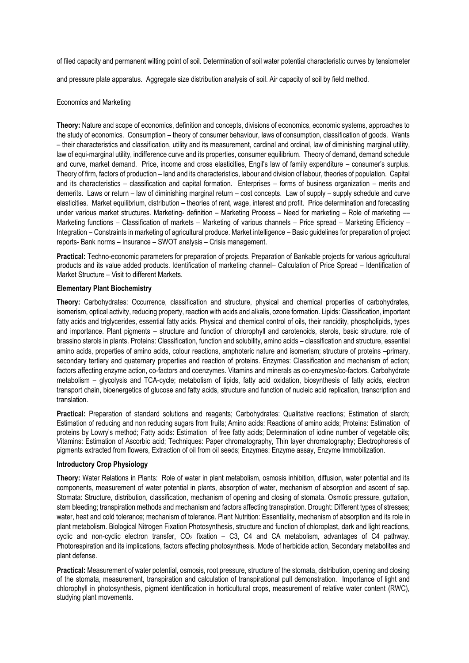of filed capacity and permanent wilting point of soil. Determination of soil water potential characteristic curves by tensiometer

and pressure plate apparatus. Aggregate size distribution analysis of soil. Air capacity of soil by field method.

#### Economics and Marketing

**Theory:** Nature and scope of economics, definition and concepts, divisions of economics, economic systems, approaches to the study of economics. Consumption – theory of consumer behaviour, laws of consumption, classification of goods. Wants – their characteristics and classification, utility and its measurement, cardinal and ordinal, law of diminishing marginal utility, law of equi-marginal utility, indifference curve and its properties, consumer equilibrium. Theory of demand, demand schedule and curve, market demand. Price, income and cross elasticities, Engil's law of family expenditure – consumer's surplus. Theory of firm, factors of production – land and its characteristics, labour and division of labour, theories of population. Capital and its characteristics – classification and capital formation. Enterprises – forms of business organization – merits and demerits. Laws or return – law of diminishing marginal return – cost concepts. Law of supply – supply schedule and curve elasticities. Market equilibrium, distribution – theories of rent, wage, interest and profit. Price determination and forecasting under various market structures. Marketing- definition – Marketing Process – Need for marketing – Role of marketing -Marketing functions – Classification of markets – Marketing of various channels – Price spread – Marketing Efficiency – Integration – Constraints in marketing of agricultural produce. Market intelligence – Basic guidelines for preparation of project reports- Bank norms – Insurance – SWOT analysis – Crisis management.

**Practical:** Techno-economic parameters for preparation of projects. Preparation of Bankable projects for various agricultural products and its value added products. Identification of marketing channel– Calculation of Price Spread – Identification of Market Structure – Visit to different Markets.

#### **Elementary Plant Biochemistry**

**Theory:** Carbohydrates: Occurrence, classification and structure, physical and chemical properties of carbohydrates, isomerism, optical activity, reducing property, reaction with acids and alkalis, ozone formation. Lipids: Classification, important fatty acids and triglycerides, essential fatty acids. Physical and chemical control of oils, their rancidity, phospholipids, types and importance. Plant pigments – structure and function of chlorophyll and carotenoids, sterols, basic structure, role of brassino sterols in plants. Proteins: Classification, function and solubility, amino acids – classification and structure, essential amino acids, properties of amino acids, colour reactions, amphoteric nature and isomerism; structure of proteins –primary, secondary tertiary and quaternary properties and reaction of proteins. Enzymes: Classification and mechanism of action; factors affecting enzyme action, co-factors and coenzymes. Vitamins and minerals as co-enzymes/co-factors. Carbohydrate metabolism – glycolysis and TCA-cycle; metabolism of lipids, fatty acid oxidation, biosynthesis of fatty acids, electron transport chain, bioenergetics of glucose and fatty acids, structure and function of nucleic acid replication, transcription and translation.

**Practical:** Preparation of standard solutions and reagents; Carbohydrates: Qualitative reactions; Estimation of starch; Estimation of reducing and non reducing sugars from fruits; Amino acids: Reactions of amino acids; Proteins: Estimation of proteins by Lowry's method; Fatty acids: Estimation of free fatty acids; Determination of iodine number of vegetable oils; Vitamins: Estimation of Ascorbic acid; Techniques: Paper chromatography, Thin layer chromatography; Electrophoresis of pigments extracted from flowers, Extraction of oil from oil seeds; Enzymes: Enzyme assay, Enzyme Immobilization.

#### **Introductory Crop Physiology**

**Theory:** Water Relations in Plants: Role of water in plant metabolism, osmosis inhibition, diffusion, water potential and its components, measurement of water potential in plants, absorption of water, mechanism of absorption and ascent of sap. Stomata: Structure, distribution, classification, mechanism of opening and closing of stomata. Osmotic pressure, guttation, stem bleeding; transpiration methods and mechanism and factors affecting transpiration. Drought: Different types of stresses; water, heat and cold tolerance; mechanism of tolerance. Plant Nutrition: Essentiality, mechanism of absorption and its role in plant metabolism. Biological Nitrogen Fixation Photosynthesis, structure and function of chloroplast, dark and light reactions, cyclic and non-cyclic electron transfer,  $CO<sub>2</sub>$  fixation – C3, C4 and CA metabolism, advantages of C4 pathway. Photorespiration and its implications, factors affecting photosynthesis. Mode of herbicide action, Secondary metabolites and plant defense.

**Practical:** Measurement of water potential, osmosis, root pressure, structure of the stomata, distribution, opening and closing of the stomata, measurement, transpiration and calculation of transpirational pull demonstration. Importance of light and chlorophyll in photosynthesis, pigment identification in horticultural crops, measurement of relative water content (RWC), studying plant movements.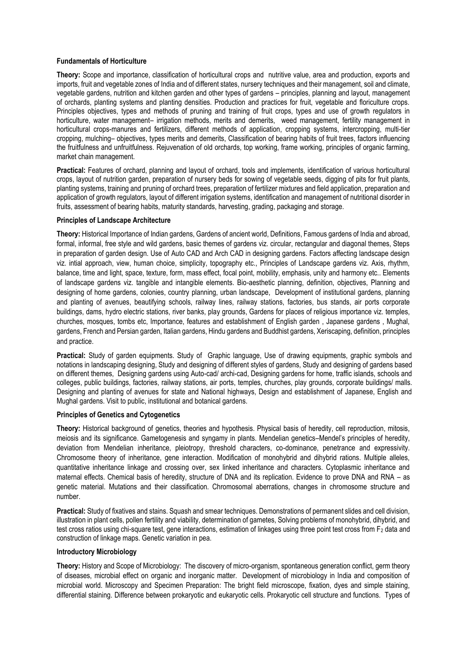#### **Fundamentals of Horticulture**

**Theory:** Scope and importance, classification of horticultural crops and nutritive value, area and production, exports and imports, fruit and vegetable zones of India and of different states, nursery techniques and their management, soil and climate, vegetable gardens, nutrition and kitchen garden and other types of gardens – principles, planning and layout, management of orchards, planting systems and planting densities. Production and practices for fruit, vegetable and floriculture crops. Principles objectives, types and methods of pruning and training of fruit crops, types and use of growth regulators in horticulture, water management– irrigation methods, merits and demerits, weed management, fertility management in horticultural crops-manures and fertilizers, different methods of application, cropping systems, intercropping, multi-tier cropping, mulching– objectives, types merits and demerits, Classification of bearing habits of fruit trees, factors influencing the fruitfulness and unfruitfulness. Rejuvenation of old orchards, top working, frame working, principles of organic farming, market chain management.

**Practical:** Features of orchard, planning and layout of orchard, tools and implements, identification of various horticultural crops, layout of nutrition garden, preparation of nursery beds for sowing of vegetable seeds, digging of pits for fruit plants, planting systems, training and pruning of orchard trees, preparation of fertilizer mixtures and field application, preparation and application of growth regulators, layout of different irrigation systems, identification and management of nutritional disorder in fruits, assessment of bearing habits, maturity standards, harvesting, grading, packaging and storage.

### **Principles of Landscape Architecture**

**Theory:** Historical Importance of Indian gardens, Gardens of ancient world, Definitions, Famous gardens of India and abroad, formal, informal, free style and wild gardens, basic themes of gardens viz. circular, rectangular and diagonal themes, Steps in preparation of garden design. Use of Auto CAD and Arch CAD in designing gardens. Factors affecting landscape design viz. intial approach, view, human choice, simplicity, topography etc., Principles of Landscape gardens viz. Axis, rhythm, balance, time and light, space, texture, form, mass effect, focal point, mobility, emphasis, unity and harmony etc.. Elements of landscape gardens viz. tangible and intangible elements. Bio-aesthetic planning, definition, objectives, Planning and designing of home gardens, colonies, country planning, urban landscape, Development of institutional gardens, planning and planting of avenues, beautifying schools, railway lines, railway stations, factories, bus stands, air ports corporate buildings, dams, hydro electric stations, river banks, play grounds, Gardens for places of religious importance viz. temples, churches, mosques, tombs etc, Importance, features and establishment of English garden , Japanese gardens , Mughal, gardens, French and Persian garden, Italian gardens, Hindu gardens and Buddhist gardens, Xeriscaping, definition, principles and practice.

**Practical:** Study of garden equipments. Study of Graphic language, Use of drawing equipments, graphic symbols and notations in landscaping designing, Study and designing of different styles of gardens, Study and designing of gardens based on different themes, Designing gardens using Auto-cad/ archi-cad, Designing gardens for home, traffic islands, schools and colleges, public buildings, factories, railway stations, air ports, temples, churches, play grounds, corporate buildings/ malls. Designing and planting of avenues for state and National highways, Design and establishment of Japanese, English and Mughal gardens. Visit to public, institutional and botanical gardens.

#### **Principles of Genetics and Cytogenetics**

**Theory:** Historical background of genetics, theories and hypothesis. Physical basis of heredity, cell reproduction, mitosis, meiosis and its significance. Gametogenesis and syngamy in plants. Mendelian genetics–Mendel's principles of heredity, deviation from Mendelian inheritance, pleiotropy, threshold characters, co-dominance, penetrance and expressivity. Chromosome theory of inheritance, gene interaction. Modification of monohybrid and dihybrid rations. Multiple alleles, quantitative inheritance linkage and crossing over, sex linked inheritance and characters. Cytoplasmic inheritance and maternal effects. Chemical basis of heredity, structure of DNA and its replication. Evidence to prove DNA and RNA – as genetic material. Mutations and their classification. Chromosomal aberrations, changes in chromosome structure and number.

**Practical:** Study of fixatives and stains. Squash and smear techniques. Demonstrations of permanent slides and cell division, illustration in plant cells, pollen fertility and viability, determination of gametes, Solving problems of monohybrid, dihybrid, and test cross ratios using chi-square test, gene interactions, estimation of linkages using three point test cross from F<sub>2</sub> data and construction of linkage maps. Genetic variation in pea.

#### **Introductory Microbiology**

**Theory:** History and Scope of Microbiology: The discovery of micro-organism, spontaneous generation conflict, germ theory of diseases, microbial effect on organic and inorganic matter. Development of microbiology in India and composition of microbial world. Microscopy and Specimen Preparation: The bright field microscope, fixation, dyes and simple staining, differential staining. Difference between prokaryotic and eukaryotic cells. Prokaryotic cell structure and functions. Types of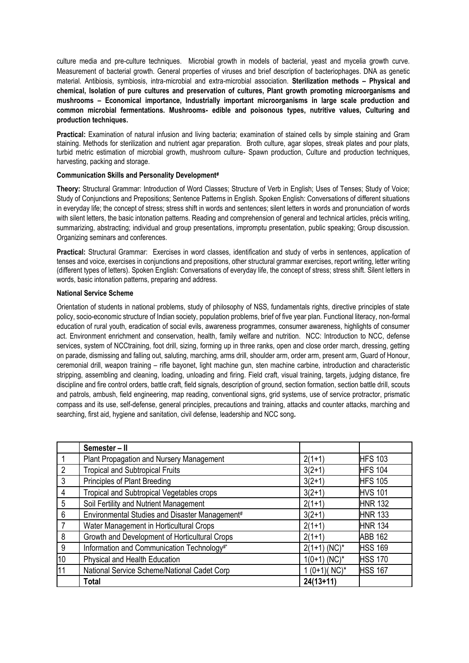culture media and pre-culture techniques. Microbial growth in models of bacterial, yeast and mycelia growth curve. Measurement of bacterial growth. General properties of viruses and brief description of bacteriophages. DNA as genetic material. Antibiosis, symbiosis, intra-microbial and extra-microbial association. **Sterilization methods – Physical and chemical, Isolation of pure cultures and preservation of cultures, Plant growth promoting microorganisms and mushrooms – Economical importance, Industrially important microorganisms in large scale production and common microbial fermentations. Mushrooms- edible and poisonous types, nutritive values, Culturing and production techniques.**

Practical: Examination of natural infusion and living bacteria; examination of stained cells by simple staining and Gram staining. Methods for sterilization and nutrient agar preparation. Broth culture, agar slopes, streak plates and pour plats, turbid metric estimation of microbial growth, mushroom culture- Spawn production, Culture and production techniques, harvesting, packing and storage.

### **Communication Skills and Personality Development#**

**Theory:** Structural Grammar: Introduction of Word Classes; Structure of Verb in English; Uses of Tenses; Study of Voice; Study of Conjunctions and Prepositions; Sentence Patterns in English. Spoken English: Conversations of different situations in everyday life; the concept of stress; stress shift in words and sentences; silent letters in words and pronunciation of words with silent letters, the basic intonation patterns. Reading and comprehension of general and technical articles, précis writing, summarizing, abstracting; individual and group presentations, impromptu presentation, public speaking; Group discussion. Organizing seminars and conferences.

**Practical:** Structural Grammar: Exercises in word classes, identification and study of verbs in sentences, application of tenses and voice, exercises in conjunctions and prepositions, other structural grammar exercises, report writing, letter writing (different types of letters). Spoken English: Conversations of everyday life, the concept of stress; stress shift. Silent letters in words, basic intonation patterns, preparing and address.

### **National Service Scheme**

Orientation of students in national problems, study of philosophy of NSS, fundamentals rights, directive principles of state policy, socio-economic structure of Indian society, population problems, brief of five year plan. Functional literacy, non-formal education of rural youth, eradication of social evils, awareness programmes, consumer awareness, highlights of consumer act. Environment enrichment and conservation, health, family welfare and nutrition. NCC: Introduction to NCC, defense services, system of NCCtraining, foot drill, sizing, forming up in three ranks, open and close order march, dressing, getting on parade, dismissing and falling out, saluting, marching, arms drill, shoulder arm, order arm, present arm, Guard of Honour, ceremonial drill, weapon training – rifle bayonet, light machine gun, sten machine carbine, introduction and characteristic stripping, assembling and cleaning, loading, unloading and firing. Field craft, visual training, targets, judging distance, fire discipline and fire control orders, battle craft, field signals, description of ground, section formation, section battle drill, scouts and patrols, ambush, field engineering, map reading, conventional signs, grid systems, use of service protractor, prismatic compass and its use, self-defense, general principles, precautions and training, attacks and counter attacks, marching and searching, first aid, hygiene and sanitation, civil defense, leadership and NCC song**.** 

|                | Semester - II                                  |                  |                |
|----------------|------------------------------------------------|------------------|----------------|
|                | Plant Propagation and Nursery Management       | $2(1+1)$         | <b>HFS 103</b> |
| $\overline{2}$ | <b>Tropical and Subtropical Fruits</b>         | $3(2+1)$         | <b>HFS 104</b> |
| 3              | Principles of Plant Breeding                   | $3(2+1)$         | <b>HFS 105</b> |
| 4              | Tropical and Subtropical Vegetables crops      | $3(2+1)$         | <b>HVS 101</b> |
| 5              | Soil Fertility and Nutrient Management         | $2(1+1)$         | <b>HNR 132</b> |
| 6              | Environmental Studies and Disaster Management# | $3(2+1)$         | <b>HNR 133</b> |
|                | Water Management in Horticultural Crops        | $2(1+1)$         | <b>HNR 134</b> |
| 8              | Growth and Development of Horticultural Crops  | $2(1+1)$         | <b>ABB 162</b> |
| 9              | Information and Communication Technology#*     | $2(1+1)$ (NC)*   | <b>HSS 169</b> |
| 10             | Physical and Health Education                  | $1(0+1)$ (NC)*   | <b>HSS 170</b> |
| 11             | National Service Scheme/National Cadet Corp    | $1(0+1)(NC)^{*}$ | <b>HSS 167</b> |
|                | <b>Total</b>                                   | $24(13+11)$      |                |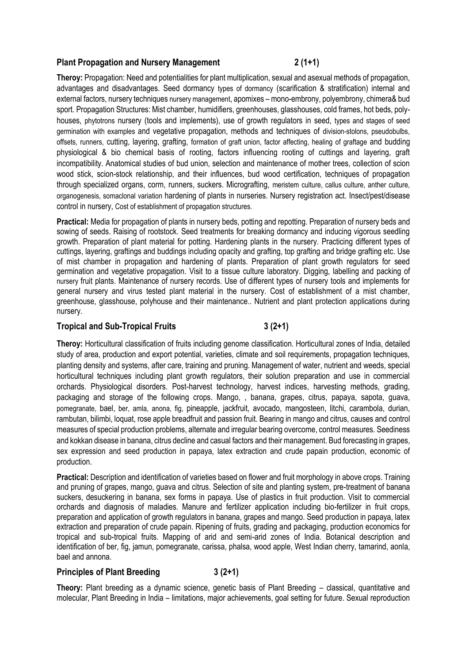### **Plant Propagation and Nursery Management 2 (1+1)**

**Theroy:** Propagation: Need and potentialities for plant multiplication, sexual and asexual methods of propagation, advantages and disadvantages. Seed dormancy types of dormancy (scarification & stratification) internal and external factors, nursery techniques nursery management, apomixes – mono-embrony, polyembrony, chimera& bud sport. Propagation Structures: Mist chamber, humidifiers, greenhouses, glasshouses, cold frames, hot beds, polyhouses, phytotrons nursery (tools and implements), use of growth regulators in seed, types and stages of seed germination with examples and vegetative propagation, methods and techniques of division-stolons, pseudobulbs, offsets, runners, cutting, layering, grafting, formation of graft union, factor affecting, healing of graftage and budding physiological & bio chemical basis of rooting, factors influencing rooting of cuttings and layering, graft incompatibility. Anatomical studies of bud union, selection and maintenance of mother trees, collection of scion wood stick, scion-stock relationship, and their influences, bud wood certification, techniques of propagation through specialized organs, corm, runners, suckers. Micrografting, meristem culture, callus culture, anther culture, organogenesis, somaclonal variation hardening of plants in nurseries. Nursery registration act. Insect/pest/disease control in nursery, Cost of establishment of propagation structures.

**Practical:** Media for propagation of plants in nursery beds, potting and repotting. Preparation of nursery beds and sowing of seeds. Raising of rootstock. Seed treatments for breaking dormancy and inducing vigorous seedling growth. Preparation of plant material for potting. Hardening plants in the nursery. Practicing different types of cuttings, layering, graftings and buddings including opacity and grafting, top grafting and bridge grafting etc. Use of mist chamber in propagation and hardening of plants. Preparation of plant growth regulators for seed germination and vegetative propagation. Visit to a tissue culture laboratory. Digging, labelling and packing of nursery fruit plants. Maintenance of nursery records. Use of different types of nursery tools and implements for general nursery and virus tested plant material in the nursery. Cost of establishment of a mist chamber, greenhouse, glasshouse, polyhouse and their maintenance.. Nutrient and plant protection applications during nursery.

### **Tropical and Sub-Tropical Fruits 3 (2+1)**

**Theroy:** Horticultural classification of fruits including genome classification. Horticultural zones of India, detailed study of area, production and export potential, varieties, climate and soil requirements, propagation techniques, planting density and systems, after care, training and pruning. Management of water, nutrient and weeds, special horticultural techniques including plant growth regulators, their solution preparation and use in commercial orchards. Physiological disorders. Post-harvest technology, harvest indices, harvesting methods, grading, packaging and storage of the following crops. Mango, , banana, grapes, citrus, papaya, sapota, guava, pomegranate, bael, ber, amla, anona, fig, pineapple, jackfruit, avocado, mangosteen, litchi, carambola, durian, rambutan, bilimbi, loquat, rose apple breadfruit and passion fruit. Bearing in mango and citrus, causes and control measures of special production problems, alternate and irregular bearing overcome, control measures. Seediness and kokkan disease in banana, citrus decline and casual factors and their management. Bud forecasting in grapes, sex expression and seed production in papaya, latex extraction and crude papain production, economic of production.

**Practical:** Description and identification of varieties based on flower and fruit morphology in above crops. Training and pruning of grapes, mango, guava and citrus. Selection of site and planting system, pre-treatment of banana suckers, desuckering in banana, sex forms in papaya. Use of plastics in fruit production. Visit to commercial orchards and diagnosis of maladies. Manure and fertilizer application including bio-fertilizer in fruit crops, preparation and application of growth regulators in banana, grapes and mango. Seed production in papaya, latex extraction and preparation of crude papain. Ripening of fruits, grading and packaging, production economics for tropical and sub-tropical fruits. Mapping of arid and semi-arid zones of India. Botanical description and identification of ber, fig, jamun, pomegranate, carissa, phalsa, wood apple, West Indian cherry, tamarind, aonla, bael and annona.

### Principles of Plant Breeding 3 (2+1)

**Theory:** Plant breeding as a dynamic science, genetic basis of Plant Breeding – classical, quantitative and molecular, Plant Breeding in India – limitations, major achievements, goal setting for future. Sexual reproduction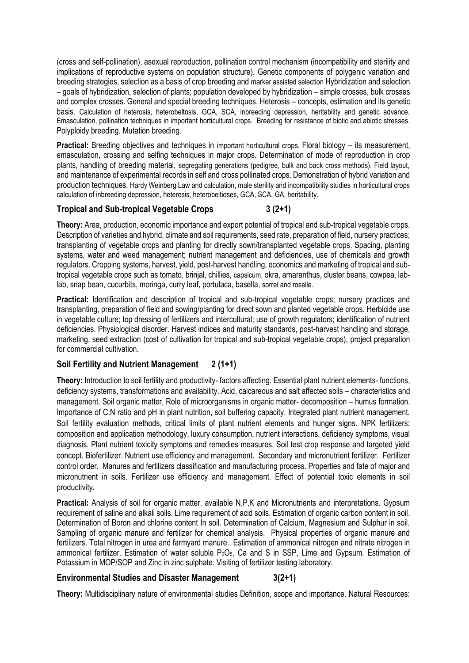(cross and self-pollination), asexual reproduction, pollination control mechanism (incompatibility and sterility and implications of reproductive systems on population structure). Genetic components of polygenic variation and breeding strategies, selection as a basis of crop breeding and marker assisted selection Hybridization and selection – goals of hybridization, selection of plants; population developed by hybridization – simple crosses, bulk crosses and complex crosses. General and special breeding techniques. Heterosis – concepts, estimation and its genetic basis. Calculation of heterosis, heterobeltosis, GCA, SCA, inbreeding depression, heritability and genetic advance. Emasculation, pollination techniques in important horticultural crops. Breeding for resistance of biotic and abiotic stresses. Polyploidy breeding. Mutation breeding.

**Practical:** Breeding objectives and techniques in important horticultural crops. Floral biology – its measurement, emasculation, crossing and selfing techniques in major crops. Determination of mode of reproduction in crop plants, handling of breeding material, segregating generations (pedigree, bulk and back cross methods), Field layout, and maintenance of experimental records in self and cross pollinated crops. Demonstration of hybrid variation and production techniques. Hardy Weinberg Law and calculation, male sterility and incompatibility studies in horticultural crops calculation of inbreeding depression, heterosis, heterobeltioses, GCA, SCA, GA, heritability.

## **Tropical and Sub-tropical Vegetable Crops 3 (2+1)**

**Theory:** Area, production, economic importance and export potential of tropical and sub-tropical vegetable crops. Description of varieties and hybrid, climate and soil requirements, seed rate, preparation of field, nursery practices; transplanting of vegetable crops and planting for directly sown/transplanted vegetable crops. Spacing, planting systems, water and weed management; nutrient management and deficiencies, use of chemicals and growth regulators. Cropping systems, harvest, yield, post-harvest handling, economics and marketing of tropical and subtropical vegetable crops such as tomato, brinjal, chillies, capsicum, okra, amaranthus, cluster beans, cowpea, lablab, snap bean, cucurbits, moringa, curry leaf, portulaca, basella, sorrel and roselle.

**Practical:** Identification and description of tropical and sub-tropical vegetable crops; nursery practices and transplanting, preparation of field and sowing/planting for direct sown and planted vegetable crops. Herbicide use in vegetable culture; top dressing of fertilizers and intercultural; use of growth regulators; identification of nutrient deficiencies. Physiological disorder. Harvest indices and maturity standards, post-harvest handling and storage, marketing, seed extraction (cost of cultivation for tropical and sub-tropical vegetable crops), project preparation for commercial cultivation.

### **Soil Fertility and Nutrient Management 2 (1+1)**

**Theory:** Introduction to soil fertility and productivity- factors affecting. Essential plant nutrient elements- functions, deficiency systems, transformations and availability. Acid, calcareous and salt affected soils – characteristics and management. Soil organic matter, Role of microorganisms in organic matter- decomposition – humus formation. Importance of C:N ratio and pH in plant nutrition, soil buffering capacity. Integrated plant nutrient management. Soil fertility evaluation methods, critical limits of plant nutrient elements and hunger signs. NPK fertilizers: composition and application methodology, luxury consumption, nutrient interactions, deficiency symptoms, visual diagnosis. Plant nutrient toxicity symptoms and remedies measures. Soil test crop response and targeted yield concept. Biofertilizer. Nutrient use efficiency and management. Secondary and micronutrient fertilizer. Fertilizer control order. Manures and fertilizers classification and manufacturing process. Properties and fate of major and micronutrient in soils. Fertilizer use efficiency and management. Effect of potential toxic elements in soil productivity.

**Practical:** Analysis of soil for organic matter, available N,P,K and Micronutrients and interpretations. Gypsum requirement of saline and alkali soils. Lime requirement of acid soils. Estimation of organic carbon content in soil. Determination of Boron and chlorine content In soil. Determination of Calcium, Magnesium and Sulphur in soil. Sampling of organic manure and fertilizer for chemical analysis. Physical properties of organic manure and fertilizers. Total nitrogen in urea and farmyard manure. Estimation of ammonical nitrogen and nitrate nitrogen in ammonical fertilizer. Estimation of water soluble  $P_2O_5$ , Ca and S in SSP, Lime and Gypsum. Estimation of Potassium in MOP/SOP and Zinc in zinc sulphate. Visiting of fertilizer testing laboratory.

### **Environmental Studies and Disaster Management 3(2+1)**

**Theory:** Multidisciplinary nature of environmental studies Definition, scope and importance. Natural Resources: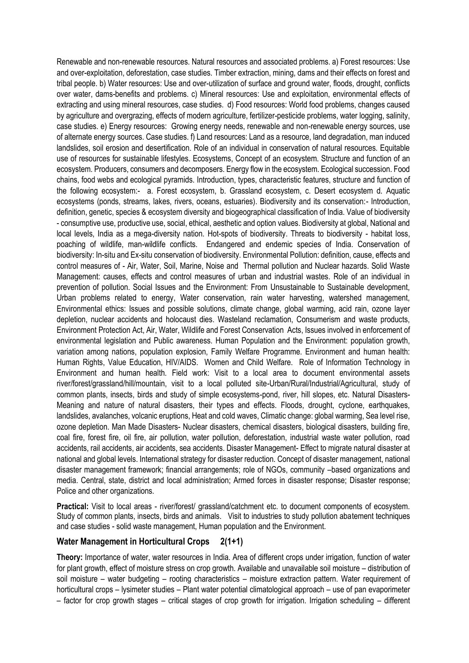Renewable and non-renewable resources. Natural resources and associated problems. a) Forest resources: Use and over-exploitation, deforestation, case studies. Timber extraction, mining, dams and their effects on forest and tribal people. b) Water resources: Use and over-utilization of surface and ground water, floods, drought, conflicts over water, dams-benefits and problems. c) Mineral resources: Use and exploitation, environmental effects of extracting and using mineral resources, case studies. d) Food resources: World food problems, changes caused by agriculture and overgrazing, effects of modern agriculture, fertilizer-pesticide problems, water logging, salinity, case studies. e) Energy resources: Growing energy needs, renewable and non-renewable energy sources, use of alternate energy sources. Case studies. f) Land resources: Land as a resource, land degradation, man induced landslides, soil erosion and desertification. Role of an individual in conservation of natural resources. Equitable use of resources for sustainable lifestyles. Ecosystems, Concept of an ecosystem. Structure and function of an ecosystem. Producers, consumers and decomposers. Energy flow in the ecosystem. Ecological succession. Food chains, food webs and ecological pyramids. Introduction, types, characteristic features, structure and function of the following ecosystem:- a. Forest ecosystem, b. Grassland ecosystem, c. Desert ecosystem d. Aquatic ecosystems (ponds, streams, lakes, rivers, oceans, estuaries). Biodiversity and its conservation:- Introduction, definition, genetic, species & ecosystem diversity and biogeographical classification of India. Value of biodiversity - consumptive use, productive use, social, ethical, aesthetic and option values. Biodiversity at global, National and local levels, India as a mega-diversity nation. Hot-spots of biodiversity. Threats to biodiversity - habitat loss, poaching of wildlife, man-wildlife conflicts. Endangered and endemic species of India. Conservation of biodiversity: In-situ and Ex-situ conservation of biodiversity. Environmental Pollution: definition, cause, effects and control measures of - Air, Water, Soil, Marine, Noise and Thermal pollution and Nuclear hazards. Solid Waste Management: causes, effects and control measures of urban and industrial wastes. Role of an individual in prevention of pollution. Social Issues and the Environment: From Unsustainable to Sustainable development, Urban problems related to energy, Water conservation, rain water harvesting, watershed management, Environmental ethics: Issues and possible solutions, climate change, global warming, acid rain, ozone layer depletion, nuclear accidents and holocaust dies. Wasteland reclamation, Consumerism and waste products, Environment Protection Act, Air, Water, Wildlife and Forest Conservation Acts, Issues involved in enforcement of environmental legislation and Public awareness. Human Population and the Environment: population growth, variation among nations, population explosion, Family Welfare Programme. Environment and human health: Human Rights, Value Education, HIV/AIDS. Women and Child Welfare. Role of Information Technology in Environment and human health. Field work: Visit to a local area to document environmental assets river/forest/grassland/hill/mountain, visit to a local polluted site-Urban/Rural/Industrial/Agricultural, study of common plants, insects, birds and study of simple ecosystems-pond, river, hill slopes, etc. Natural Disasters-Meaning and nature of natural disasters, their types and effects. Floods, drought, cyclone, earthquakes, landslides, avalanches, volcanic eruptions, Heat and cold waves, Climatic change: global warming, Sea level rise, ozone depletion. Man Made Disasters- Nuclear disasters, chemical disasters, biological disasters, building fire, coal fire, forest fire, oil fire, air pollution, water pollution, deforestation, industrial waste water pollution, road accidents, rail accidents, air accidents, sea accidents. Disaster Management- Effect to migrate natural disaster at national and global levels. International strategy for disaster reduction. Concept of disaster management, national disaster management framework; financial arrangements; role of NGOs, community –based organizations and media. Central, state, district and local administration; Armed forces in disaster response; Disaster response; Police and other organizations.

**Practical:** Visit to local areas - river/forest/ grassland/catchment etc. to document components of ecosystem. Study of common plants, insects, birds and animals. Visit to industries to study pollution abatement techniques and case studies - solid waste management, Human population and the Environment.

### **Water Management in Horticultural Crops 2(1+1)**

**Theory:** Importance of water, water resources in India. Area of different crops under irrigation, function of water for plant growth, effect of moisture stress on crop growth. Available and unavailable soil moisture – distribution of soil moisture – water budgeting – rooting characteristics – moisture extraction pattern. Water requirement of horticultural crops – lysimeter studies – Plant water potential climatological approach – use of pan evaporimeter – factor for crop growth stages – critical stages of crop growth for irrigation. Irrigation scheduling – different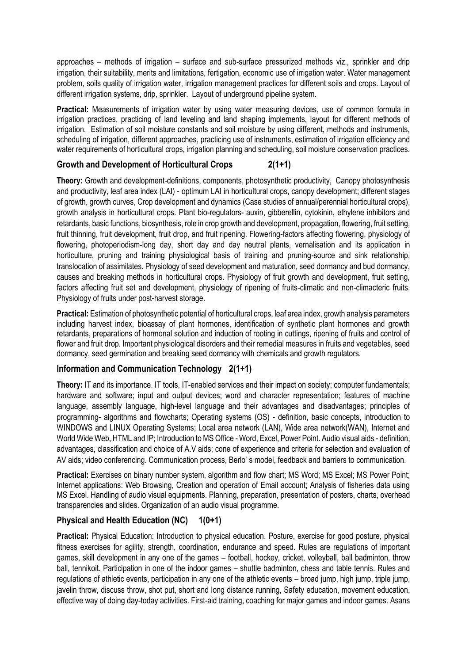approaches – methods of irrigation – surface and sub-surface pressurized methods viz., sprinkler and drip irrigation, their suitability, merits and limitations, fertigation, economic use of irrigation water. Water management problem, soils quality of irrigation water, irrigation management practices for different soils and crops. Layout of different irrigation systems, drip, sprinkler. Layout of underground pipeline system.

**Practical:** Measurements of irrigation water by using water measuring devices, use of common formula in irrigation practices, practicing of land leveling and land shaping implements, layout for different methods of irrigation. Estimation of soil moisture constants and soil moisture by using different, methods and instruments, scheduling of irrigation, different approaches, practicing use of instruments, estimation of irrigation efficiency and water requirements of horticultural crops, irrigation planning and scheduling, soil moisture conservation practices.

## **Growth and Development of Horticultural Crops 2(1+1)**

**Theory:** Growth and development-definitions, components, photosynthetic productivity, Canopy photosynthesis and productivity, leaf area index (LAI) - optimum LAI in horticultural crops, canopy development; different stages of growth, growth curves, Crop development and dynamics (Case studies of annual/perennial horticultural crops), growth analysis in horticultural crops. Plant bio-regulators- auxin, gibberellin, cytokinin, ethylene inhibitors and retardants, basic functions, biosynthesis, role in crop growth and development, propagation, flowering, fruit setting, fruit thinning, fruit development, fruit drop, and fruit ripening. Flowering-factors affecting flowering, physiology of flowering, photoperiodism-long day, short day and day neutral plants, vernalisation and its application in horticulture, pruning and training physiological basis of training and pruning-source and sink relationship, translocation of assimilates. Physiology of seed development and maturation, seed dormancy and bud dormancy, causes and breaking methods in horticultural crops. Physiology of fruit growth and development, fruit setting, factors affecting fruit set and development, physiology of ripening of fruits-climatic and non-climacteric fruits. Physiology of fruits under post-harvest storage.

**Practical:** Estimation of photosynthetic potential of horticultural crops, leaf area index, growth analysis parameters including harvest index, bioassay of plant hormones, identification of synthetic plant hormones and growth retardants, preparations of hormonal solution and induction of rooting in cuttings, ripening of fruits and control of flower and fruit drop. Important physiological disorders and their remedial measures in fruits and vegetables, seed dormancy, seed germination and breaking seed dormancy with chemicals and growth regulators.

# **Information and Communication Technology 2(1+1)**

**Theory:** IT and its importance. IT tools, IT-enabled services and their impact on society; computer fundamentals; hardware and software; input and output devices; word and character representation; features of machine language, assembly language, high-level language and their advantages and disadvantages; principles of programming- algorithms and flowcharts; Operating systems (OS) - definition, basic concepts, introduction to WINDOWS and LINUX Operating Systems; Local area network (LAN), Wide area network(WAN), Internet and World Wide Web, HTML and IP; Introduction to MS Office - Word, Excel, Power Point. Audio visual aids - definition, advantages, classification and choice of A.V aids; cone of experience and criteria for selection and evaluation of AV aids; video conferencing. Communication process, Berlo' s model, feedback and barriers to communication.

**Practical:** Exercises on binary number system, algorithm and flow chart; MS Word; MS Excel; MS Power Point; Internet applications: Web Browsing, Creation and operation of Email account; Analysis of fisheries data using MS Excel. Handling of audio visual equipments. Planning, preparation, presentation of posters, charts, overhead transparencies and slides. Organization of an audio visual programme.

# **Physical and Health Education (NC) 1(0+1)**

**Practical:** Physical Education: Introduction to physical education. Posture, exercise for good posture, physical fitness exercises for agility, strength, coordination, endurance and speed. Rules are regulations of important games, skill development in any one of the games – football, hockey, cricket, volleyball, ball badminton, throw ball, tennikoit. Participation in one of the indoor games – shuttle badminton, chess and table tennis. Rules and regulations of athletic events, participation in any one of the athletic events – broad jump, high jump, triple jump, javelin throw, discuss throw, shot put, short and long distance running, Safety education, movement education, effective way of doing day-today activities. First-aid training, coaching for major games and indoor games. Asans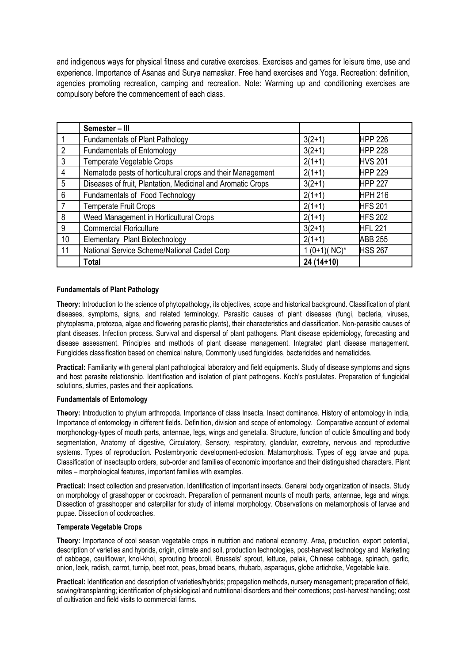and indigenous ways for physical fitness and curative exercises. Exercises and games for leisure time, use and experience. Importance of Asanas and Surya namaskar. Free hand exercises and Yoga. Recreation: definition, agencies promoting recreation, camping and recreation. Note: Warming up and conditioning exercises are compulsory before the commencement of each class.

|                | Semester - III                                              |                  |                |
|----------------|-------------------------------------------------------------|------------------|----------------|
|                | <b>Fundamentals of Plant Pathology</b>                      | $3(2+1)$         | <b>HPP 226</b> |
| $\overline{2}$ | <b>Fundamentals of Entomology</b>                           | $3(2+1)$         | <b>HPP 228</b> |
| 3              | Temperate Vegetable Crops                                   | $2(1+1)$         | <b>HVS 201</b> |
| 4              | Nematode pests of horticultural crops and their Management  | $2(1+1)$         | <b>HPP 229</b> |
| 5              | Diseases of fruit, Plantation, Medicinal and Aromatic Crops | $3(2+1)$         | <b>HPP 227</b> |
| 6              | Fundamentals of Food Technology                             | $2(1+1)$         | <b>HPH 216</b> |
|                | <b>Temperate Fruit Crops</b>                                | $2(1+1)$         | <b>HFS 201</b> |
| 8              | Weed Management in Horticultural Crops                      | $2(1+1)$         | <b>HFS 202</b> |
| 9              | <b>Commercial Floriculture</b>                              | $3(2+1)$         | <b>HFL 221</b> |
| 10             | Elementary Plant Biotechnology                              | $2(1+1)$         | <b>ABB 255</b> |
| 11             | National Service Scheme/National Cadet Corp                 | $1(0+1)(NC)^{*}$ | <b>HSS 267</b> |
|                | <b>Total</b>                                                | 24 (14+10)       |                |

## **Fundamentals of Plant Pathology**

**Theory:** Introduction to the science of phytopathology, its objectives, scope and historical background. Classification of plant diseases, symptoms, signs, and related terminology. Parasitic causes of plant diseases (fungi, bacteria, viruses, phytoplasma, protozoa, algae and flowering parasitic plants), their characteristics and classification. Non-parasitic causes of plant diseases. Infection process. Survival and dispersal of plant pathogens. Plant disease epidemiology, forecasting and disease assessment. Principles and methods of plant disease management. Integrated plant disease management. Fungicides classification based on chemical nature, Commonly used fungicides, bactericides and nematicides.

**Practical:** Familiarity with general plant pathological laboratory and field equipments. Study of disease symptoms and signs and host parasite relationship. Identification and isolation of plant pathogens. Koch's postulates. Preparation of fungicidal solutions, slurries, pastes and their applications.

## **Fundamentals of Entomology**

**Theory:** Introduction to phylum arthropoda. Importance of class Insecta. Insect dominance. History of entomology in India, Importance of entomology in different fields. Definition, division and scope of entomology. Comparative account of external morphonology-types of mouth parts, antennae, legs, wings and genetalia. Structure, function of cuticle &moulting and body segmentation, Anatomy of digestive, Circulatory, Sensory, respiratory, glandular, excretory, nervous and reproductive systems. Types of reproduction. Postembryonic development-eclosion. Matamorphosis. Types of egg larvae and pupa. Classification of insectsupto orders, sub-order and families of economic importance and their distinguished characters. Plant mites – morphological features, important families with examples.

**Practical:** Insect collection and preservation. Identification of important insects. General body organization of insects. Study on morphology of grasshopper or cockroach. Preparation of permanent mounts of mouth parts, antennae, legs and wings. Dissection of grasshopper and caterpillar for study of internal morphology. Observations on metamorphosis of larvae and pupae. Dissection of cockroaches.

#### **Temperate Vegetable Crops**

**Theory:** Importance of cool season vegetable crops in nutrition and national economy. Area, production, export potential, description of varieties and hybrids, origin, climate and soil, production technologies, post-harvest technology and Marketing of cabbage, cauliflower, knol-khol, sprouting broccoli, Brussels' sprout, lettuce, palak, Chinese cabbage, spinach, garlic, onion, leek, radish, carrot, turnip, beet root, peas, broad beans, rhubarb, asparagus, globe artichoke, Vegetable kale.

**Practical:** Identification and description of varieties/hybrids; propagation methods, nursery management; preparation of field, sowing/transplanting; identification of physiological and nutritional disorders and their corrections; post-harvest handling; cost of cultivation and field visits to commercial farms.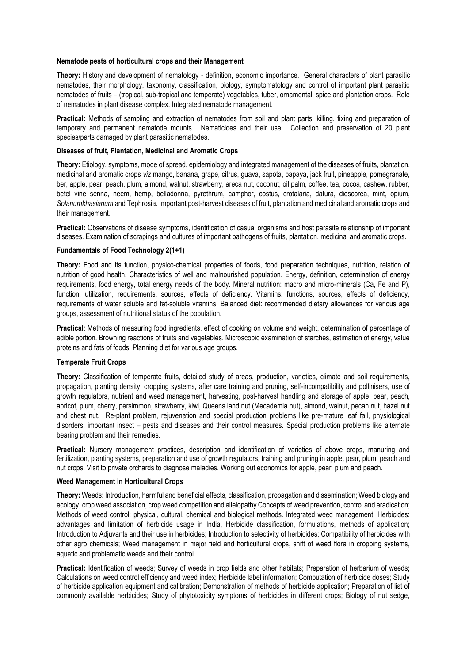#### **Nematode pests of horticultural crops and their Management**

**Theory:** History and development of nematology - definition, economic importance. General characters of plant parasitic nematodes, their morphology, taxonomy, classification, biology, symptomatology and control of important plant parasitic nematodes of fruits – (tropical, sub-tropical and temperate) vegetables, tuber, ornamental, spice and plantation crops. Role of nematodes in plant disease complex. Integrated nematode management.

**Practical:** Methods of sampling and extraction of nematodes from soil and plant parts, killing, fixing and preparation of temporary and permanent nematode mounts. Nematicides and their use. Collection and preservation of 20 plant species/parts damaged by plant parasitic nematodes.

## **Diseases of fruit, Plantation, Medicinal and Aromatic Crops**

**Theory:** Etiology, symptoms, mode of spread, epidemiology and integrated management of the diseases of fruits, plantation, medicinal and aromatic crops *viz* mango, banana, grape, citrus, guava, sapota, papaya, jack fruit, pineapple, pomegranate, ber, apple, pear, peach, plum, almond, walnut, strawberry, areca nut, coconut, oil palm, coffee, tea, cocoa, cashew, rubber, betel vine senna, neem, hemp, belladonna, pyrethrum, camphor, costus, crotalaria, datura, dioscorea, mint, opium, *Solanumkhasianum* and Tephrosia. Important post-harvest diseases of fruit, plantation and medicinal and aromatic crops and their management.

**Practical:** Observations of disease symptoms, identification of casual organisms and host parasite relationship of important diseases. Examination of scrapings and cultures of important pathogens of fruits, plantation, medicinal and aromatic crops.

#### **Fundamentals of Food Technology 2(1+1)**

**Theory:** Food and its function, physico-chemical properties of foods, food preparation techniques, nutrition, relation of nutrition of good health. Characteristics of well and malnourished population. Energy, definition, determination of energy requirements, food energy, total energy needs of the body. Mineral nutrition: macro and micro-minerals (Ca, Fe and P), function, utilization, requirements, sources, effects of deficiency. Vitamins: functions, sources, effects of deficiency, requirements of water soluble and fat-soluble vitamins. Balanced diet: recommended dietary allowances for various age groups, assessment of nutritional status of the population.

**Practical**: Methods of measuring food ingredients, effect of cooking on volume and weight, determination of percentage of edible portion. Browning reactions of fruits and vegetables. Microscopic examination of starches, estimation of energy, value proteins and fats of foods. Planning diet for various age groups.

#### **Temperate Fruit Crops**

**Theory:** Classification of temperate fruits, detailed study of areas, production, varieties, climate and soil requirements, propagation, planting density, cropping systems, after care training and pruning, self-incompatibility and pollinisers, use of growth regulators, nutrient and weed management, harvesting, post-harvest handling and storage of apple, pear, peach, apricot, plum, cherry, persimmon, strawberry, kiwi, Queens land nut (Mecademia nut), almond, walnut, pecan nut, hazel nut and chest nut. Re-plant problem, rejuvenation and special production problems like pre-mature leaf fall, physiological disorders, important insect – pests and diseases and their control measures. Special production problems like alternate bearing problem and their remedies.

**Practical:** Nursery management practices, description and identification of varieties of above crops, manuring and fertilization, planting systems, preparation and use of growth regulators, training and pruning in apple, pear, plum, peach and nut crops. Visit to private orchards to diagnose maladies. Working out economics for apple, pear, plum and peach.

#### **Weed Management in Horticultural Crops**

**Theory:** Weeds: Introduction, harmful and beneficial effects, classification, propagation and dissemination; Weed biology and ecology, crop weed association, crop weed competition and allelopathy Concepts of weed prevention, control and eradication; Methods of weed control: physical, cultural, chemical and biological methods. Integrated weed management; Herbicides: advantages and limitation of herbicide usage in India, Herbicide classification, formulations, methods of application; Introduction to Adjuvants and their use in herbicides; Introduction to selectivity of herbicides; Compatibility of herbicides with other agro chemicals; Weed management in major field and horticultural crops, shift of weed flora in cropping systems, aquatic and problematic weeds and their control.

**Practical:** Identification of weeds; Survey of weeds in crop fields and other habitats; Preparation of herbarium of weeds; Calculations on weed control efficiency and weed index; Herbicide label information; Computation of herbicide doses; Study of herbicide application equipment and calibration; Demonstration of methods of herbicide application; Preparation of list of commonly available herbicides; Study of phytotoxicity symptoms of herbicides in different crops; Biology of nut sedge,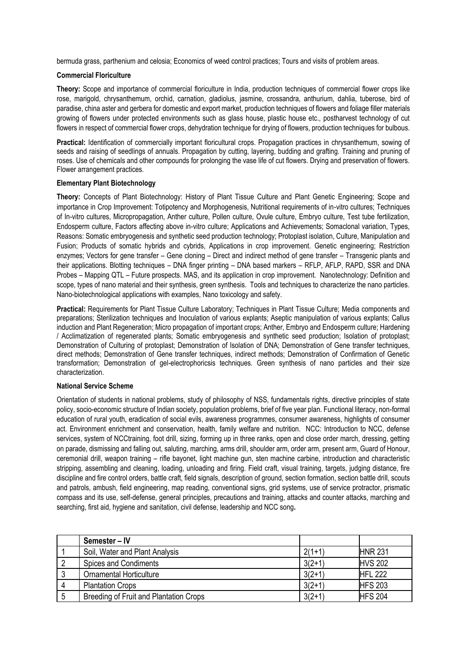bermuda grass, parthenium and celosia; Economics of weed control practices; Tours and visits of problem areas.

#### **Commercial Floriculture**

**Theory:** Scope and importance of commercial floriculture in India, production techniques of commercial flower crops like rose, marigold, chrysanthemum, orchid, carnation, gladiolus, jasmine, crossandra, anthurium, dahlia, tuberose, bird of paradise, china aster and gerbera for domestic and export market, production techniques of flowers and foliage filler materials growing of flowers under protected environments such as glass house, plastic house etc., postharvest technology of cut flowers in respect of commercial flower crops, dehydration technique for drying of flowers, production techniques for bulbous.

**Practical:** Identification of commercially important floricultural crops. Propagation practices in chrysanthemum, sowing of seeds and raising of seedlings of annuals. Propagation by cutting, layering, budding and grafting. Training and pruning of roses. Use of chemicals and other compounds for prolonging the vase life of cut flowers. Drying and preservation of flowers. Flower arrangement practices.

#### **Elementary Plant Biotechnology**

**Theory:** Concepts of Plant Biotechnology: History of Plant Tissue Culture and Plant Genetic Engineering; Scope and importance in Crop Improvement: Totipotency and Morphogenesis, Nutritional requirements of in-vitro cultures; Techniques of In-vitro cultures, Micropropagation, Anther culture, Pollen culture, Ovule culture, Embryo culture, Test tube fertilization, Endosperm culture, Factors affecting above in-vitro culture; Applications and Achievements; Somaclonal variation, Types, Reasons: Somatic embryogenesis and synthetic seed production technology; Protoplast isolation, Culture, Manipulation and Fusion; Products of somatic hybrids and cybrids, Applications in crop improvement. Genetic engineering; Restriction enzymes; Vectors for gene transfer – Gene cloning – Direct and indirect method of gene transfer – Transgenic plants and their applications. Blotting techniques – DNA finger printing – DNA based markers – RFLP, AFLP, RAPD, SSR and DNA Probes – Mapping QTL – Future prospects. MAS, and its application in crop improvement. Nanotechnology: Definition and scope, types of nano material and their synthesis, green synthesis. Tools and techniques to characterize the nano particles. Nano-biotechnological applications with examples, Nano toxicology and safety.

**Practical:** Requirements for Plant Tissue Culture Laboratory; Techniques in Plant Tissue Culture; Media components and preparations; Sterilization techniques and Inoculation of various explants; Aseptic manipulation of various explants; Callus induction and Plant Regeneration; Micro propagation of important crops; Anther, Embryo and Endosperm culture; Hardening / Acclimatization of regenerated plants; Somatic embryogenesis and synthetic seed production; Isolation of protoplast; Demonstration of Culturing of protoplast; Demonstration of Isolation of DNA; Demonstration of Gene transfer techniques, direct methods; Demonstration of Gene transfer techniques, indirect methods; Demonstration of Confirmation of Genetic transformation; Demonstration of gel-electrophoricsis techniques. Green synthesis of nano particles and their size characterization.

#### **National Service Scheme**

Orientation of students in national problems, study of philosophy of NSS, fundamentals rights, directive principles of state policy, socio-economic structure of Indian society, population problems, brief of five year plan. Functional literacy, non-formal education of rural youth, eradication of social evils, awareness programmes, consumer awareness, highlights of consumer act. Environment enrichment and conservation, health, family welfare and nutrition. NCC: Introduction to NCC, defense services, system of NCCtraining, foot drill, sizing, forming up in three ranks, open and close order march, dressing, getting on parade, dismissing and falling out, saluting, marching, arms drill, shoulder arm, order arm, present arm, Guard of Honour, ceremonial drill, weapon training – rifle bayonet, light machine gun, sten machine carbine, introduction and characteristic stripping, assembling and cleaning, loading, unloading and firing. Field craft, visual training, targets, judging distance, fire discipline and fire control orders, battle craft, field signals, description of ground, section formation, section battle drill, scouts and patrols, ambush, field engineering, map reading, conventional signs, grid systems, use of service protractor, prismatic compass and its use, self-defense, general principles, precautions and training, attacks and counter attacks, marching and searching, first aid, hygiene and sanitation, civil defense, leadership and NCC song**.** 

| Semester – IV                          |          |                |
|----------------------------------------|----------|----------------|
| Soil, Water and Plant Analysis         | $2(1+1)$ | <b>HNR 231</b> |
| <b>Spices and Condiments</b>           | $3(2+1)$ | <b>HVS 202</b> |
| <b>Ornamental Horticulture</b>         | $3(2+1)$ | <b>HFL 222</b> |
| <b>Plantation Crops</b>                | $3(2+1)$ | <b>HFS 203</b> |
| Breeding of Fruit and Plantation Crops | $3(2+1)$ | <b>HFS 204</b> |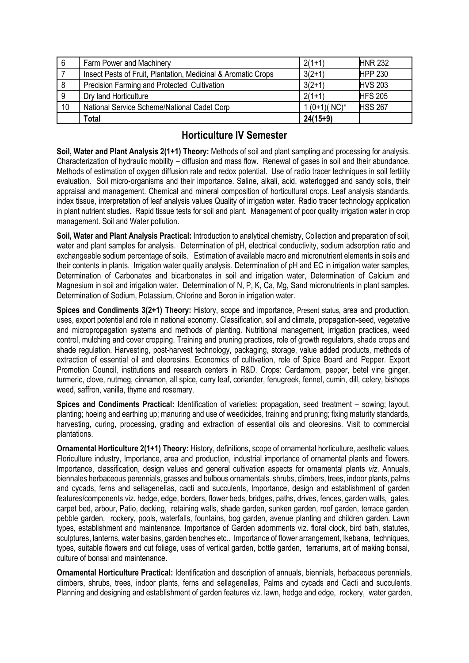| 6               | Farm Power and Machinery                                      | $2(1+1)$         | <b>HNR 232</b> |
|-----------------|---------------------------------------------------------------|------------------|----------------|
|                 | Insect Pests of Fruit, Plantation, Medicinal & Aromatic Crops | $3(2+1)$         | <b>HPP 230</b> |
| -8              | Precision Farming and Protected Cultivation                   | $3(2+1)$         | <b>HVS 203</b> |
| 9               | Dry land Horticulture                                         | $2(1+1)$         | <b>HFS 205</b> |
| 10 <sup>1</sup> | National Service Scheme/National Cadet Corp                   | $1(0+1)(NC)^{*}$ | <b>HSS 267</b> |
|                 | Total                                                         | $24(15+9)$       |                |

# **Horticulture IV Semester**

**Soil, Water and Plant Analysis 2(1+1) Theory:** Methods of soil and plant sampling and processing for analysis. Characterization of hydraulic mobility – diffusion and mass flow. Renewal of gases in soil and their abundance. Methods of estimation of oxygen diffusion rate and redox potential. Use of radio tracer techniques in soil fertility evaluation. Soil micro-organisms and their importance. Saline, alkali, acid, waterlogged and sandy soils, their appraisal and management. Chemical and mineral composition of horticultural crops. Leaf analysis standards, index tissue, interpretation of leaf analysis values Quality of irrigation water. Radio tracer technology application in plant nutrient studies. Rapid tissue tests for soil and plant. Management of poor quality irrigation water in crop management. Soil and Water pollution.

**Soil, Water and Plant Analysis Practical:** Introduction to analytical chemistry, Collection and preparation of soil, water and plant samples for analysis. Determination of pH, electrical conductivity, sodium adsorption ratio and exchangeable sodium percentage of soils. Estimation of available macro and micronutrient elements in soils and their contents in plants. Irrigation water quality analysis. Determination of pH and EC in irrigation water samples, Determination of Carbonates and bicarbonates in soil and irrigation water, Determination of Calcium and Magnesium in soil and irrigation water. Determination of N, P, K, Ca, Mg, Sand micronutrients in plant samples. Determination of Sodium, Potassium, Chlorine and Boron in irrigation water.

**Spices and Condiments 3(2+1) Theory:** History, scope and importance, Present status, area and production, uses, export potential and role in national economy. Classification, soil and climate, propagation-seed, vegetative and micropropagation systems and methods of planting. Nutritional management, irrigation practices, weed control, mulching and cover cropping. Training and pruning practices, role of growth regulators, shade crops and shade regulation. Harvesting, post-harvest technology, packaging, storage, value added products, methods of extraction of essential oil and oleoresins. Economics of cultivation, role of Spice Board and Pepper. Export Promotion Council, institutions and research centers in R&D. Crops: Cardamom, pepper, betel vine ginger, turmeric, clove, nutmeg, cinnamon, all spice, curry leaf, coriander, fenugreek, fennel, cumin, dill, celery, bishops weed, saffron, vanilla, thyme and rosemary.

**Spices and Condiments Practical:** Identification of varieties: propagation, seed treatment – sowing; layout, planting; hoeing and earthing up; manuring and use of weedicides, training and pruning; fixing maturity standards, harvesting, curing, processing, grading and extraction of essential oils and oleoresins. Visit to commercial plantations.

**Ornamental Horticulture 2(1+1) Theory:** History, definitions, scope of ornamental horticulture, aesthetic values, Floriculture industry, Importance, area and production, industrial importance of ornamental plants and flowers. Importance, classification, design values and general cultivation aspects for ornamental plants *viz*. Annuals, biennales herbaceous perennials, grasses and bulbous ornamentals. shrubs, climbers, trees, indoor plants, palms and cycads, ferns and sellagenellas, cacti and succulents, Importance, design and establishment of garden features/components viz. hedge, edge, borders, flower beds, bridges, paths, drives, fences, garden walls, gates, carpet bed, arbour, Patio, decking, retaining walls, shade garden, sunken garden, roof garden, terrace garden, pebble garden, rockery, pools, waterfalls, fountains, bog garden, avenue planting and children garden. Lawn types, establishment and maintenance. Importance of Garden adornments viz. floral clock, bird bath, statutes, sculptures, lanterns, water basins, garden benches etc.. Importance of flower arrangement, Ikebana, techniques, types, suitable flowers and cut foliage, uses of vertical garden, bottle garden, terrariums, art of making bonsai, culture of bonsai and maintenance.

**Ornamental Horticulture Practical:** Identification and description of annuals, biennials, herbaceous perennials, climbers, shrubs, trees, indoor plants, ferns and sellagenellas, Palms and cycads and Cacti and succulents. Planning and designing and establishment of garden features viz. lawn, hedge and edge, rockery, water garden,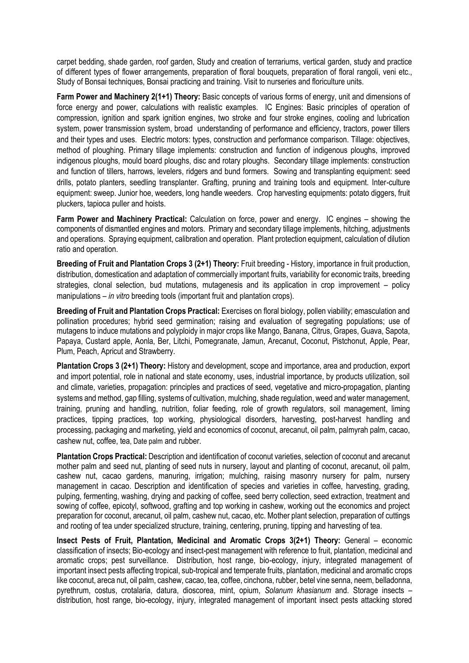carpet bedding, shade garden, roof garden, Study and creation of terrariums, vertical garden, study and practice of different types of flower arrangements, preparation of floral bouquets, preparation of floral rangoli, veni etc., Study of Bonsai techniques, Bonsai practicing and training. Visit to nurseries and floriculture units.

**Farm Power and Machinery 2(1+1) Theory:** Basic concepts of various forms of energy, unit and dimensions of force energy and power, calculations with realistic examples. IC Engines: Basic principles of operation of compression, ignition and spark ignition engines, two stroke and four stroke engines, cooling and lubrication system, power transmission system, broad understanding of performance and efficiency, tractors, power tillers and their types and uses. Electric motors: types, construction and performance comparison. Tillage: objectives, method of ploughing. Primary tillage implements: construction and function of indigenous ploughs, improved indigenous ploughs, mould board ploughs, disc and rotary ploughs. Secondary tillage implements: construction and function of tillers, harrows, levelers, ridgers and bund formers. Sowing and transplanting equipment: seed drills, potato planters, seedling transplanter. Grafting, pruning and training tools and equipment. Inter-culture equipment: sweep. Junior hoe, weeders, long handle weeders. Crop harvesting equipments: potato diggers, fruit pluckers, tapioca puller and hoists.

**Farm Power and Machinery Practical:** Calculation on force, power and energy. IC engines – showing the components of dismantled engines and motors. Primary and secondary tillage implements, hitching, adjustments and operations. Spraying equipment, calibration and operation. Plant protection equipment, calculation of dilution ratio and operation.

**Breeding of Fruit and Plantation Crops 3 (2+1) Theory:** Fruit breeding - History, importance in fruit production, distribution, domestication and adaptation of commercially important fruits, variability for economic traits, breeding strategies, clonal selection, bud mutations, mutagenesis and its application in crop improvement – policy manipulations – *in vitro* breeding tools (important fruit and plantation crops).

**Breeding of Fruit and Plantation Crops Practical:** Exercises on floral biology, pollen viability; emasculation and pollination procedures; hybrid seed germination; raising and evaluation of segregating populations; use of mutagens to induce mutations and polyploidy in major crops like Mango, Banana, Citrus, Grapes, Guava, Sapota, Papaya, Custard apple, Aonla, Ber, Litchi, Pomegranate, Jamun, Arecanut, Coconut, Pistchonut, Apple, Pear, Plum, Peach, Apricut and Strawberry.

**Plantation Crops 3 (2+1) Theory:** History and development, scope and importance, area and production, export and import potential, role in national and state economy, uses, industrial importance, by products utilization, soil and climate, varieties, propagation: principles and practices of seed, vegetative and micro-propagation, planting systems and method, gap filling, systems of cultivation, mulching, shade regulation, weed and water management, training, pruning and handling, nutrition, foliar feeding, role of growth regulators, soil management, liming practices, tipping practices, top working, physiological disorders, harvesting, post-harvest handling and processing, packaging and marketing, yield and economics of coconut, arecanut, oil palm, palmyrah palm, cacao, cashew nut, coffee, tea, Date palm and rubber.

**Plantation Crops Practical:** Description and identification of coconut varieties, selection of coconut and arecanut mother palm and seed nut, planting of seed nuts in nursery, layout and planting of coconut, arecanut, oil palm, cashew nut, cacao gardens, manuring, irrigation; mulching, raising masonry nursery for palm, nursery management in cacao. Description and identification of species and varieties in coffee, harvesting, grading, pulping, fermenting, washing, drying and packing of coffee, seed berry collection, seed extraction, treatment and sowing of coffee, epicotyl, softwood, grafting and top working in cashew, working out the economics and project preparation for coconut, arecanut, oil palm, cashew nut, cacao, etc. Mother plant selection, preparation of cuttings and rooting of tea under specialized structure, training, centering, pruning, tipping and harvesting of tea.

**Insect Pests of Fruit, Plantation, Medicinal and Aromatic Crops 3(2+1) Theory:** General – economic classification of insects; Bio-ecology and insect-pest management with reference to fruit, plantation, medicinal and aromatic crops; pest surveillance. Distribution, host range, bio-ecology, injury, integrated management of important insect pests affecting tropical, sub-tropical and temperate fruits, plantation, medicinal and aromatic crops like coconut, areca nut, oil palm, cashew, cacao, tea, coffee, cinchona, rubber, betel vine senna, neem, belladonna, pyrethrum, costus, crotalaria, datura, dioscorea, mint, opium, *Solanum khasianum* and. Storage insects – distribution, host range, bio-ecology, injury, integrated management of important insect pests attacking stored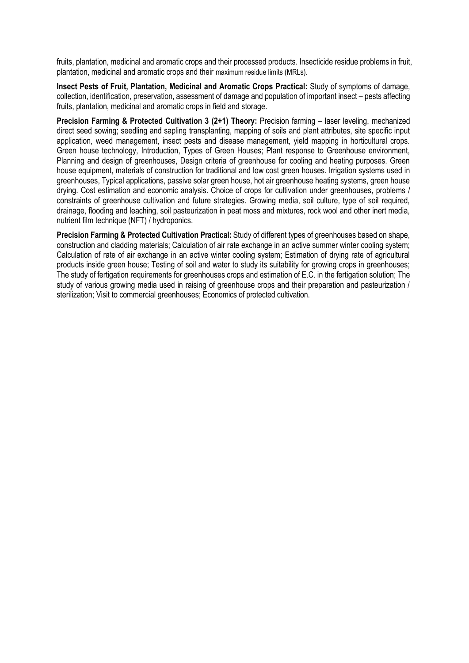fruits, plantation, medicinal and aromatic crops and their processed products. Insecticide residue problems in fruit, plantation, medicinal and aromatic crops and their maximum residue limits (MRLs).

**Insect Pests of Fruit, Plantation, Medicinal and Aromatic Crops Practical:** Study of symptoms of damage, collection, identification, preservation, assessment of damage and population of important insect – pests affecting fruits, plantation, medicinal and aromatic crops in field and storage.

**Precision Farming & Protected Cultivation 3 (2+1) Theory:** Precision farming – laser leveling, mechanized direct seed sowing; seedling and sapling transplanting, mapping of soils and plant attributes, site specific input application, weed management, insect pests and disease management, yield mapping in horticultural crops. Green house technology, Introduction, Types of Green Houses; Plant response to Greenhouse environment, Planning and design of greenhouses, Design criteria of greenhouse for cooling and heating purposes. Green house equipment, materials of construction for traditional and low cost green houses. Irrigation systems used in greenhouses, Typical applications, passive solar green house, hot air greenhouse heating systems, green house drying. Cost estimation and economic analysis. Choice of crops for cultivation under greenhouses, problems / constraints of greenhouse cultivation and future strategies. Growing media, soil culture, type of soil required, drainage, flooding and leaching, soil pasteurization in peat moss and mixtures, rock wool and other inert media, nutrient film technique (NFT) / hydroponics.

**Precision Farming & Protected Cultivation Practical:** Study of different types of greenhouses based on shape, construction and cladding materials; Calculation of air rate exchange in an active summer winter cooling system; Calculation of rate of air exchange in an active winter cooling system; Estimation of drying rate of agricultural products inside green house; Testing of soil and water to study its suitability for growing crops in greenhouses; The study of fertigation requirements for greenhouses crops and estimation of E.C. in the fertigation solution; The study of various growing media used in raising of greenhouse crops and their preparation and pasteurization / sterilization; Visit to commercial greenhouses; Economics of protected cultivation.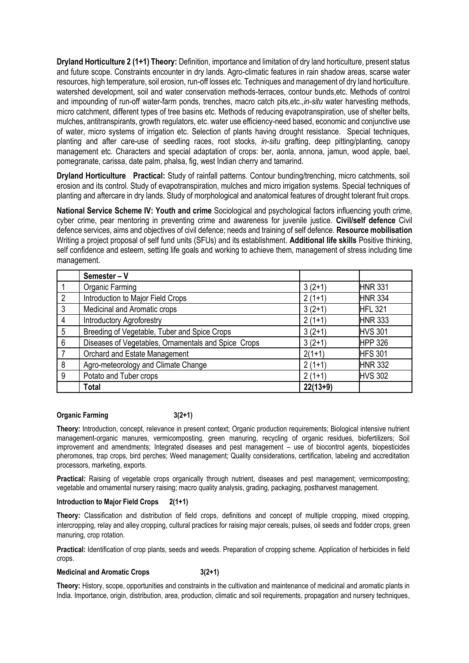**Dryland Horticulture 2 (1+1) Theory:** Definition, importance and limitation of dry land horticulture, present status and future scope. Constraints encounter in dry lands. Agro-climatic features in rain shadow areas, scarse water resources, high temperature, soil erosion, run-off losses etc. Techniques and management of dry land horticulture. watershed development, soil and water conservation methods-terraces, contour bunds,etc. Methods of control and impounding of run-off water-farm ponds, trenches, macro catch pits,etc.,*in-situ* water harvesting methods, micro catchment, different types of tree basins etc. Methods of reducing evapotranspiration, use of shelter belts, mulches, antitranspirants, growth regulators, etc. water use efficiency-need based, economic and conjunctive use of water, micro systems of irrigation etc. Selection of plants having drought resistance. Special techniques, planting and after care-use of seedling races, root stocks, *in-situ* grafting, deep pitting/planting, canopy management etc. Characters and special adaptation of crops: ber, aonla, annona, jamun, wood apple, bael, pomegranate, carissa, date palm, phalsa, fig, west Indian cherry and tamarind.

**Dryland Horticulture Practical:** Study of rainfall patterns. Contour bunding/trenching, micro catchments, soil erosion and its control. Study of evapotranspiration, mulches and micro irrigation systems. Special techniques of planting and aftercare in dry lands. Study of morphological and anatomical features of drought tolerant fruit crops.

**National Service Scheme IV: Youth and crime** Sociological and psychological factors influencing youth crime, cyber crime, pear mentoring in preventing crime and awareness for juvenile justice. **Civil/self defence** Civil defence services, aims and objectives of civil defence; needs and training of self defence. **Resource mobilisation**  Writing a project proposal of self fund units (SFUs) and its establishment. **Additional life skills** Positive thinking, self confidence and esteem, setting life goals and working to achieve them, management of stress including time management.

|                | Semester - V                                        |            |                |
|----------------|-----------------------------------------------------|------------|----------------|
|                | Organic Farming                                     | $3(2+1)$   | <b>HNR 331</b> |
| $\overline{2}$ | Introduction to Major Field Crops                   | $2(1+1)$   | <b>HNR 334</b> |
| 3              | Medicinal and Aromatic crops                        | $3(2+1)$   | <b>HFL 321</b> |
| 4              | <b>Introductory Agroforestry</b>                    | $2(1+1)$   | <b>HNR 333</b> |
| 5              | Breeding of Vegetable, Tuber and Spice Crops        | $3(2+1)$   | <b>HVS 301</b> |
| 6              | Diseases of Vegetables, Ornamentals and Spice Crops | $3(2+1)$   | <b>HPP 326</b> |
| 7              | Orchard and Estate Management                       | $2(1+1)$   | <b>HFS 301</b> |
| 8              | Agro-meteorology and Climate Change                 | $2(1+1)$   | <b>HNR 332</b> |
| 9              | Potato and Tuber crops                              | $2(1+1)$   | <b>HVS 302</b> |
|                | <b>Total</b>                                        | $22(13+9)$ |                |

## **Organic Farming 3(2+1)**

**Theory:** Introduction, concept, relevance in present context; Organic production requirements; Biological intensive nutrient management-organic manures, vermicomposting, green manuring, recycling of organic residues, biofertilizers; Soil improvement and amendments; Integrated diseases and pest management – use of biocontrol agents, biopesticides pheromones, trap crops, bird perches; Weed management; Quality considerations, certification, labeling and accreditation processors, marketing, exports.

Practical: Raising of vegetable crops organically through nutrient, diseases and pest management; vermicomposting; vegetable and ornamental nursery raising; macro quality analysis, grading, packaging, postharvest management.

## **Introduction to Major Field Crops 2(1+1)**

**Theory:** Classification and distribution of field crops, definitions and concept of multiple cropping, mixed cropping, intercropping, relay and alley cropping, cultural practices for raising major cereals, pulses, oil seeds and fodder crops, green manuring, crop rotation.

**Practical:** Identification of crop plants, seeds and weeds. Preparation of cropping scheme. Application of herbicides in field crops.

## **Medicinal and Aromatic Crops 3(2+1)**

**Theory:** History, scope, opportunities and constraints in the cultivation and maintenance of medicinal and aromatic plants in India. Importance, origin, distribution, area, production, climatic and soil requirements, propagation and nursery techniques,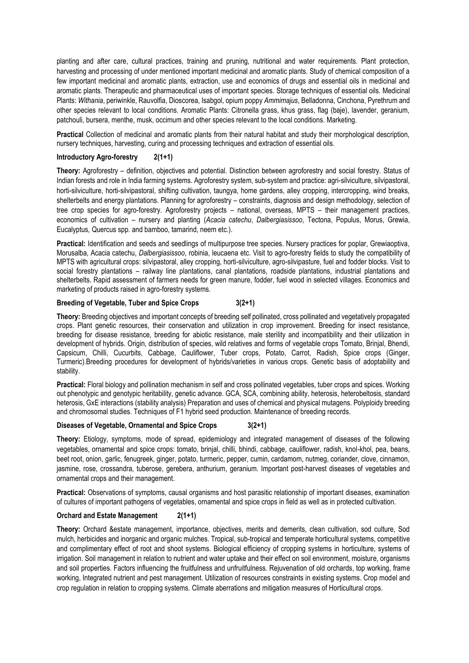planting and after care, cultural practices, training and pruning, nutritional and water requirements. Plant protection, harvesting and processing of under mentioned important medicinal and aromatic plants. Study of chemical composition of a few important medicinal and aromatic plants, extraction, use and economics of drugs and essential oils in medicinal and aromatic plants. Therapeutic and pharmaceutical uses of important species. Storage techniques of essential oils. Medicinal Plants: *Withania*, periwinkle, Rauvolfia, Dioscorea, Isabgol, opium poppy *Ammimajus*, Belladonna, Cinchona, Pyrethrum and other species relevant to local conditions. Aromatic Plants: Citronella grass, khus grass, flag (baje), lavender, geranium, patchouli, bursera, menthe, musk, occimum and other species relevant to the local conditions. Marketing.

**Practical** Collection of medicinal and aromatic plants from their natural habitat and study their morphological description, nursery techniques, harvesting, curing and processing techniques and extraction of essential oils.

#### **Introductory Agro-forestry 2(1+1)**

**Theory:** Agroforestry – definition, objectives and potential. Distinction between agroforestry and social forestry. Status of Indian forests and role in India farming systems. Agroforestry system, sub-system and practice: agri-silviculture, silvipastoral, horti-silviculture, horti-silvipastoral, shifting cultivation, taungya, home gardens, alley cropping, intercropping, wind breaks, shelterbelts and energy plantations. Planning for agroforestry – constraints, diagnosis and design methodology, selection of tree crop species for agro-forestry. Agroforestry projects – national, overseas, MPTS – their management practices, economics of cultivation – nursery and planting (*Acacia catechu*, *Dalbergiasissoo*, Tectona, Populus, Morus, Grewia, Eucalyptus, Quercus spp. and bamboo, tamarind, neem etc.).

**Practical:** Identification and seeds and seedlings of multipurpose tree species. Nursery practices for poplar, Grewiaoptiva, Morusalba, Acacia catechu, *Dalbergiasissoo*, robinia, leucaena etc. Visit to agro-forestry fields to study the compatibility of MPTS with agricultural crops: silvipastoral, alley cropping, horti-silviculture, agro-silvipasture, fuel and fodder blocks. Visit to social forestry plantations – railway line plantations, canal plantations, roadside plantations, industrial plantations and shelterbelts. Rapid assessment of farmers needs for green manure, fodder, fuel wood in selected villages. Economics and marketing of products raised in agro-forestry systems.

#### **Breeding of Vegetable, Tuber and Spice Crops 3(2+1)**

**Theory:** Breeding objectives and important concepts of breeding self pollinated, cross pollinated and vegetatively propagated crops. Plant genetic resources, their conservation and utilization in crop improvement. Breeding for insect resistance, breeding for disease resistance, breeding for abiotic resistance, male sterility and incompatibility and their utilization in development of hybrids. Origin, distribution of species, wild relatives and forms of vegetable crops Tomato, Brinjal, Bhendi, Capsicum, Chilli, Cucurbits, Cabbage, Cauliflower, Tuber crops, Potato, Carrot, Radish, Spice crops (Ginger, Turmeric).Breeding procedures for development of hybrids/varieties in various crops. Genetic basis of adoptability and stability.

**Practical:** Floral biology and pollination mechanism in self and cross pollinated vegetables, tuber crops and spices. Working out phenotypic and genotypic heritability, genetic advance. GCA, SCA, combining ability, heterosis, heterobeltosis, standard heterosis, GxE interactions (stability analysis) Preparation and uses of chemical and physical mutagens. Polyploidy breeding and chromosomal studies. Techniques of F1 hybrid seed production. Maintenance of breeding records.

#### **Diseases of Vegetable, Ornamental and Spice Crops 3(2+1)**

**Theory:** Etiology, symptoms, mode of spread, epidemiology and integrated management of diseases of the following vegetables, ornamental and spice crops: tomato, brinjal, chilli, bhindi, cabbage, cauliflower, radish, knol-khol, pea, beans, beet root, onion, garlic, fenugreek, ginger, potato, turmeric, pepper, cumin, cardamom, nutmeg, coriander, clove, cinnamon, jasmine, rose, crossandra, tuberose, gerebera, anthurium, geranium. Important post-harvest diseases of vegetables and ornamental crops and their management.

**Practical:** Observations of symptoms, causal organisms and host parasitic relationship of important diseases, examination of cultures of important pathogens of vegetables, ornamental and spice crops in field as well as in protected cultivation.

## **Orchard and Estate Management 2(1+1)**

**Theory:** Orchard &estate management, importance, objectives, merits and demerits, clean cultivation, sod culture, Sod mulch, herbicides and inorganic and organic mulches. Tropical, sub-tropical and temperate horticultural systems, competitive and complimentary effect of root and shoot systems. Biological efficiency of cropping systems in horticulture, systems of irrigation. Soil management in relation to nutrient and water uptake and their effect on soil environment, moisture, organisms and soil properties. Factors influencing the fruitfulness and unfruitfulness. Rejuvenation of old orchards, top working, frame working, Integrated nutrient and pest management. Utilization of resources constraints in existing systems. Crop model and crop regulation in relation to cropping systems. Climate aberrations and mitigation measures of Horticultural crops.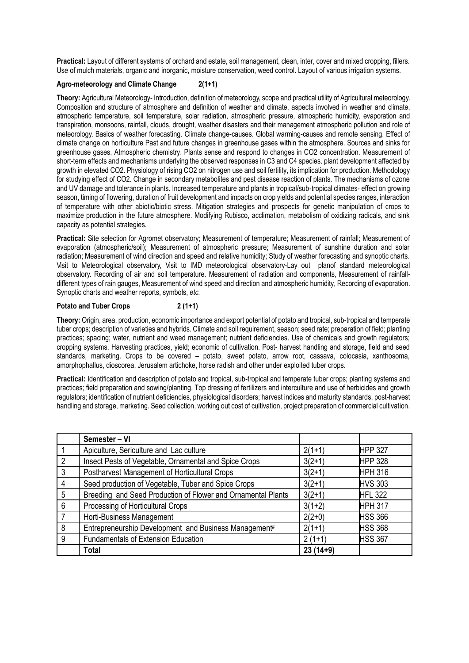**Practical:** Layout of different systems of orchard and estate, soil management, clean, inter, cover and mixed cropping, fillers. Use of mulch materials, organic and inorganic, moisture conservation, weed control. Layout of various irrigation systems.

## **Agro-meteorology and Climate Change 2(1+1)**

**Theory:** Agricultural Meteorology- Introduction, definition of meteorology, scope and practical utility of Agricultural meteorology. Composition and structure of atmosphere and definition of weather and climate, aspects involved in weather and climate, atmospheric temperature, soil temperature, solar radiation, atmospheric pressure, atmospheric humidity, evaporation and transpiration, monsoons, rainfall, clouds, drought, weather disasters and their management atmospheric pollution and role of meteorology. Basics of weather forecasting. Climate change-causes. Global warming-causes and remote sensing. Effect of climate change on horticulture Past and future changes in greenhouse gases within the atmosphere. Sources and sinks for greenhouse gases. Atmospheric chemistry. Plants sense and respond to changes in CO2 concentration. Measurement of short-term effects and mechanisms underlying the observed responses in C3 and C4 species. plant development affected by growth in elevated CO2. Physiology of rising CO2 on nitrogen use and soil fertility, its implication for production. Methodology for studying effect of CO2. Change in secondary metabolites and pest disease reaction of plants. The mechanisms of ozone and UV damage and tolerance in plants. Increased temperature and plants in tropical/sub-tropical climates- effect on growing season, timing of flowering, duration of fruit development and impacts on crop yields and potential species ranges, interaction of temperature with other abiotic/biotic stress. Mitigation strategies and prospects for genetic manipulation of crops to maximize production in the future atmosphere. Modifying Rubisco, acclimation, metabolism of oxidizing radicals, and sink capacity as potential strategies.

**Practical:** Site selection for Agromet observatory; Measurement of temperature; Measurement of rainfall; Measurement of evaporation (atmospheric/soil); Measurement of atmospheric pressure; Measurement of sunshine duration and solar radiation; Measurement of wind direction and speed and relative humidity; Study of weather forecasting and synoptic charts. Visit to Meteorological observatory, Visit to IMD meteorological observatory-Lay out planof standard meteorological observatory. Recording of air and soil temperature. Measurement of radiation and components, Measurement of rainfalldifferent types of rain gauges, Measurement of wind speed and direction and atmospheric humidity, Recording of evaporation. Synoptic charts and weather reports, symbols, *etc*.

## Potato and Tuber Crops 2 (1+1)

**Theory:** Origin, area, production, economic importance and export potential of potato and tropical, sub-tropical and temperate tuber crops; description of varieties and hybrids. Climate and soil requirement, season; seed rate; preparation of field; planting practices; spacing; water, nutrient and weed management; nutrient deficiencies. Use of chemicals and growth regulators; cropping systems. Harvesting practices, yield; economic of cultivation. Post- harvest handling and storage, field and seed standards, marketing. Crops to be covered – potato, sweet potato, arrow root, cassava, colocasia, xanthosoma, amorphophallus, dioscorea, Jerusalem artichoke, horse radish and other under exploited tuber crops.

**Practical:** Identification and description of potato and tropical, sub-tropical and temperate tuber crops; planting systems and practices; field preparation and sowing/planting. Top dressing of fertilizers and interculture and use of herbicides and growth regulators; identification of nutrient deficiencies, physiological disorders; harvest indices and maturity standards, post-harvest handling and storage, marketing. Seed collection, working out cost of cultivation, project preparation of commercial cultivation.

|                | Semester - VI                                                |            |                |
|----------------|--------------------------------------------------------------|------------|----------------|
|                | Apiculture, Sericulture and Lac culture                      | $2(1+1)$   | <b>HPP 327</b> |
| $\mathfrak{p}$ | Insect Pests of Vegetable, Ornamental and Spice Crops        | $3(2+1)$   | <b>HPP 328</b> |
| 3              | Postharvest Management of Horticultural Crops                | $3(2+1)$   | <b>HPH 316</b> |
| 4              | Seed production of Vegetable, Tuber and Spice Crops          | $3(2+1)$   | <b>HVS 303</b> |
| 5              | Breeding and Seed Production of Flower and Ornamental Plants | $3(2+1)$   | <b>HFL 322</b> |
| 6              | Processing of Horticultural Crops                            | $3(1+2)$   | <b>HPH 317</b> |
|                | Horti-Business Management                                    | $2(2+0)$   | <b>HSS 366</b> |
| 8              | Entrepreneurship Development and Business Management#        | $2(1+1)$   | <b>HSS 368</b> |
| 9              | Fundamentals of Extension Education                          | $2(1+1)$   | <b>HSS 367</b> |
|                | Total                                                        | $23(14+9)$ |                |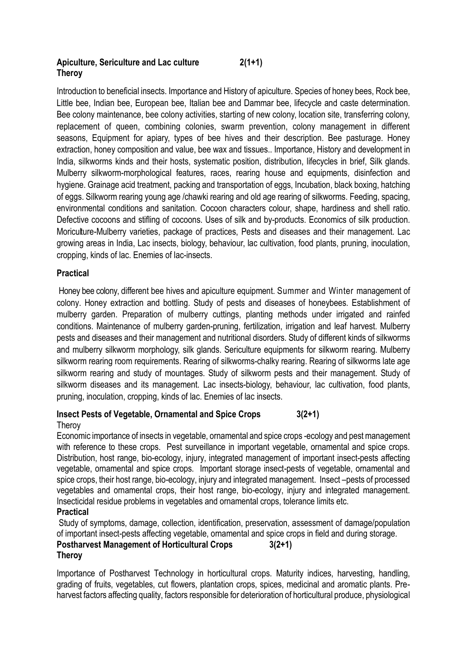# **Apiculture, Sericulture and Lac culture 2(1+1) Theroy**

Introduction to beneficial insects. Importance and History of apiculture. Species of honey bees, Rock bee, Little bee, Indian bee, European bee, Italian bee and Dammar bee, lifecycle and caste determination. Bee colony maintenance, bee colony activities, starting of new colony, location site, transferring colony, replacement of queen, combining colonies, swarm prevention, colony management in different seasons, Equipment for apiary, types of bee hives and their description. Bee pasturage. Honey extraction, honey composition and value, bee wax and tissues.. Importance, History and development in India, silkworms kinds and their hosts, systematic position, distribution, lifecycles in brief, Silk glands. Mulberry silkworm-morphological features, races, rearing house and equipments, disinfection and hygiene. Grainage acid treatment, packing and transportation of eggs, Incubation, black boxing, hatching of eggs. Silkworm rearing young age /chawki rearing and old age rearing of silkworms. Feeding, spacing, environmental conditions and sanitation. Cocoon characters colour, shape, hardiness and shell ratio. Defective cocoons and stifling of cocoons. Uses of silk and by-products. Economics of silk production. Moriculture-Mulberry varieties, package of practices, Pests and diseases and their management. Lac growing areas in India, Lac insects, biology, behaviour, lac cultivation, food plants, pruning, inoculation, cropping, kinds of lac. Enemies of lac-insects.

## **Practical**

Honey bee colony, different bee hives and apiculture equipment. Summer and Winter management of colony. Honey extraction and bottling. Study of pests and diseases of honeybees. Establishment of mulberry garden. Preparation of mulberry cuttings, planting methods under irrigated and rainfed conditions. Maintenance of mulberry garden-pruning, fertilization, irrigation and leaf harvest. Mulberry pests and diseases and their management and nutritional disorders. Study of different kinds of silkworms and mulberry silkworm morphology, silk glands. Sericulture equipments for silkworm rearing. Mulberry silkworm rearing room requirements. Rearing of silkworms-chalky rearing. Rearing of silkworms late age silkworm rearing and study of mountages. Study of silkworm pests and their management. Study of silkworm diseases and its management. Lac insects-biology, behaviour, lac cultivation, food plants, pruning, inoculation, cropping, kinds of lac. Enemies of lac insects.

## **Insect Pests of Vegetable, Ornamental and Spice Crops 3(2+1)** Theroy

Economic importance of insects in vegetable, ornamental and spice crops -ecology and pest management with reference to these crops. Pest surveillance in important vegetable, ornamental and spice crops. Distribution, host range, bio-ecology, injury, integrated management of important insect-pests affecting vegetable, ornamental and spice crops. Important storage insect-pests of vegetable, ornamental and spice crops, their host range, bio-ecology, injury and integrated management. Insect –pests of processed vegetables and ornamental crops, their host range, bio-ecology, injury and integrated management. Insecticidal residue problems in vegetables and ornamental crops, tolerance limits etc.

## **Practical**

Study of symptoms, damage, collection, identification, preservation, assessment of damage/population of important insect-pests affecting vegetable, ornamental and spice crops in field and during storage.

## **Postharvest Management of Horticultural Crops 3(2+1) Theroy**

Importance of Postharvest Technology in horticultural crops. Maturity indices, harvesting, handling, grading of fruits, vegetables, cut flowers, plantation crops, spices, medicinal and aromatic plants. Preharvest factors affecting quality, factors responsible for deterioration of horticultural produce, physiological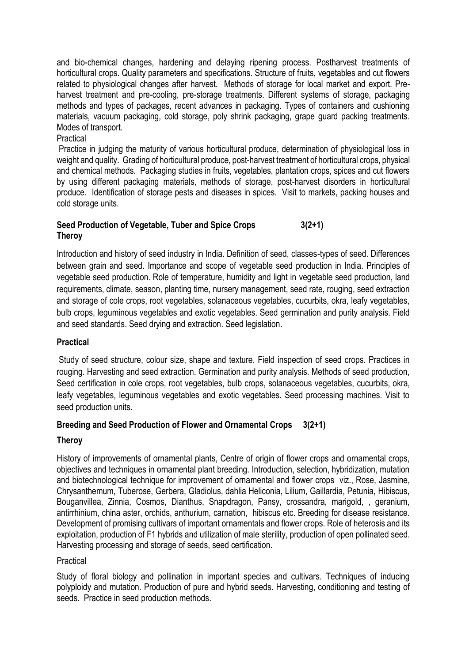and bio-chemical changes, hardening and delaying ripening process. Postharvest treatments of horticultural crops. Quality parameters and specifications. Structure of fruits, vegetables and cut flowers related to physiological changes after harvest. Methods of storage for local market and export. Preharvest treatment and pre-cooling, pre-storage treatments. Different systems of storage, packaging methods and types of packages, recent advances in packaging. Types of containers and cushioning materials, vacuum packaging, cold storage, poly shrink packaging, grape guard packing treatments. Modes of transport.

## Practical

Practice in judging the maturity of various horticultural produce, determination of physiological loss in weight and quality. Grading of horticultural produce, post-harvest treatment of horticultural crops, physical and chemical methods. Packaging studies in fruits, vegetables, plantation crops, spices and cut flowers by using different packaging materials, methods of storage, post-harvest disorders in horticultural produce. Identification of storage pests and diseases in spices. Visit to markets, packing houses and cold storage units.

## **Seed Production of Vegetable, Tuber and Spice Crops 3(2+1) Theroy**

Introduction and history of seed industry in India. Definition of seed, classes-types of seed. Differences between grain and seed. Importance and scope of vegetable seed production in India. Principles of vegetable seed production. Role of temperature, humidity and light in vegetable seed production, land requirements, climate, season, planting time, nursery management, seed rate, rouging, seed extraction and storage of cole crops, root vegetables, solanaceous vegetables, cucurbits, okra, leafy vegetables, bulb crops, leguminous vegetables and exotic vegetables. Seed germination and purity analysis. Field and seed standards. Seed drying and extraction. Seed legislation.

## **Practical**

Study of seed structure, colour size, shape and texture. Field inspection of seed crops. Practices in rouging. Harvesting and seed extraction. Germination and purity analysis. Methods of seed production, Seed certification in cole crops, root vegetables, bulb crops, solanaceous vegetables, cucurbits, okra, leafy vegetables, leguminous vegetables and exotic vegetables. Seed processing machines. Visit to seed production units.

## **Breeding and Seed Production of Flower and Ornamental Crops 3(2+1)**

## **Theroy**

History of improvements of ornamental plants, Centre of origin of flower crops and ornamental crops, objectives and techniques in ornamental plant breeding. Introduction, selection, hybridization, mutation and biotechnological technique for improvement of ornamental and flower crops viz., Rose, Jasmine, Chrysanthemum, Tuberose, Gerbera, Gladiolus, dahlia Heliconia, Lilium, Gaillardia, Petunia, Hibiscus, Bouganvillea, Zinnia, Cosmos, Dianthus, Snapdragon, Pansy, crossandra, marigold, , geranium, antirrhinium, china aster, orchids, anthurium, carnation, hibiscus etc. Breeding for disease resistance. Development of promising cultivars of important ornamentals and flower crops. Role of heterosis and its exploitation, production of F1 hybrids and utilization of male sterility, production of open pollinated seed. Harvesting processing and storage of seeds, seed certification.

## Practical

Study of floral biology and pollination in important species and cultivars. Techniques of inducing polyploidy and mutation. Production of pure and hybrid seeds. Harvesting, conditioning and testing of seeds. Practice in seed production methods.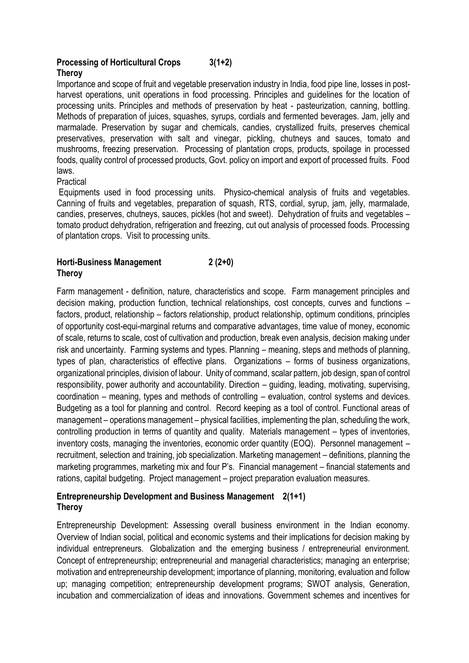## **Processing of Horticultural Crops 3(1+2) Theroy**

Importance and scope of fruit and vegetable preservation industry in India, food pipe line, losses in postharvest operations, unit operations in food processing. Principles and guidelines for the location of processing units. Principles and methods of preservation by heat - pasteurization, canning, bottling. Methods of preparation of juices, squashes, syrups, cordials and fermented beverages. Jam, jelly and marmalade. Preservation by sugar and chemicals, candies, crystallized fruits, preserves chemical preservatives, preservation with salt and vinegar, pickling, chutneys and sauces, tomato and mushrooms, freezing preservation. Processing of plantation crops, products, spoilage in processed foods, quality control of processed products, Govt. policy on import and export of processed fruits. Food laws.

Practical

Equipments used in food processing units. Physico-chemical analysis of fruits and vegetables. Canning of fruits and vegetables, preparation of squash, RTS, cordial, syrup, jam, jelly, marmalade, candies, preserves, chutneys, sauces, pickles (hot and sweet). Dehydration of fruits and vegetables – tomato product dehydration, refrigeration and freezing, cut out analysis of processed foods. Processing of plantation crops. Visit to processing units.

## **Horti-Business Management 2 (2+0) Theroy**

Farm management - definition, nature, characteristics and scope. Farm management principles and decision making, production function, technical relationships, cost concepts, curves and functions – factors, product, relationship – factors relationship, product relationship, optimum conditions, principles of opportunity cost-equi-marginal returns and comparative advantages, time value of money, economic of scale, returns to scale, cost of cultivation and production, break even analysis, decision making under risk and uncertainty. Farming systems and types. Planning – meaning, steps and methods of planning, types of plan, characteristics of effective plans. Organizations – forms of business organizations, organizational principles, division of labour. Unity of command, scalar pattern, job design, span of control responsibility, power authority and accountability. Direction – guiding, leading, motivating, supervising, coordination – meaning, types and methods of controlling – evaluation, control systems and devices. Budgeting as a tool for planning and control. Record keeping as a tool of control. Functional areas of management – operations management – physical facilities, implementing the plan, scheduling the work, controlling production in terms of quantity and quality. Materials management – types of inventories, inventory costs, managing the inventories, economic order quantity (EOQ). Personnel management – recruitment, selection and training, job specialization. Marketing management – definitions, planning the marketing programmes, marketing mix and four P's. Financial management – financial statements and rations, capital budgeting. Project management – project preparation evaluation measures.

# **Entrepreneurship Development and Business Management 2(1+1) Theroy**

Entrepreneurship Development: Assessing overall business environment in the Indian economy. Overview of Indian social, political and economic systems and their implications for decision making by individual entrepreneurs. Globalization and the emerging business / entrepreneurial environment. Concept of entrepreneurship; entrepreneurial and managerial characteristics; managing an enterprise; motivation and entrepreneurship development; importance of planning, monitoring, evaluation and follow up; managing competition; entrepreneurship development programs; SWOT analysis, Generation, incubation and commercialization of ideas and innovations. Government schemes and incentives for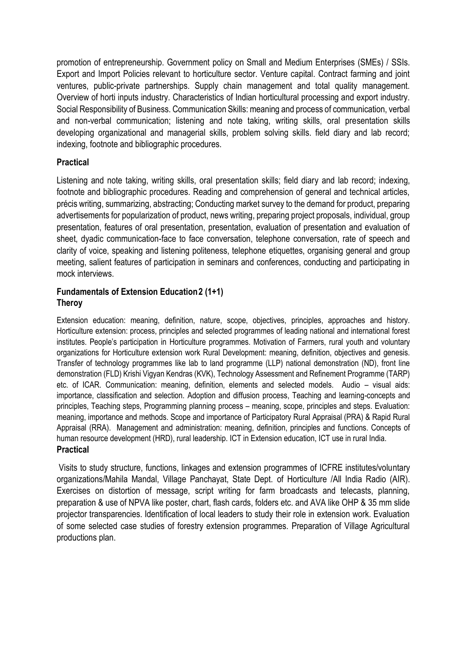promotion of entrepreneurship. Government policy on Small and Medium Enterprises (SMEs) / SSIs. Export and Import Policies relevant to horticulture sector. Venture capital. Contract farming and joint ventures, public-private partnerships. Supply chain management and total quality management. Overview of horti inputs industry. Characteristics of Indian horticultural processing and export industry. Social Responsibility of Business. Communication Skills: meaning and process of communication, verbal and non-verbal communication; listening and note taking, writing skills, oral presentation skills developing organizational and managerial skills, problem solving skills. field diary and lab record; indexing, footnote and bibliographic procedures.

## **Practical**

Listening and note taking, writing skills, oral presentation skills; field diary and lab record; indexing, footnote and bibliographic procedures. Reading and comprehension of general and technical articles, précis writing, summarizing, abstracting; Conducting market survey to the demand for product, preparing advertisements for popularization of product, news writing, preparing project proposals, individual, group presentation, features of oral presentation, presentation, evaluation of presentation and evaluation of sheet, dyadic communication-face to face conversation, telephone conversation, rate of speech and clarity of voice, speaking and listening politeness, telephone etiquettes, organising general and group meeting, salient features of participation in seminars and conferences, conducting and participating in mock interviews.

## **Fundamentals of Extension Education2 (1+1) Theroy**

Extension education: meaning, definition, nature, scope, objectives, principles, approaches and history. Horticulture extension: process, principles and selected programmes of leading national and international forest institutes. People's participation in Horticulture programmes. Motivation of Farmers, rural youth and voluntary organizations for Horticulture extension work Rural Development: meaning, definition, objectives and genesis. Transfer of technology programmes like lab to land programme (LLP) national demonstration (ND), front line demonstration (FLD) Krishi Vigyan Kendras (KVK), Technology Assessment and Refinement Programme (TARP) etc. of ICAR. Communication: meaning, definition, elements and selected models. Audio – visual aids: importance, classification and selection. Adoption and diffusion process, Teaching and learning-concepts and principles, Teaching steps, Programming planning process – meaning, scope, principles and steps. Evaluation: meaning, importance and methods. Scope and importance of Participatory Rural Appraisal (PRA) & Rapid Rural Appraisal (RRA). Management and administration: meaning, definition, principles and functions. Concepts of human resource development (HRD), rural leadership. ICT in Extension education, ICT use in rural India. **Practical**

# Visits to study structure, functions, linkages and extension programmes of ICFRE institutes/voluntary organizations/Mahila Mandal, Village Panchayat, State Dept. of Horticulture /All India Radio (AIR). Exercises on distortion of message, script writing for farm broadcasts and telecasts, planning, preparation & use of NPVA like poster, chart, flash cards, folders etc. and AVA like OHP & 35 mm slide projector transparencies. Identification of local leaders to study their role in extension work. Evaluation of some selected case studies of forestry extension programmes. Preparation of Village Agricultural productions plan.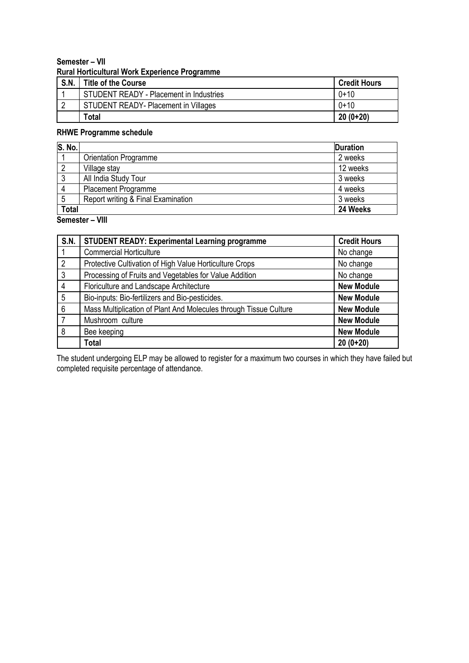## **Semester – VII Rural Horticultural Work Experience Programme**

| S.N. | <b>Title of the Course</b>                     | <b>Credit Hours</b> |
|------|------------------------------------------------|---------------------|
|      | <b>STUDENT READY - Placement in Industries</b> | $0 + 10$            |
|      | STUDENT READY- Placement in Villages           | $0 + 10$            |
|      | Total                                          | $20(0+20)$          |

## **RHWE Programme schedule**

| S. No.       |                                    | <b>Duration</b> |
|--------------|------------------------------------|-----------------|
|              | <b>Orientation Programme</b>       | 2 weeks         |
|              | Village stay                       | 12 weeks        |
| ົ<br>J       | All India Study Tour               | 3 weeks         |
|              | <b>Placement Programme</b>         | 4 weeks         |
| 5            | Report writing & Final Examination | 3 weeks         |
| <b>Total</b> |                                    | 24 Weeks        |

**Semester – VIII** 

| S.N.            | <b>STUDENT READY: Experimental Learning programme</b>             | <b>Credit Hours</b> |
|-----------------|-------------------------------------------------------------------|---------------------|
|                 | <b>Commercial Horticulture</b>                                    | No change           |
| $\overline{2}$  | Protective Cultivation of High Value Horticulture Crops           | No change           |
| 3               | Processing of Fruits and Vegetables for Value Addition            | No change           |
| 4               | Floriculture and Landscape Architecture                           | <b>New Module</b>   |
| 5               | Bio-inputs: Bio-fertilizers and Bio-pesticides.                   | <b>New Module</b>   |
| $6\phantom{1}6$ | Mass Multiplication of Plant And Molecules through Tissue Culture | <b>New Module</b>   |
|                 | Mushroom culture                                                  | <b>New Module</b>   |
| 8               | Bee keeping                                                       | <b>New Module</b>   |
|                 | Total                                                             | $20(0+20)$          |

The student undergoing ELP may be allowed to register for a maximum two courses in which they have failed but completed requisite percentage of attendance.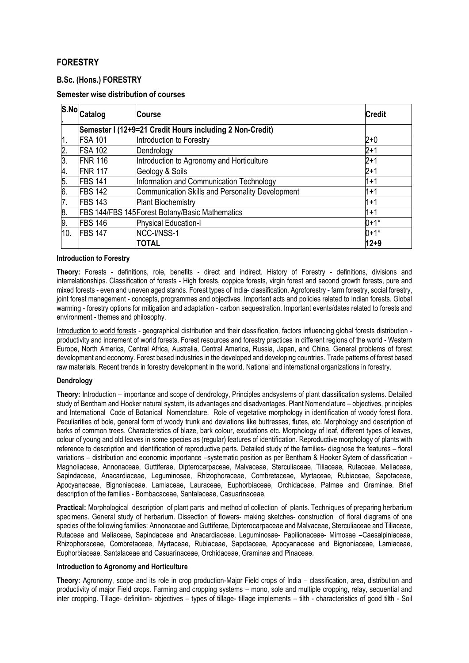# **FORESTRY**

## **B.Sc. (Hons.) FORESTRY**

## **Semester wise distribution of courses**

|     | S.No Catalog   | <b>Course</b>                                            | <b>Credit</b> |
|-----|----------------|----------------------------------------------------------|---------------|
|     |                | Semester I (12+9=21 Credit Hours including 2 Non-Credit) |               |
| 1.  | <b>FSA 101</b> | Introduction to Forestry                                 | $2 + 0$       |
| 2.  | <b>FSA 102</b> | Dendrology                                               | $2 + 1$       |
| 3.  | <b>FNR 116</b> | Introduction to Agronomy and Horticulture                | $2 + 1$       |
| 4.  | <b>FNR 117</b> | Geology & Soils                                          | $2 + 1$       |
| 5.  | <b>FBS 141</b> | Information and Communication Technology                 | $1 + 1$       |
| 6.  | <b>FBS 142</b> | <b>Communication Skills and Personality Development</b>  | $1 + 1$       |
| 7.  | <b>FBS 143</b> | <b>Plant Biochemistry</b>                                | $1 + 1$       |
| 8.  |                | FBS 144/FBS 145 Forest Botany/Basic Mathematics          | $1 + 1$       |
| 9.  | <b>FBS 146</b> | Physical Education-I                                     | $0+1*$        |
| 10. | <b>FBS 147</b> | NCC-I/NSS-1                                              | $0+1*$        |
|     |                | <b>TOTAL</b>                                             | $12 + 9$      |

#### **Introduction to Forestry**

**Theory:** Forests - definitions, role, benefits - direct and indirect. History of Forestry - definitions, divisions and interrelationships. Classification of forests - High forests, coppice forests, virgin forest and second growth forests, pure and mixed forests - even and uneven aged stands. Forest types of India- classification. Agroforestry - farm forestry, social forestry, joint forest management - concepts, programmes and objectives. Important acts and policies related to Indian forests. Global warming - forestry options for mitigation and adaptation - carbon sequestration. Important events/dates related to forests and environment - themes and philosophy.

Introduction to world forests - geographical distribution and their classification, factors influencing global forests distribution productivity and increment of world forests. Forest resources and forestry practices in different regions of the world - Western Europe, North America, Central Africa, Australia, Central America, Russia, Japan, and China. General problems of forest development and economy. Forest based industries in the developed and developing countries. Trade patterns of forest based raw materials. Recent trends in forestry development in the world. National and international organizations in forestry.

## **Dendrology**

**Theory:** Introduction – importance and scope of dendrology, Principles andsystems of plant classification systems. Detailed study of Bentham and Hooker natural system, its advantages and disadvantages. Plant Nomenclature – objectives, principles and International Code of Botanical Nomenclature. Role of vegetative morphology in identification of woody forest flora. Peculiarities of bole, general form of woody trunk and deviations like buttresses, flutes, etc. Morphology and description of barks of common trees. Characteristics of blaze, bark colour, exudations etc. Morphology of leaf, different types of leaves, colour of young and old leaves in some species as (regular) features of identification. Reproductive morphology of plants with reference to description and identification of reproductive parts. Detailed study of the families- diagnose the features – floral variations – distribution and economic importance –systematic position as per Bentham & Hooker Sytem of classification - Magnoliaceae, Annonaceae, Guttiferae, Dipterocarpaceae, Malvaceae, Sterculiaceae, Tiliaceae, Rutaceae, Meliaceae, Sapindaceae, Anacardiaceae, Leguminosae, Rhizophoraceae, Combretaceae, Myrtaceae, Rubiaceae, Sapotaceae, Apocyanaceae, Bignoniaceae, Lamiaceae, Lauraceae, Euphorbiaceae, Orchidaceae, Palmae and Graminae. Brief description of the families - Bombacaceae, Santalaceae, Casuarinaceae.

**Practical:** Morphological description of plant parts and method of collection of plants. Techniques of preparing herbarium specimens. General study of herbarium. Dissection of flowers- making sketches- construction of floral diagrams of one species of the following families: Annonaceae and Guttiferae, Dipterocarpaceae and Malvaceae, Sterculiaceae and Tiliaceae, Rutaceae and Meliaceae, Sapindaceae and Anacardiaceae, Leguminosae- Papilionaceae- Mimosae –Caesalpiniaceae, Rhizophoraceae, Combretaceae, Myrtaceae, Rubiaceae, Sapotaceae, Apocyanaceae and Bignoniaceae, Lamiaceae, Euphorbiaceae, Santalaceae and Casuarinaceae, Orchidaceae, Graminae and Pinaceae.

## **Introduction to Agronomy and Horticulture**

**Theory:** Agronomy, scope and its role in crop production-Major Field crops of India – classification, area, distribution and productivity of major Field crops. Farming and cropping systems – mono, sole and multiple cropping, relay, sequential and inter cropping. Tillage- definition- objectives – types of tillage- tillage implements – tilth - characteristics of good tilth - Soil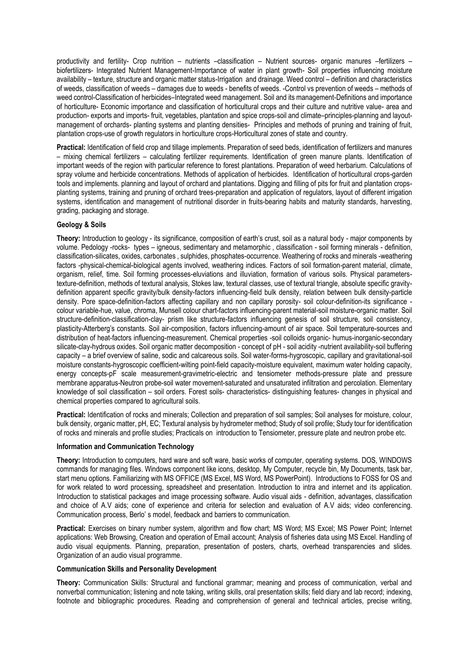productivity and fertility- Crop nutrition – nutrients –classification – Nutrient sources- organic manures –fertilizers – biofertilizers- Integrated Nutrient Management-Importance of water in plant growth- Soil properties influencing moisture availability – texture, structure and organic matter status-Irrigation and drainage. Weed control – definition and characteristics of weeds, classification of weeds – damages due to weeds - benefits of weeds. -Control vs prevention of weeds – methods of weed control-Classification of herbicides–Integrated weed management. Soil and its management-Definitions and importance of horticulture- Economic importance and classification of horticultural crops and their culture and nutritive value- area and production- exports and imports- fruit, vegetables, plantation and spice crops-soil and climate–principles-planning and layoutmanagement of orchards- planting systems and planting densities- Principles and methods of pruning and training of fruit, plantation crops-use of growth regulators in horticulture crops-Horticultural zones of state and country.

**Practical:** Identification of field crop and tillage implements. Preparation of seed beds, identification of fertilizers and manures – mixing chemical fertilizers – calculating fertilizer requirements. Identification of green manure plants. Identification of important weeds of the region with particular reference to forest plantations. Preparation of weed herbarium. Calculations of spray volume and herbicide concentrations. Methods of application of herbicides. Identification of horticultural crops-garden tools and implements. planning and layout of orchard and plantations. Digging and filling of pits for fruit and plantation cropsplanting systems, training and pruning of orchard trees-preparation and application of regulators, layout of different irrigation systems, identification and management of nutritional disorder in fruits-bearing habits and maturity standards, harvesting, grading, packaging and storage.

## **Geology & Soils**

**Theory:** Introduction to geology - its significance, composition of earth's crust, soil as a natural body - major components by volume. Pedology -rocks- types – igneous, sedimentary and metamorphic , classification - soil forming minerals - definition, classification-silicates, oxides, carbonates , sulphides, phosphates-occurrence. Weathering of rocks and minerals -weathering factors -physical-chemical-biological agents involved, weathering indices. Factors of soil formation-parent material, climate, organism, relief, time. Soil forming processes-eluviations and illuviation, formation of various soils. Physical parameterstexture-definition, methods of textural analysis, Stokes law, textural classes, use of textural triangle, absolute specific gravitydefinition apparent specific gravity/bulk density-factors influencing-field bulk density, relation between bulk density-particle density. Pore space-definition-factors affecting capillary and non capillary porosity- soil colour-definition-its significance colour variable-hue, value, chroma, Munsell colour chart-factors influencing-parent material-soil moisture-organic matter. Soil structure-definition-classification-clay- prism like structure-factors influencing genesis of soil structure, soil consistency, plasticity-Atterberg's constants. Soil air-composition, factors influencing-amount of air space. Soil temperature-sources and distribution of heat-factors influencing-measurement. Chemical properties -soil colloids organic- humus-inorganic-secondary silicate-clay-hydrous oxides. Soil organic matter decomposition - concept of pH - soil acidity -nutrient availability-soil buffering capacity – a brief overview of saline, sodic and calcareous soils. Soil water-forms-hygroscopic, capillary and gravitational-soil moisture constants-hygroscopic coefficient-wilting point-field capacity-moisture equivalent, maximum water holding capacity, energy concepts-pF scale measurement-gravimetric-electric and tensiometer methods-pressure plate and pressure membrane apparatus-Neutron probe-soil water movement-saturated and unsaturated infiltration and percolation. Elementary knowledge of soil classification – soil orders. Forest soils- characteristics- distinguishing features- changes in physical and chemical properties compared to agricultural soils.

**Practical:** Identification of rocks and minerals; Collection and preparation of soil samples; Soil analyses for moisture, colour, bulk density, organic matter, pH, EC; Textural analysis by hydrometer method; Study of soil profile; Study tour for identification of rocks and minerals and profile studies; Practicals on introduction to Tensiometer, pressure plate and neutron probe etc.

## **Information and Communication Technology**

**Theory:** Introduction to computers, hard ware and soft ware, basic works of computer, operating systems. DOS, WINDOWS commands for managing files. Windows component like icons, desktop, My Computer, recycle bin, My Documents, task bar, start menu options. Familiarizing with MS OFFICE (MS Excel, MS Word, MS PowerPoint). Introductions to FOSS for OS and for work related to word processing, spreadsheet and presentation. Introduction to intra and internet and its application. Introduction to statistical packages and image processing software. Audio visual aids - definition, advantages, classification and choice of A.V aids; cone of experience and criteria for selection and evaluation of A.V aids; video conferencing. Communication process, Berlo' s model, feedback and barriers to communication.

**Practical:** Exercises on binary number system, algorithm and flow chart; MS Word; MS Excel; MS Power Point; Internet applications: Web Browsing, Creation and operation of Email account; Analysis of fisheries data using MS Excel. Handling of audio visual equipments. Planning, preparation, presentation of posters, charts, overhead transparencies and slides. Organization of an audio visual programme.

## **Communication Skills and Personality Development**

**Theory:** Communication Skills: Structural and functional grammar; meaning and process of communication, verbal and nonverbal communication; listening and note taking, writing skills, oral presentation skills; field diary and lab record; indexing, footnote and bibliographic procedures. Reading and comprehension of general and technical articles, precise writing,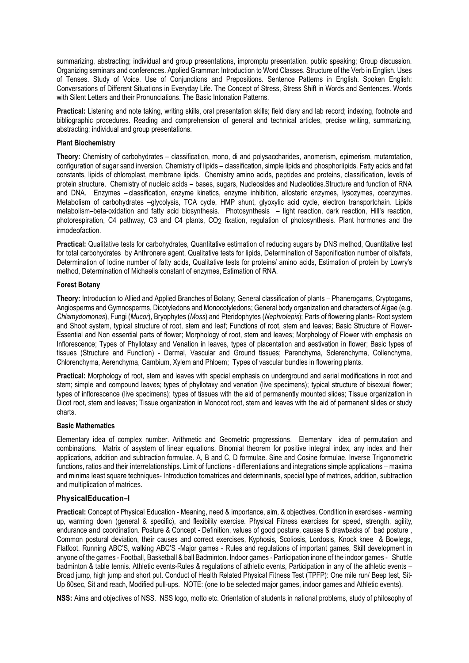summarizing, abstracting; individual and group presentations, impromptu presentation, public speaking; Group discussion. Organizing seminars and conferences. Applied Grammar: Introduction to Word Classes. Structure of the Verb in English. Uses of Tenses. Study of Voice. Use of Conjunctions and Prepositions. Sentence Patterns in English. Spoken English: Conversations of Different Situations in Everyday Life. The Concept of Stress, Stress Shift in Words and Sentences. Words with Silent Letters and their Pronunciations. The Basic Intonation Patterns.

Practical: Listening and note taking, writing skills, oral presentation skills; field diary and lab record; indexing, footnote and bibliographic procedures. Reading and comprehension of general and technical articles, precise writing, summarizing, abstracting; individual and group presentations.

#### **Plant Biochemistry**

**Theory:** Chemistry of carbohydrates – classification, mono, di and polysaccharides, anomerism, epimerism, mutarotation, configuration of sugar sand inversion. Chemistry of lipids – classification, simple lipids and phosphorlipids. Fatty acids and fat constants, lipids of chloroplast, membrane lipids. Chemistry amino acids, peptides and proteins, classification, levels of protein structure. Chemistry of nucleic acids – bases, sugars, Nucleosides and Nucleotides.Structure and function of RNA and DNA. Enzymes – classification, enzyme kinetics, enzyme inhibition, allosteric enzymes, lysozymes, coenzymes. Metabolism of carbohydrates –glycolysis, TCA cycle, HMP shunt, glyoxylic acid cycle, electron transportchain. Lipids metabolism–beta-oxidation and fatty acid biosynthesis. Photosynthesis – light reaction, dark reaction, Hill's reaction, photorespiration, C4 pathway, C3 and C4 plants, CO2 fixation, regulation of photosynthesis. Plant hormones and the irmodeofaction.

**Practical:** Qualitative tests for carbohydrates, Quantitative estimation of reducing sugars by DNS method, Quantitative test for total carbohydrates by Anthronere agent, Qualitative tests for lipids, Determination of Saponification number of oils/fats, Determination of Iodine number of fatty acids, Qualitative tests for proteins/ amino acids, Estimation of protein by Lowry's method, Determination of Michaelis constant of enzymes, Estimation of RNA.

#### **Forest Botany**

**Theory:** Introduction to Allied and Applied Branches of Botany; General classification of plants – Phanerogams, Cryptogams, Angiosperms and Gymnosperms, Dicotyledons and Monocotyledons; General body organization and characters of Algae (e.g. *Chlamydomonas*), Fungi (*Mucor*), Bryophytes (*Moss*) and Pteridophytes (*Nephrolepis*); Parts of flowering plants- Root system and Shoot system, typical structure of root, stem and leaf; Functions of root, stem and leaves; Basic Structure of Flower-Essential and Non essential parts of flower; Morphology of root, stem and leaves; Morphology of Flower with emphasis on Inflorescence; Types of Phyllotaxy and Venation in leaves, types of placentation and aestivation in flower; Basic types of tissues (Structure and Function) - Dermal, Vascular and Ground tissues; Parenchyma, Sclerenchyma, Collenchyma, Chlorenchyma, Aerenchyma, Cambium, Xylem and Phloem; Types of vascular bundles in flowering plants.

**Practical:** Morphology of root, stem and leaves with special emphasis on underground and aerial modifications in root and stem; simple and compound leaves; types of phyllotaxy and venation (live specimens); typical structure of bisexual flower; types of inflorescence (live specimens); types of tissues with the aid of permanently mounted slides; Tissue organization in Dicot root, stem and leaves; Tissue organization in Monocot root, stem and leaves with the aid of permanent slides or study charts.

## **Basic Mathematics**

Elementary idea of complex number. Arithmetic and Geometric progressions. Elementary idea of permutation and combinations. Matrix of asystem of linear equations. Binomial theorem for positive integral index, any index and their applications, addition and subtraction formulae. A, B and C, D formulae. Sine and Cosine formulae. Inverse Trigonometric functions, ratios and their interrelationships. Limit of functions - differentiations and integrations simple applications – maxima and minima least square techniques- Introduction tomatrices and determinants, special type of matrices, addition, subtraction and multiplication of matrices.

## **PhysicalEducation–I**

**Practical:** Concept of Physical Education - Meaning, need & importance, aim, & objectives. Condition in exercises - warming up, warming down (general & specific), and flexibility exercise. Physical Fitness exercises for speed, strength, agility, endurance and coordination. Posture & Concept - Definition, values of good posture, causes & drawbacks of bad posture , Common postural deviation, their causes and correct exercises, Kyphosis, Scoliosis, Lordosis, Knock knee & Bowlegs, Flatfoot. Running ABC'S, walking ABC'S -Major games - Rules and regulations of important games, Skill development in anyone of the games - Football, Basketball & ball Badminton. Indoor games - Participation inone of the indoor games - Shuttle badminton & table tennis. Athletic events-Rules & regulations of athletic events, Participation in any of the athletic events – Broad jump, high jump and short put. Conduct of Health Related Physical Fitness Test (TPFP): One mile run/ Beep test, Sit-Up 60sec, Sit and reach, Modified pull-ups. NOTE: (one to be selected major games, indoor games and Athletic events).

**NSS:** Aims and objectives of NSS. NSS logo, motto etc. Orientation of students in national problems, study of philosophy of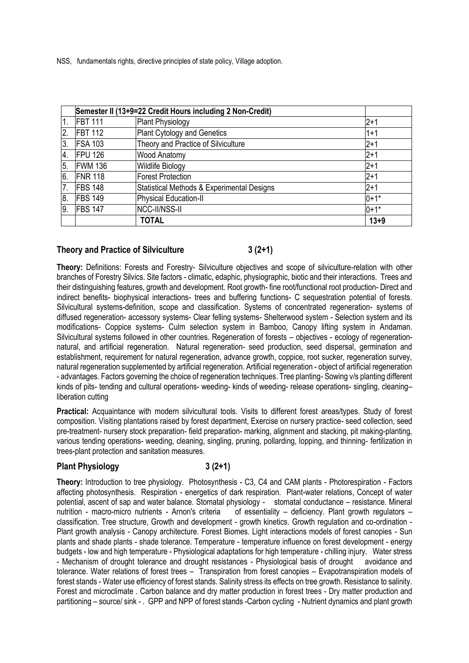NSS, fundamentals rights, directive principles of state policy, Village adoption.

|     | Semester II (13+9=22 Credit Hours including 2 Non-Credit) |                                            |          |
|-----|-----------------------------------------------------------|--------------------------------------------|----------|
| 1.  | <b>FBT 111</b>                                            | Plant Physiology                           | $2 + 1$  |
| 2.  | <b>FBT 112</b>                                            | Plant Cytology and Genetics                | $1 + 1$  |
| 3.  | <b>FSA 103</b>                                            | Theory and Practice of Silviculture        | $2 + 1$  |
| 4.  | <b>FPU 126</b>                                            | <b>Wood Anatomy</b>                        | $2 + 1$  |
| 15. | <b>FWM 136</b>                                            | <b>Wildlife Biology</b>                    | $2 + 1$  |
| 6.  | <b>FNR 118</b>                                            | <b>Forest Protection</b>                   | $2 + 1$  |
| 17. | <b>FBS 148</b>                                            | Statistical Methods & Experimental Designs | $2 + 1$  |
| 8.  | FBS 149                                                   | Physical Education-II                      | $0+1*$   |
| 19. | <b>FBS 147</b>                                            | <b>NCC-II/NSS-II</b>                       | $0+1*$   |
|     |                                                           | <b>TOTAL</b>                               | $13 + 9$ |

## **Theory and Practice of Silviculture 3 (2+1)**

**Theory:** Definitions: Forests and Forestry- Silviculture objectives and scope of silviculture-relation with other branches of Forestry Silvics. Site factors - climatic, edaphic, physiographic, biotic and their interactions. Trees and their distinguishing features, growth and development. Root growth- fine root/functional root production- Direct and indirect benefits- biophysical interactions- trees and buffering functions- C sequestration potential of forests. Silvicultural systems-definition, scope and classification. Systems of concentrated regeneration- systems of diffused regeneration- accessory systems- Clear felling systems- Shelterwood system - Selection system and its modifications- Coppice systems- Culm selection system in Bamboo, Canopy lifting system in Andaman. Silvicultural systems followed in other countries. Regeneration of forests – objectives - ecology of regenerationnatural, and artificial regeneration. Natural regeneration- seed production, seed dispersal, germination and establishment, requirement for natural regeneration, advance growth, coppice, root sucker, regeneration survey, natural regeneration supplemented by artificial regeneration. Artificial regeneration - object of artificial regeneration - advantages. Factors governing the choice of regeneration techniques. Tree planting- Sowing v/s planting different kinds of pits- tending and cultural operations- weeding- kinds of weeding- release operations- singling, cleaning– liberation cutting

**Practical:** Acquaintance with modern silvicultural tools. Visits to different forest areas/types. Study of forest composition. Visiting plantations raised by forest department, Exercise on nursery practice- seed collection, seed pre-treatment- nursery stock preparation- field preparation- marking, alignment and stacking, pit making-planting, various tending operations- weeding, cleaning, singling, pruning, pollarding, lopping, and thinning- fertilization in trees-plant protection and sanitation measures.

## **Plant Physiology 3 (2+1)**

**Theory:** Introduction to tree physiology. Photosynthesis - C3, C4 and CAM plants - Photorespiration - Factors affecting photosynthesis. Respiration - energetics of dark respiration. Plant-water relations, Concept of water potential, ascent of sap and water balance. Stomatal physiology - stomatal conductance – resistance. Mineral nutrition - macro-micro nutrients - Arnon's criteria of essentiality – deficiency. Plant growth regulators – classification. Tree structure, Growth and development - growth kinetics. Growth regulation and co-ordination - Plant growth analysis - Canopy architecture. Forest Biomes. Light interactions models of forest canopies - Sun plants and shade plants - shade tolerance. Temperature - temperature influence on forest development - energy budgets - low and high temperature - Physiological adaptations for high temperature - chilling injury. Water stress - Mechanism of drought tolerance and drought resistances - Physiological basis of drought avoidance and tolerance. Water relations of forest trees – Transpiration from forest canopies – Evapotranspiration models of forest stands - Water use efficiency of forest stands. Salinity stress its effects on tree growth. Resistance to salinity. Forest and microclimate . Carbon balance and dry matter production in forest trees - Dry matter production and partitioning – source/ sink - . GPP and NPP of forest stands -Carbon cycling - Nutrient dynamics and plant growth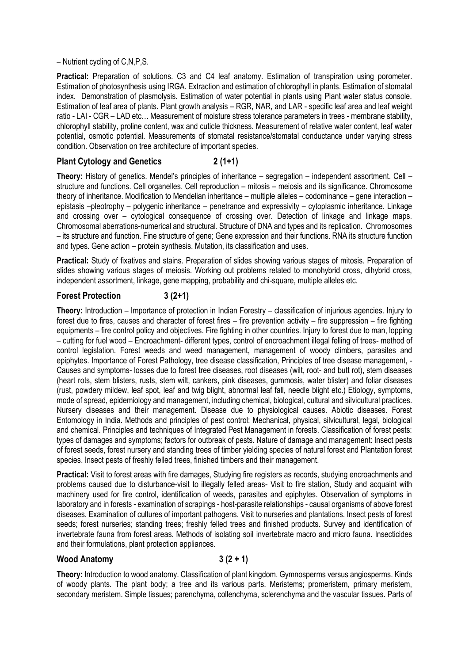– Nutrient cycling of C,N,P,S.

Practical: Preparation of solutions. C3 and C4 leaf anatomy. Estimation of transpiration using porometer. Estimation of photosynthesis using IRGA. Extraction and estimation of chlorophyll in plants. Estimation of stomatal index. Demonstration of plasmolysis. Estimation of water potential in plants using Plant water status console. Estimation of leaf area of plants. Plant growth analysis – RGR, NAR, and LAR - specific leaf area and leaf weight ratio - LAI - CGR – LAD etc… Measurement of moisture stress tolerance parameters in trees - membrane stability, chlorophyll stability, proline content, wax and cuticle thickness. Measurement of relative water content, leaf water potential, osmotic potential. Measurements of stomatal resistance/stomatal conductance under varying stress condition. Observation on tree architecture of important species.

## **Plant Cytology and Genetics 2 (1+1)**

**Theory:** History of genetics. Mendel's principles of inheritance – segregation – independent assortment. Cell – structure and functions. Cell organelles. Cell reproduction – mitosis – meiosis and its significance. Chromosome theory of inheritance. Modification to Mendelian inheritance – multiple alleles – codominance – gene interaction – epistasis –pleotrophy – polygenic inheritance – penetrance and expressivity – cytoplasmic inheritance. Linkage and crossing over – cytological consequence of crossing over. Detection of linkage and linkage maps. Chromosomal aberrations-numerical and structural. Structure of DNA and types and its replication. Chromosomes – its structure and function. Fine structure of gene; Gene expression and their functions. RNA its structure function and types. Gene action – protein synthesis. Mutation, its classification and uses.

**Practical:** Study of fixatives and stains. Preparation of slides showing various stages of mitosis. Preparation of slides showing various stages of meiosis. Working out problems related to monohybrid cross, dihybrid cross, independent assortment, linkage, gene mapping, probability and chi-square, multiple alleles etc.

## **Forest Protection 3 (2+1)**

**Theory:** Introduction – Importance of protection in Indian Forestry – classification of injurious agencies. Injury to forest due to fires, causes and character of forest fires – fire prevention activity – fire suppression – fire fighting equipments – fire control policy and objectives. Fire fighting in other countries. Injury to forest due to man, lopping – cutting for fuel wood – Encroachment- different types, control of encroachment illegal felling of trees- method of control legislation. Forest weeds and weed management, management of woody climbers, parasites and epiphytes. Importance of Forest Pathology, tree disease classification, Principles of tree disease management, - Causes and symptoms- losses due to forest tree diseases, root diseases (wilt, root- and butt rot), stem diseases (heart rots, stem blisters, rusts, stem wilt, cankers, pink diseases, gummosis, water blister) and foliar diseases (rust, powdery mildew, leaf spot, leaf and twig blight, abnormal leaf fall, needle blight etc.) Etiology, symptoms, mode of spread, epidemiology and management, including chemical, biological, cultural and silvicultural practices. Nursery diseases and their management. Disease due to physiological causes. Abiotic diseases. Forest Entomology in India. Methods and principles of pest control: Mechanical, physical, silvicultural, legal, biological and chemical. Principles and techniques of Integrated Pest Management in forests. Classification of forest pests: types of damages and symptoms; factors for outbreak of pests. Nature of damage and management: Insect pests of forest seeds, forest nursery and standing trees of timber yielding species of natural forest and Plantation forest species. Insect pests of freshly felled trees, finished timbers and their management.

**Practical:** Visit to forest areas with fire damages, Studying fire registers as records, studying encroachments and problems caused due to disturbance-visit to illegally felled areas- Visit to fire station, Study and acquaint with machinery used for fire control, identification of weeds, parasites and epiphytes. Observation of symptoms in laboratory and in forests - examination of scrapings - host-parasite relationships - causal organisms of above forest diseases. Examination of cultures of important pathogens. Visit to nurseries and plantations. Insect pests of forest seeds; forest nurseries; standing trees; freshly felled trees and finished products. Survey and identification of invertebrate fauna from forest areas. Methods of isolating soil invertebrate macro and micro fauna. Insecticides and their formulations, plant protection appliances.

## **Wood Anatomy 3 (2 + 1)**

**Theory:** Introduction to wood anatomy. Classification of plant kingdom. Gymnosperms versus angiosperms. Kinds of woody plants. The plant body; a tree and its various parts. Meristems; promeristem, primary meristem, secondary meristem. Simple tissues; parenchyma, collenchyma, sclerenchyma and the vascular tissues. Parts of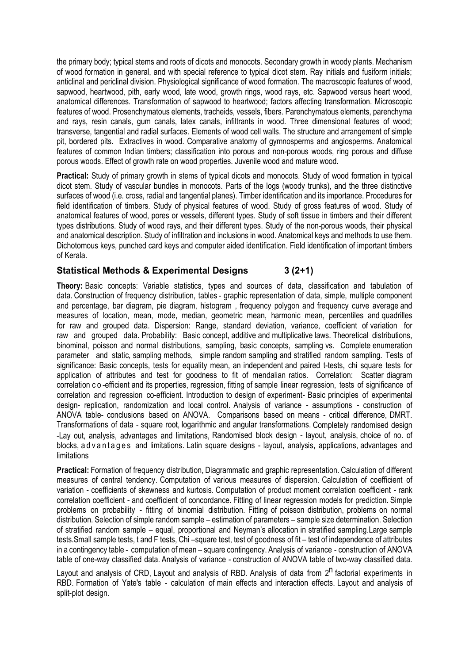the primary body; typical stems and roots of dicots and monocots. Secondary growth in woody plants. Mechanism of wood formation in general, and with special reference to typical dicot stem. Ray initials and fusiform initials; anticlinal and periclinal division. Physiological significance of wood formation. The macroscopic features of wood, sapwood, heartwood, pith, early wood, late wood, growth rings, wood rays, etc. Sapwood versus heart wood, anatomical differences. Transformation of sapwood to heartwood; factors affecting transformation. Microscopic features of wood. Prosenchymatous elements, tracheids, vessels, fibers. Parenchymatous elements, parenchyma and rays, resin canals, gum canals, latex canals, infiltrants in wood. Three dimensional features of wood; transverse, tangential and radial surfaces. Elements of wood cell walls. The structure and arrangement of simple pit, bordered pits. Extractives in wood. Comparative anatomy of gymnosperms and angiosperms. Anatomical features of common Indian timbers; classification into porous and non-porous woods, ring porous and diffuse porous woods. Effect of growth rate on wood properties. Juvenile wood and mature wood.

**Practical:** Study of primary growth in stems of typical dicots and monocots. Study of wood formation in typical dicot stem. Study of vascular bundles in monocots. Parts of the logs (woody trunks), and the three distinctive surfaces of wood (i.e. cross, radial and tangential planes). Timber identification and its importance. Procedures for field identification of timbers. Study of physical features of wood. Study of gross features of wood. Study of anatomical features of wood, pores or vessels, different types. Study of soft tissue in timbers and their different types distributions. Study of wood rays, and their different types. Study of the non-porous woods, their physical and anatomical description. Study of infiltration and inclusions in wood. Anatomical keys and methods to use them. Dichotomous keys, punched card keys and computer aided identification. Field identification of important timbers of Kerala.

## **Statistical Methods & Experimental Designs 3 (2+1)**

**Theory:** Basic concepts: Variable statistics, types and sources of data, classification and tabulation of data. Construction of frequency distribution, tables - graphic representation of data, simple, multiple component and percentage, bar diagram, pie diagram, histogram , frequency polygon and frequency curve average and measures of location, mean, mode, median, geometric mean, harmonic mean, percentiles and quadrilles for raw and grouped data. Dispersion: Range, standard deviation, variance, coefficient of variation for raw and grouped data. Probability: Basic concept, additive and multiplicative laws. Theoretical distributions, binominal, poisson and normal distributions, sampling, basic concepts, sampling vs. Complete enumeration parameter and static, sampling methods, simple random sampling and stratified random sampling. Tests of significance: Basic concepts, tests for equality mean, an independent and paired t-tests, chi square tests for application of attributes and test for goodness to fit of mendalian ratios. Correlation: Scatter diagram correlation c o -efficient and its properties, regression, fitting of sample linear regression, tests of significance of correlation and regression co-efficient. Introduction to design of experiment- Basic principles of experimental design- replication, randomization and local control. Analysis of variance - assumptions - construction of ANOVA table- conclusions based on ANOVA. Comparisons based on means - critical difference, DMRT. Transformations of data - square root, logarithmic and angular transformations. Completely randomised design -Lay out, analysis, advantages and limitations, Randomised block design - layout, analysis, choice of no. of blocks, a d v a n t a g e s and limitations. Latin square designs - layout, analysis, applications, advantages and limitations

**Practical:** Formation of frequency distribution, Diagrammatic and graphic representation. Calculation of different measures of central tendency. Computation of various measures of dispersion. Calculation of coefficient of variation - coefficients of skewness and kurtosis. Computation of product moment correlation coefficient - rank correlation coefficient - and coefficient of concordance. Fitting of linear regression models for prediction. Simple problems on probability - fitting of binomial distribution. Fitting of poisson distribution, problems on normal distribution. Selection of simple random sample – estimation of parameters – sample size determination. Selection of stratified random sample – equal, proportional and Neyman's allocation in stratified sampling.Large sample tests.Small sample tests, t and F tests, Chi –square test, test of goodness of fit – test of independence of attributes in a contingency table - computation of mean – square contingency. Analysis of variance - construction of ANOVA table of one-way classified data. Analysis of variance - construction of ANOVA table of two-way classified data.

Layout and analysis of CRD, Layout and analysis of RBD. Analysis of data from 2<sup>n</sup> factorial experiments in RBD. Formation of Yate's table - calculation of main effects and interaction effects. Layout and analysis of split-plot design.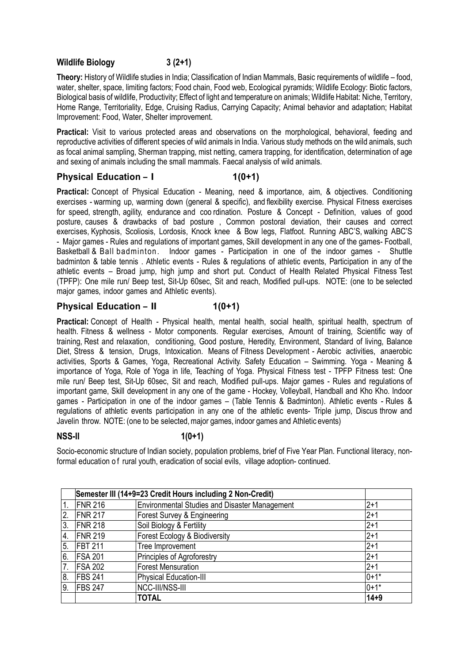## **Wildlife Biology 3 (2+1)**

**Theory:** History of Wildlife studies in India; Classification of Indian Mammals, Basic requirements of wildlife – food, water, shelter, space, limiting factors; Food chain, Food web, Ecological pyramids; Wildlife Ecology: Biotic factors, Biological basis of wildlife, Productivity; Effect of light and temperature on animals; Wildlife Habitat: Niche, Territory, Home Range, Territoriality, Edge, Cruising Radius, Carrying Capacity; Animal behavior and adaptation; Habitat Improvement: Food, Water, Shelter improvement.

**Practical:** Visit to various protected areas and observations on the morphological, behavioral, feeding and reproductive activities of different species of wild animals in India. Various study methods on the wild animals, such as focal animal sampling, Sherman trapping, mist netting, camera trapping, for identification, determination of age and sexing of animals including the small mammals. Faecal analysis of wild animals.

## **Physical Education – I** 1(0+1)

**Practical:** Concept of Physical Education - Meaning, need & importance, aim, & objectives. Conditioning exercises - warming up, warming down (general & specific), and flexibility exercise. Physical Fitness exercises for speed, strength, agility, endurance and coo rdination. Posture & Concept - Definition, values of good posture, causes & drawbacks of bad posture , Common postoral deviation, their causes and correct exercises, Kyphosis, Scoliosis, Lordosis, Knock knee & Bow legs, Flatfoot. Running ABC'S, walking ABC'S - Major games - Rules and regulations of important games, Skill development in any one of the games- Football, Basketball & Ball badminton. Indoor games - Participation in one of the indoor games - Shuttle badminton & table tennis . Athletic events - Rules & regulations of athletic events, Participation in any of the athletic events – Broad jump, high jump and short put. Conduct of Health Related Physical Fitness Test (TPFP): One mile run/ Beep test, Sit-Up 60sec, Sit and reach, Modified pull-ups. NOTE: (one to be selected major games, indoor games and Athletic events).

## **Physical Education – II 1(0+1)**

Practical: Concept of Health - Physical health, mental health, social health, spiritual health, spectrum of health. Fitness & wellness - Motor components. Regular exercises, Amount of training, Scientific way of training, Rest and relaxation, conditioning, Good posture, Heredity, Environment, Standard of living, Balance Diet, Stress & tension, Drugs, Intoxication. Means of Fitness Development - Aerobic activities, anaerobic activities, Sports & Games, Yoga, Recreational Activity. Safety Education – Swimming. Yoga - Meaning & importance of Yoga, Role of Yoga in life, Teaching of Yoga. Physical Fitness test - TPFP Fitness test: One mile run/ Beep test, Sit-Up 60sec, Sit and reach, Modified pull-ups. Major games - Rules and regulations of important game, Skill development in any one of the game - Hockey, Volleyball, Handball and Kho Kho. Indoor games - Participation in one of the indoor games – (Table Tennis & Badminton). Athletic events - Rules & regulations of athletic events participation in any one of the athletic events- Triple jump, Discus throw and Javelin throw. NOTE: (one to be selected,major games, indoor games and Athletic events)

## **NSS-II 1(0+1)**

Socio-economic structure of Indian society, population problems, brief of Five Year Plan. Functional literacy, nonformal education of rural youth, eradication of social evils, village adoption- continued.

|                  | Semester III (14+9=23 Credit Hours including 2 Non-Credit) |                                                      |          |
|------------------|------------------------------------------------------------|------------------------------------------------------|----------|
| $\overline{1}$ . | <b>FNR 216</b>                                             | <b>Environmental Studies and Disaster Management</b> | $2 + 1$  |
| $\overline{2}$ . | <b>FNR 217</b>                                             | Forest Survey & Engineering                          | $2+1$    |
| I3.              | <b>FNR 218</b>                                             | Soil Biology & Fertility                             | $2 + 1$  |
| $\overline{4}$ . | <b>FNR 219</b>                                             | Forest Ecology & Biodiversity                        | $2 + 1$  |
| 5.               | IFBT 211                                                   | Tree Improvement                                     | $2 + 1$  |
| 6.               | <b>FSA 201</b>                                             | Principles of Agroforestry                           | $2 + 1$  |
| 7.               | <b>FSA 202</b>                                             | <b>Forest Mensuration</b>                            | $2 + 1$  |
| 8.               | <b>FBS 241</b>                                             | Physical Education-III                               | $0+1*$   |
| 9                | <b>FBS 247</b>                                             | NCC-III/NSS-III                                      | $0+1*$   |
|                  |                                                            | <b>TOTAL</b>                                         | $14 + 9$ |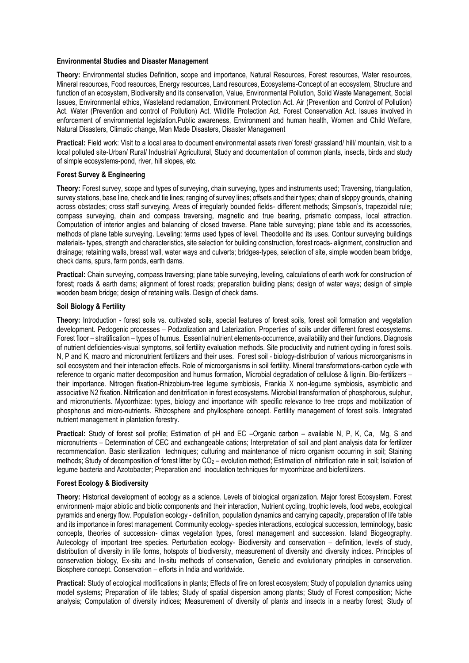#### **Environmental Studies and Disaster Management**

**Theory:** Environmental studies Definition, scope and importance, Natural Resources, Forest resources, Water resources, Mineral resources, Food resources, Energy resources, Land resources, Ecosystems-Concept of an ecosystem, Structure and function of an ecosystem, Biodiversity and its conservation, Value, Environmental Pollution, Solid Waste Management, Social Issues, Environmental ethics, Wasteland reclamation, Environment Protection Act. Air (Prevention and Control of Pollution) Act. Water (Prevention and control of Pollution) Act. Wildlife Protection Act. Forest Conservation Act. Issues involved in enforcement of environmental legislation.Public awareness, Environment and human health, Women and Child Welfare, Natural Disasters, Climatic change, Man Made Disasters, Disaster Management

**Practical:** Field work: Visit to a local area to document environmental assets river/ forest/ grassland/ hill/ mountain, visit to a local polluted site-Urban/ Rural/ Industrial/ Agricultural, Study and documentation of common plants, insects, birds and study of simple ecosystems-pond, river, hill slopes, etc.

#### **Forest Survey & Engineering**

**Theory:** Forest survey, scope and types of surveying, chain surveying, types and instruments used; Traversing, triangulation, survey stations, base line, check and tie lines; ranging of survey lines; offsets and their types; chain of sloppy grounds, chaining across obstacles; cross staff surveying, Areas of irregularly bounded fields- different methods; Simpson's, trapezoidal rule; compass surveying, chain and compass traversing, magnetic and true bearing, prismatic compass, local attraction. Computation of interior angles and balancing of closed traverse. Plane table surveying; plane table and its accessories, methods of plane table surveying. Leveling: terms used types of level. Theodolite and its uses. Contour surveying buildings materials- types, strength and characteristics, site selection for building construction, forest roads- alignment, construction and drainage; retaining walls, breast wall, water ways and culverts; bridges-types, selection of site, simple wooden beam bridge, check dams, spurs, farm ponds, earth dams.

**Practical:** Chain surveying, compass traversing; plane table surveying, leveling, calculations of earth work for construction of forest; roads & earth dams; alignment of forest roads; preparation building plans; design of water ways; design of simple wooden beam bridge; design of retaining walls. Design of check dams.

#### **Soil Biology & Fertility**

**Theory:** Introduction - forest soils vs. cultivated soils, special features of forest soils, forest soil formation and vegetation development. Pedogenic processes – Podzolization and Laterization. Properties of soils under different forest ecosystems. Forest floor – stratification – types of humus. Essential nutrient elements-occurrence, availability and their functions. Diagnosis of nutrient deficiencies-visual symptoms, soil fertility evaluation methods. Site productivity and nutrient cycling in forest soils. N, P and K, macro and micronutrient fertilizers and their uses. Forest soil - biology-distribution of various microorganisms in soil ecosystem and their interaction effects. Role of microorganisms in soil fertility. Mineral transformations-carbon cycle with reference to organic matter decomposition and humus formation, Microbial degradation of cellulose & lignin. Bio-fertilizers – their importance. Nitrogen fixation-Rhizobium-tree legume symbiosis, Frankia X non-legume symbiosis, asymbiotic and associative N2 fixation. Nitrification and denitrification in forest ecosystems. Microbial transformation of phosphorous, sulphur, and micronutrients. Mycorrhizae: types, biology and importance with specific relevance to tree crops and mobilization of phosphorus and micro-nutrients. Rhizosphere and phyllosphere concept. Fertility management of forest soils. Integrated nutrient management in plantation forestry.

**Practical:** Study of forest soil profile; Estimation of pH and EC –Organic carbon – available N, P, K, Ca, Mg, S and micronutrients – Determination of CEC and exchangeable cations; Interpretation of soil and plant analysis data for fertilizer recommendation. Basic sterilization techniques; culturing and maintenance of micro organism occurring in soil; Staining methods; Study of decomposition of forest litter by CO<sub>2</sub> – evolution method; Estimation of nitrification rate in soil; Isolation of legume bacteria and Azotobacter; Preparation and inoculation techniques for mycorrhizae and biofertilizers.

#### **Forest Ecology & Biodiversity**

**Theory:** Historical development of ecology as a science. Levels of biological organization. Major forest Ecosystem. Forest environment- major abiotic and biotic components and their interaction, Nutrient cycling, trophic levels, food webs, ecological pyramids and energy flow. Population ecology - definition, population dynamics and carrying capacity, preparation of life table and its importance in forest management. Community ecology- species interactions, ecological succession, terminology, basic concepts, theories of succession- climax vegetation types, forest management and succession. Island Biogeography. Autecology of important tree species. Perturbation ecology- Biodiversity and conservation – definition, levels of study, distribution of diversity in life forms, hotspots of biodiversity, measurement of diversity and diversity indices. Principles of conservation biology, Ex-situ and In-situ methods of conservation, Genetic and evolutionary principles in conservation. Biosphere concept. Conservation – efforts in India and worldwide.

**Practical:** Study of ecological modifications in plants; Effects of fire on forest ecosystem; Study of population dynamics using model systems; Preparation of life tables; Study of spatial dispersion among plants; Study of Forest composition; Niche analysis; Computation of diversity indices; Measurement of diversity of plants and insects in a nearby forest; Study of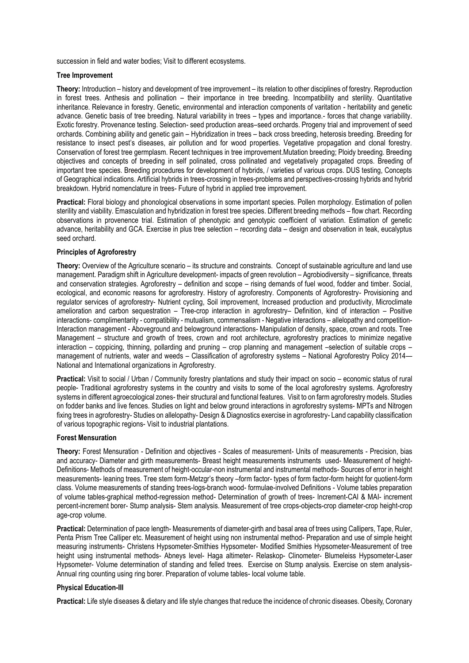succession in field and water bodies; Visit to different ecosystems.

## **Tree Improvement**

**Theory:** Introduction – history and development of tree improvement – its relation to other disciplines of forestry. Reproduction in forest trees. Anthesis and pollination – their importance in tree breeding. Incompatibility and sterility. Quantitative inheritance. Relevance in forestry. Genetic, environmental and interaction components of varitation - heritability and genetic advance. Genetic basis of tree breeding. Natural variability in trees – types and importance.- forces that change variability. Exotic forestry. Provenance testing. Selection- seed production areas–seed orchards. Progeny trial and improvement of seed orchards. Combining ability and genetic gain – Hybridization in trees – back cross breeding, heterosis breeding. Breeding for resistance to insect pest's diseases, air pollution and for wood properties. Vegetative propagation and clonal forestry. Conservation of forest tree germplasm. Recent techniques in tree improvement.Mutation breeding; Ploidy breeding. Breeding objectives and concepts of breeding in self polinated, cross pollinated and vegetatively propagated crops. Breeding of important tree species. Breeding procedures for development of hybrids, / varieties of various crops. DUS testing, Concepts of Geographical indications. Artificial hybrids in trees-crossing in trees-problems and perspectives-crossing hybrids and hybrid breakdown. Hybrid nomenclature in trees- Future of hybrid in applied tree improvement.

**Practical:** Floral biology and phonological observations in some important species. Pollen morphology. Estimation of pollen sterility and viability. Emasculation and hybridization in forest tree species. Different breeding methods – flow chart. Recording observations in provenence trial. Estimation of phenotypic and genotypic coefficient of variation. Estimation of genetic advance, heritability and GCA. Exercise in plus tree selection – recording data – design and observation in teak, eucalyptus seed orchard.

## **Principles of Agroforestry**

**Theory:** Overview of the Agriculture scenario – its structure and constraints. Concept of sustainable agriculture and land use management. Paradigm shift in Agriculture development- impacts of green revolution – Agrobiodiversity – significance, threats and conservation strategies. Agroforestry – definition and scope – rising demands of fuel wood, fodder and timber. Social, ecological, and economic reasons for agroforestry. History of agroforestry. Components of Agroforestry- Provisioning and regulator services of agroforestry- Nutrient cycling, Soil improvement, Increased production and productivity, Microclimate amelioration and carbon sequestration – Tree-crop interaction in agroforestry– Definition, kind of interaction – Positive interactions- complimentarity - compatibility - mutualism, commensalism - Negative interactions – allelopathy and competition-Interaction management - Aboveground and belowground interactions- Manipulation of density, space, crown and roots. Tree Management – structure and growth of trees, crown and root architecture, agroforestry practices to minimize negative interaction – coppicing, thinning, pollarding and pruning – crop planning and management –selection of suitable crops – management of nutrients, water and weeds – Classification of agroforestry systems – National Agroforestry Policy 2014— National and International organizations in Agroforestry.

**Practical:** Visit to social / Urban / Community forestry plantations and study their impact on socio – economic status of rural people- Traditional agroforestry systems in the country and visits to some of the local agroforestry systems. Agroforestry systems in different agroecological zones- their structural and functional features. Visit to on farm agroforestry models. Studies on fodder banks and live fences. Studies on light and below ground interactions in agroforestry systems- MPTs and Nitrogen fixing trees in agroforestry- Studies on allelopathy- Design & Diagnostics exercise in agroforestry- Land capability classification of various topographic regions- Visit to industrial plantations.

## **Forest Mensuration**

**Theory:** Forest Mensuration - Definition and objectives - Scales of measurement- Units of measurements - Precision, bias and accuracy- Diameter and girth measurements- Breast height measurements instruments used- Measurement of height-Definitions- Methods of measurement of height-occular-non instrumental and instrumental methods- Sources of error in height measurements- leaning trees. Tree stem form-Metzgr's theory –form factor- types of form factor-form height for quotient-form class. Volume measurements of standing trees-logs-branch wood- formulae-involved Definitions - Volume tables preparation of volume tables-graphical method-regression method- Determination of growth of trees- Increment-CAI & MAI- increment percent-increment borer- Stump analysis- Stem analysis. Measurement of tree crops-objects-crop diameter-crop height-crop age-crop volume.

**Practical:** Determination of pace length- Measurements of diameter-girth and basal area of trees using Callipers, Tape, Ruler, Penta Prism Tree Calliper etc. Measurement of height using non instrumental method- Preparation and use of simple height measuring instruments- Christens Hypsometer-Smithies Hypsometer- Modified Smithies Hypsometer-Measurement of tree height using instrumental methods- Abneys level- Haga altimeter- Relaskop- Clinometer- Blumeleiss Hypsometer-Laser Hypsometer- Volume determination of standing and felled trees. Exercise on Stump analysis. Exercise on stem analysis-Annual ring counting using ring borer. Preparation of volume tables- local volume table.

## **Physical Education-III**

**Practical:** Life style diseases & dietary and life style changes that reduce the incidence of chronic diseases. Obesity, Coronary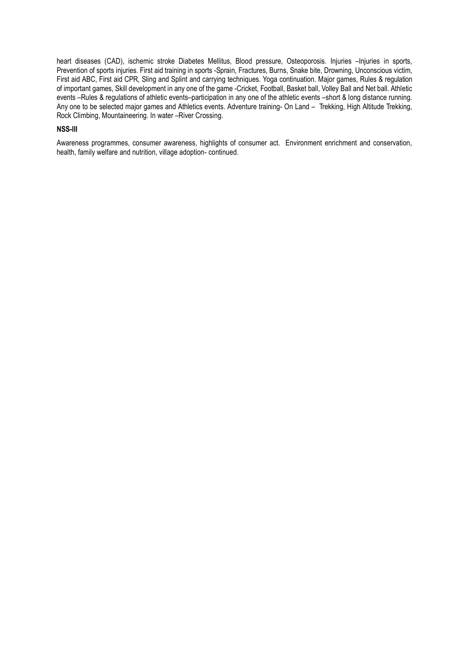heart diseases (CAD), ischemic stroke Diabetes Mellitus, Blood pressure, Osteoporosis. Injuries –Injuries in sports, Prevention of sports injuries. First aid training in sports -Sprain, Fractures, Burns, Snake bite, Drowning, Unconscious victim, First aid ABC, First aid CPR, Sling and Splint and carrying techniques. Yoga continuation. Major games, Rules & regulation of important games, Skill development in any one of the game -Cricket, Football, Basket ball, Volley Ball and Net ball. Athletic events –Rules & regulations of athletic events–participation in any one of the athletic events –short & long distance running. Any one to be selected major games and Athletics events. Adventure training- On Land – Trekking, High Altitude Trekking, Rock Climbing, Mountaineering. In water –River Crossing.

#### **NSS-III**

Awareness programmes, consumer awareness, highlights of consumer act. Environment enrichment and conservation, health, family welfare and nutrition, village adoption- continued.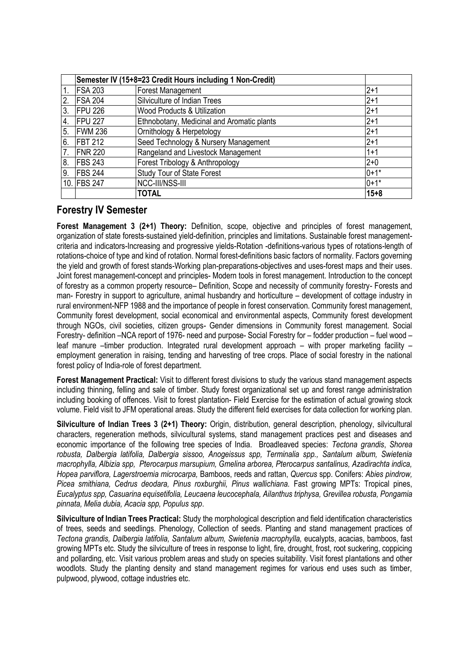|                  | Semester IV (15+8=23 Credit Hours including 1 Non-Credit) |                                            |          |
|------------------|-----------------------------------------------------------|--------------------------------------------|----------|
| $\mathbf 1$      | <b>FSA 203</b>                                            | <b>Forest Management</b>                   | $2+1$    |
| 2.               | <b>FSA 204</b>                                            | Silviculture of Indian Trees               | $2 + 1$  |
| 3.               | FPU <sub>226</sub>                                        | <b>Wood Products &amp; Utilization</b>     | $2 + 1$  |
| $\overline{4}$ . | <b>FPU 227</b>                                            | Ethnobotany, Medicinal and Aromatic plants | $2 + 1$  |
| 5.               | <b>FWM 236</b>                                            | Ornithology & Herpetology                  | $2 + 1$  |
| 6.               | FBT 212                                                   | Seed Technology & Nursery Management       | $2 + 1$  |
| 7.               | <b>FNR 220</b>                                            | Rangeland and Livestock Management         | $1 + 1$  |
| 8.               | <b>FBS 243</b>                                            | Forest Tribology & Anthropology            | $2 + 0$  |
| 9                | <b>FBS 244</b>                                            | <b>Study Tour of State Forest</b>          | $0+1*$   |
|                  | 10. IFBS 247                                              | NCC-III/NSS-III                            | $0+1*$   |
|                  |                                                           | <b>TOTAL</b>                               | $15 + 8$ |

# **Forestry IV Semester**

Forest Management 3 (2+1) Theory: Definition, scope, objective and principles of forest management, organization of state forests-sustained yield-definition, principles and limitations. Sustainable forest managementcriteria and indicators-Increasing and progressive yields-Rotation -definitions-various types of rotations-length of rotations-choice of type and kind of rotation. Normal forest-definitions basic factors of normality. Factors governing the yield and growth of forest stands-Working plan-preparations-objectives and uses-forest maps and their uses. Joint forest management-concept and principles- Modern tools in forest management. Introduction to the concept of forestry as a common property resource– Definition, Scope and necessity of community forestry- Forests and man- Forestry in support to agriculture, animal husbandry and horticulture – development of cottage industry in rural environment-NFP 1988 and the importance of people in forest conservation. Community forest management, Community forest development, social economical and environmental aspects, Community forest development through NGOs, civil societies, citizen groups- Gender dimensions in Community forest management. Social Forestry- definition –NCA report of 1976- need and purpose- Social Forestry for – fodder production – fuel wood – leaf manure –timber production. Integrated rural development approach – with proper marketing facility – employment generation in raising, tending and harvesting of tree crops. Place of social forestry in the national forest policy of India-role of forest department.

**Forest Management Practical:** Visit to different forest divisions to study the various stand management aspects including thinning, felling and sale of timber. Study forest organizational set up and forest range administration including booking of offences. Visit to forest plantation- Field Exercise for the estimation of actual growing stock volume. Field visit to JFM operational areas. Study the different field exercises for data collection for working plan.

**Silviculture of Indian Trees 3 (2+1) Theory:** Origin, distribution, general description, phenology, silvicultural characters, regeneration methods, silvicultural systems, stand management practices pest and diseases and economic importance of the following tree species of India. Broadleaved species: *Tectona grandis*, *Shorea robusta, Dalbergia latifolia, Dalbergia sissoo, Anogeissus spp, Terminalia spp., Santalum album, Swietenia macrophylla, Albizia spp, Pterocarpus marsupium, Gmelina arborea, Pterocarpus santalinus, Azadirachta indica, Hopea parviflora, Lagerstroemia microcarpa,* Bamboos, reeds and rattan, *Quercus* spp. Conifers: *Abies pindrow, Picea smithiana, Cedrus deodara, Pinus roxburghii, Pinus wallichiana.* Fast growing MPTs: Tropical pines, *Eucalyptus spp, Casuarina equisetifolia, Leucaena leucocephala, Ailanthus triphysa, Grevillea robusta, Pongamia pinnata, Melia dubia, Acacia spp, Populus spp*.

**Silviculture of Indian Trees Practical:** Study the morphological description and field identification characteristics of trees, seeds and seedlings. Phenology, Collection of seeds. Planting and stand management practices of *Tectona grandis, Dalbergia latifolia, Santalum album, Swietenia macrophylla,* eucalypts, acacias, bamboos, fast growing MPTs etc. Study the silviculture of trees in response to light, fire, drought, frost, root suckering, coppicing and pollarding, etc. Visit various problem areas and study on species suitability. Visit forest plantations and other woodlots. Study the planting density and stand management regimes for various end uses such as timber, pulpwood, plywood, cottage industries etc.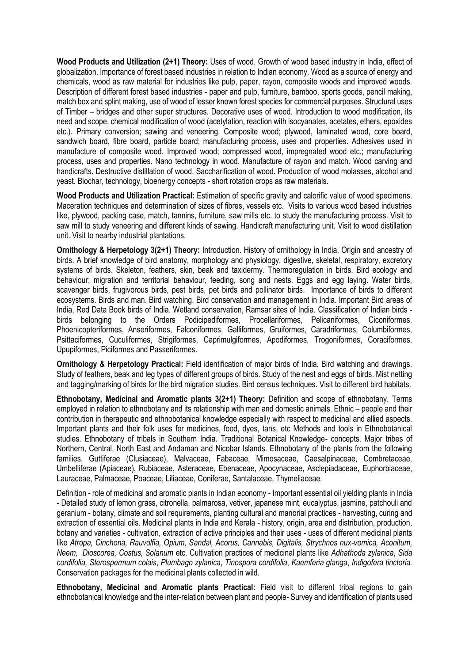**Wood Products and Utilization (2+1) Theory:** Uses of wood. Growth of wood based industry in India, effect of globalization. Importance of forest based industries in relation to Indian economy. Wood as a source of energy and chemicals, wood as raw material for industries like pulp, paper, rayon, composite woods and improved woods. Description of different forest based industries - paper and pulp, furniture, bamboo, sports goods, pencil making, match box and splint making, use of wood of lesser known forest species for commercial purposes. Structural uses of Timber – bridges and other super structures. Decorative uses of wood. Introduction to wood modification, its need and scope, chemical modification of wood (acetylation, reaction with isocyanates, acetates, ethers, epoxides etc.). Primary conversion; sawing and veneering. Composite wood; plywood, laminated wood, core board, sandwich board, fibre board, particle board; manufacturing process, uses and properties. Adhesives used in manufacture of composite wood. Improved wood; compressed wood, impregnated wood etc.; manufacturing process, uses and properties. Nano technology in wood. Manufacture of rayon and match. Wood carving and handicrafts. Destructive distillation of wood. Saccharification of wood. Production of wood molasses, alcohol and yeast. Biochar, technology, bioenergy concepts - short rotation crops as raw materials.

**Wood Products and Utilization Practical:** Estimation of specific gravity and calorific value of wood specimens. Maceration techniques and determination of sizes of fibres, vessels etc. Visits to various wood based industries like, plywood, packing case, match, tannins, furniture, saw mills etc. to study the manufacturing process. Visit to saw mill to study veneering and different kinds of sawing. Handicraft manufacturing unit. Visit to wood distillation unit. Visit to nearby industrial plantations.

**Ornithology & Herpetology 3(2+1) Theory:** Introduction. History of ornithology in India. Origin and ancestry of birds. A brief knowledge of bird anatomy, morphology and physiology, digestive, skeletal, respiratory, excretory systems of birds. Skeleton, feathers, skin, beak and taxidermy. Thermoregulation in birds. Bird ecology and behaviour; migration and territorial behaviour, feeding, song and nests. Eggs and egg laying. Water birds, scavenger birds, frugivorous birds, pest birds, pet birds and pollinator birds. Importance of birds to different ecosystems. Birds and man. Bird watching, Bird conservation and management in India. Important Bird areas of India, Red Data Book birds of India. Wetland conservation, Ramsar sites of India. Classification of Indian birds birds belonging to the Orders Podicipediformes, Procellariformes, Pelicaniformes, Ciconiformes, Phoenicopteriformes, Anseriformes, Falconiformes, Galliformes, Gruiformes, Caradriformes, Columbiformes, Psittaciformes, Cuculiformes, Strigiformes, Caprimulgiformes, Apodiformes, Trogoniformes, Coraciformes, Upupiformes, Piciformes and Passeriformes.

**Ornithology & Herpetology Practical:** Field identification of major birds of India. Bird watching and drawings. Study of feathers, beak and leg types of different groups of birds. Study of the nest and eggs of birds. Mist netting and tagging/marking of birds for the bird migration studies. Bird census techniques. Visit to different bird habitats.

**Ethnobotany, Medicinal and Aromatic plants 3(2+1) Theory:** Definition and scope of ethnobotany. Terms employed in relation to ethnobotany and its relationship with man and domestic animals. Ethnic – people and their contribution in therapeutic and ethnobotanical knowledge especially with respect to medicinal and allied aspects. Important plants and their folk uses for medicines, food, dyes, tans, etc Methods and tools in Ethnobotanical studies. Ethnobotany of tribals in Southern India. Traditional Botanical Knowledge- concepts. Major tribes of Northern, Central, North East and Andaman and Nicobar Islands. Ethnobotany of the plants from the following families. Guttiferae (Clusiaceae), Malvaceae, Fabaceae, Mimosaceae, Caesalpinaceae, Combretaceae, Umbelliferae (Apiaceae), Rubiaceae, Asteraceae, Ebenaceae, Apocynaceae, Asclepiadaceae, Euphorbiaceae, Lauraceae, Palmaceae, Poaceae, Liliaceae, Coniferae, Santalaceae, Thymeliaceae.

Definition - role of medicinal and aromatic plants in Indian economy - Important essential oil yielding plants in India - Detailed study of lemon grass, citronella, palmarosa, vetiver, japanese mint, eucalyptus, jasmine, patchouli and geranium - botany, climate and soil requirements, planting cultural and manorial practices - harvesting, curing and extraction of essential oils. Medicinal plants in India and Kerala - history, origin, area and distribution, production, botany and varieties - cultivation, extraction of active principles and their uses - uses of different medicinal plants like *Atropa, Cinchona, Rauvolfia, Opium, Sandal, Acorus, Cannabis, Digitalis, Strychnos nux-vomica, Aconitum, Neem, Dioscorea, Costus, Solanum* etc. Cultivation practices of medicinal plants like *Adhathoda zylanica*, *Sida cordifolia, Sterospermum colais*, *Plumbago zylanica*, *Tinospora cordifolia*, *Kaemferia glanga*, *Indigofera tinctoria.* Conservation packages for the medicinal plants collected in wild.

**Ethnobotany, Medicinal and Aromatic plants Practical:** Field visit to different tribal regions to gain ethnobotanical knowledge and the inter-relation between plant and people- Survey and identification of plants used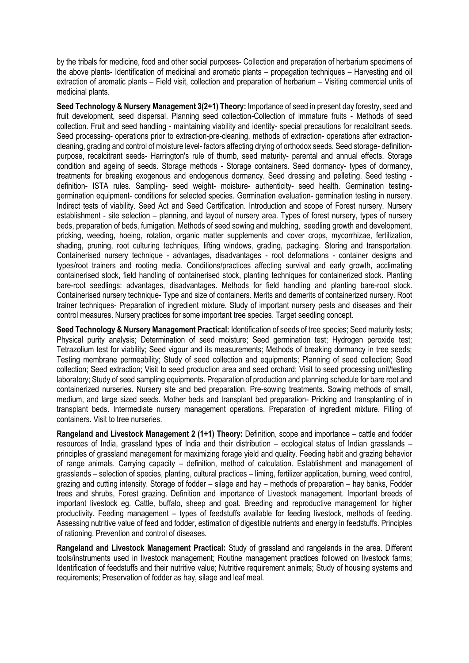by the tribals for medicine, food and other social purposes- Collection and preparation of herbarium specimens of the above plants- Identification of medicinal and aromatic plants – propagation techniques – Harvesting and oil extraction of aromatic plants – Field visit, collection and preparation of herbarium – Visiting commercial units of medicinal plants.

**Seed Technology & Nursery Management 3(2+1) Theory:** Importance of seed in present day forestry, seed and fruit development, seed dispersal. Planning seed collection-Collection of immature fruits - Methods of seed collection. Fruit and seed handling - maintaining viability and identity- special precautions for recalcitrant seeds. Seed processing- operations prior to extraction-pre-cleaning, methods of extraction- operations after extractioncleaning, grading and control of moisture level- factors affecting drying of orthodox seeds. Seed storage- definitionpurpose, recalcitrant seeds- Harrington's rule of thumb, seed maturity- parental and annual effects. Storage condition and ageing of seeds. Storage methods - Storage containers. Seed dormancy- types of dormancy, treatments for breaking exogenous and endogenous dormancy. Seed dressing and pelleting. Seed testing definition- ISTA rules. Sampling- seed weight- moisture- authenticity- seed health. Germination testinggermination equipment- conditions for selected species. Germination evaluation- germination testing in nursery. Indirect tests of viability. Seed Act and Seed Certification. Introduction and scope of Forest nursery. Nursery establishment - site selection – planning, and layout of nursery area. Types of forest nursery, types of nursery beds, preparation of beds, fumigation. Methods of seed sowing and mulching, seedling growth and development, pricking, weeding, hoeing, rotation, organic matter supplements and cover crops, mycorrhizae, fertilization, shading, pruning, root culturing techniques, lifting windows, grading, packaging. Storing and transportation. Containerised nursery technique - advantages, disadvantages - root deformations - container designs and types/root trainers and rooting media. Conditions/practices affecting survival and early growth, acclimating containerised stock, field handling of containerised stock, planting techniques for containerized stock. Planting bare-root seedlings: advantages, disadvantages. Methods for field handling and planting bare-root stock. Containerised nursery technique- Type and size of containers. Merits and demerits of containerized nursery. Root trainer techniques- Preparation of ingredient mixture. Study of important nursery pests and diseases and their control measures. Nursery practices for some important tree species. Target seedling concept.

**Seed Technology & Nursery Management Practical:** Identification of seeds of tree species; Seed maturity tests; Physical purity analysis; Determination of seed moisture; Seed germination test; Hydrogen peroxide test; Tetrazolium test for viability; Seed vigour and its measurements; Methods of breaking dormancy in tree seeds; Testing membrane permeability; Study of seed collection and equipments; Planning of seed collection; Seed collection; Seed extraction; Visit to seed production area and seed orchard; Visit to seed processing unit/testing laboratory; Study of seed sampling equipments. Preparation of production and planning schedule for bare root and containerized nurseries. Nursery site and bed preparation. Pre-sowing treatments. Sowing methods of small, medium, and large sized seeds. Mother beds and transplant bed preparation- Pricking and transplanting of in transplant beds. Intermediate nursery management operations. Preparation of ingredient mixture. Filling of containers. Visit to tree nurseries.

**Rangeland and Livestock Management 2 (1+1) Theory:** Definition, scope and importance – cattle and fodder resources of India, grassland types of India and their distribution – ecological status of Indian grasslands – principles of grassland management for maximizing forage yield and quality. Feeding habit and grazing behavior of range animals. Carrying capacity – definition, method of calculation. Establishment and management of grasslands – selection of species, planting, cultural practices – liming, fertilizer application, burning, weed control, grazing and cutting intensity. Storage of fodder – silage and hay – methods of preparation – hay banks, Fodder trees and shrubs, Forest grazing. Definition and importance of Livestock management. Important breeds of important livestock eg. Cattle, buffalo, sheep and goat. Breeding and reproductive management for higher productivity. Feeding management – types of feedstuffs available for feeding livestock, methods of feeding. Assessing nutritive value of feed and fodder, estimation of digestible nutrients and energy in feedstuffs. Principles of rationing. Prevention and control of diseases.

**Rangeland and Livestock Management Practical:** Study of grassland and rangelands in the area. Different tools/instruments used in livestock management; Routine management practices followed on livestock farms; Identification of feedstuffs and their nutritive value; Nutritive requirement animals; Study of housing systems and requirements; Preservation of fodder as hay, silage and leaf meal.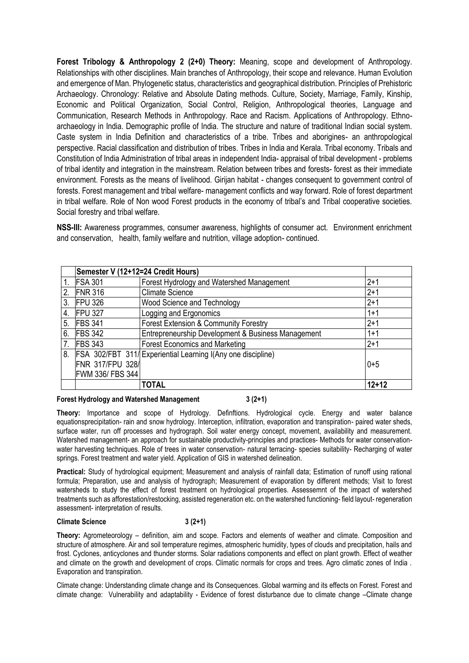**Forest Tribology & Anthropology 2 (2+0) Theory:** Meaning, scope and development of Anthropology. Relationships with other disciplines. Main branches of Anthropology, their scope and relevance. Human Evolution and emergence of Man. Phylogenetic status, characteristics and geographical distribution. Principles of Prehistoric Archaeology. Chronology: Relative and Absolute Dating methods. Culture, Society, Marriage, Family, Kinship, Economic and Political Organization, Social Control, Religion, Anthropological theories, Language and Communication, Research Methods in Anthropology. Race and Racism. Applications of Anthropology. Ethnoarchaeology in India. Demographic profile of India. The structure and nature of traditional Indian social system. Caste system in India Definition and characteristics of a tribe. Tribes and aborigines- an anthropological perspective. Racial classification and distribution of tribes. Tribes in India and Kerala. Tribal economy. Tribals and Constitution of India Administration of tribal areas in independent India- appraisal of tribal development - problems of tribal identity and integration in the mainstream. Relation between tribes and forests- forest as their immediate environment. Forests as the means of livelihood. Girijan habitat - changes consequent to government control of forests. Forest management and tribal welfare- management conflicts and way forward. Role of forest department in tribal welfare. Role of Non wood Forest products in the economy of tribal's and Tribal cooperative societies. Social forestry and tribal welfare.

**NSS-III:** Awareness programmes, consumer awareness, highlights of consumer act. Environment enrichment and conservation, health, family welfare and nutrition, village adoption- continued.

|    | Semester V (12+12=24 Credit Hours) |                                                                     |         |
|----|------------------------------------|---------------------------------------------------------------------|---------|
| 1. | <b>FSA 301</b>                     | Forest Hydrology and Watershed Management                           | $2+1$   |
| 2. | <b>FNR 316</b>                     | <b>Climate Science</b>                                              | $2+1$   |
| 3. | <b>FPU 326</b>                     | Wood Science and Technology                                         | $2+1$   |
| 4. | <b>FPU 327</b>                     | Logging and Ergonomics                                              | $1+1$   |
| 5. | <b>FBS 341</b>                     | <b>Forest Extension &amp; Community Forestry</b>                    | $2+1$   |
| 6. | <b>FBS 342</b>                     | Entrepreneurship Development & Business Management                  | $1+1$   |
| 7. | <b>FBS 343</b>                     | <b>Forest Economics and Marketing</b>                               | $2+1$   |
| 8. |                                    | <b>FSA 302/FBT 311/ Experiential Learning I(Any one discipline)</b> |         |
|    | FNR 317/FPU 328/                   |                                                                     | $0 + 5$ |
|    | FWM 336/ FBS 344                   |                                                                     |         |
|    |                                    | <b>TOTAL</b>                                                        | $12+12$ |

#### **Forest Hydrology and Watershed Management 3 (2+1)**

**Theory:** Importance and scope of Hydrology. Definftions. Hydrological cycle. Energy and water balance equationsprecipitation- rain and snow hydrology. Interception, infiltration, evaporation and transpiration- paired water sheds, surface water, run off processes and hydrograph. Soil water energy concept, movement, availability and measurement. Watershed management- an approach for sustainable productivity-principles and practices- Methods for water conservationwater harvesting techniques. Role of trees in water conservation- natural terracing- species suitability- Recharging of water springs. Forest treatment and water yield. Application of GIS in watershed delineation.

**Practical:** Study of hydrological equipment; Measurement and analysis of rainfall data; Estimation of runoff using rational formula; Preparation, use and analysis of hydrograph; Measurement of evaporation by different methods; Visit to forest watersheds to study the effect of forest treatment on hydrological properties. Assessemnt of the impact of watershed treatments such as afforestation/restocking, assisted regeneration etc. on the watershed functioning- field layout- regeneration assessment- interpretation of results.

## **Climate Science 3 (2+1)**

**Theory:** Agrometeorology – definition, aim and scope. Factors and elements of weather and climate. Composition and structure of atmosphere. Air and soil temperature regimes, atmospheric humidity, types of clouds and precipitation, hails and frost. Cyclones, anticyclones and thunder storms. Solar radiations components and effect on plant growth. Effect of weather and climate on the growth and development of crops. Climatic normals for crops and trees. Agro climatic zones of India . Evaporation and transpiration.

Climate change: Understanding climate change and its Consequences. Global warming and its effects on Forest. Forest and climate change: Vulnerability and adaptability - Evidence of forest disturbance due to climate change –Climate change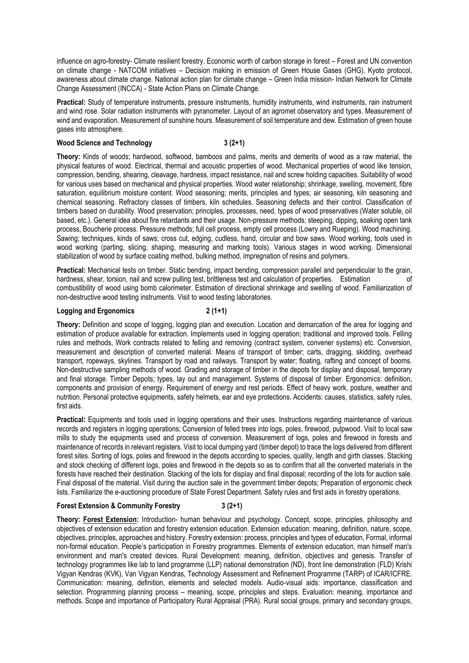influence on agro-forestry- Climate resilient forestry. Economic worth of carbon storage in forest – Forest and UN convention on climate change - NATCOM initiatives – Decision making in emission of Green House Gases (GHG). Kyoto protocol, awareness about climate change. National action plan for climate change – Green India mission- Indian Network for Climate Change Assessment (INCCA) - State Action Plans on Climate Change.

**Practical:** Study of temperature instruments, pressure instruments, humidity instruments, wind instruments, rain instrument and wind rose. Solar radiation instruments with pyranometer. Layout of an agromet observatory and types. Measurement of wind and evaporation. Measurement of sunshine hours. Measurement of soil temperature and dew. Estimation of green house gases into atmosphere.

#### Wood Science and Technology 3 (2+1)

**Theory:** Kinds of woods; hardwood, softwood, bamboos and palms, merits and demerits of wood as a raw material, the physical features of wood. Electrical, thermal and acoustic properties of wood. Mechanical properties of wood like tension, compression, bending, shearing, cleavage, hardness, impact resistance, nail and screw holding capacities. Suitability of wood for various uses based on mechanical and physical properties. Wood water relationship; shrinkage, swelling, movement, fibre saturation, equilibrium moisture content. Wood seasoning; merits, principles and types; air seasoning, kiln seasoning and chemical seasoning. Refractory classes of timbers, kiln schedules. Seasoning defects and their control. Classification of timbers based on durability. Wood preservation; principles, processes, need, types of wood preservatives (Water soluble, oil based, etc.). General idea about fire retardants and their usage. Non-pressure methods; steeping, dipping, soaking open tank process, Boucherie process. Pressure methods; full cell process, empty cell process (Lowry and Rueping). Wood machining. Sawing; techniques, kinds of saws; cross cut, edging, cudless, hand, circular and bow saws. Wood working, tools used in wood working (parting, slicing, shaping, measuring and marking tools). Various stages in wood working. Dimensional stabilization of wood by surface coating method, bulking method, impregnation of resins and polymers.

**Practical:** Mechanical tests on timber. Static bending, impact bending, compression parallel and perpendicular to the grain, hardness, shear, torsion, nail and screw pulling test, brittleness test and calculation of properties. Estimation of combustibility of wood using bomb calorimeter. Estimation of directional shrinkage and swelling of wood. Familiarization of non-destructive wood testing instruments. Visit to wood testing laboratories.

#### **Logging and Ergonomics 2 (1+1)**

**Theory:** Definition and scope of logging, logging plan and execution. Location and demarcation of the area for logging and estimation of produce available for extraction. Implements used in logging operation; traditional and improved tools. Felling rules and methods, Work contracts related to felling and removing (contract system, convener systems) etc. Conversion, measurement and description of converted material. Means of transport of timber; carts, dragging, skidding, overhead transport, ropeways, skylines. Transport by road and railways. Transport by water; floating, rafting and concept of booms. Non-destructive sampling methods of wood. Grading and storage of timber in the depots for display and disposal, temporary and final storage. Timber Depots; types, lay out and management. Systems of disposal of timber. Ergonomics: definition, components and provision of energy. Requirement of energy and rest periods. Effect of heavy work, posture, weather and nutrition. Personal protective equipments, safety helmets, ear and eye protections. Accidents: causes, statistics, safety rules, first aids.

**Practical:** Equipments and tools used in logging operations and their uses. Instructions regarding maintenance of various records and registers in logging operations; Conversion of felled trees into logs, poles, firewood, pulpwood, Visit to local saw mills to study the equipments used and process of conversion. Measurement of logs, poles and firewood in forests and maintenance of records in relevant registers. Visit to local dumping yard (timber depot) to trace the logs delivered from different forest sites. Sorting of logs, poles and firewood in the depots according to species, quality, length and girth classes. Stacking and stock checking of different logs, poles and firewood in the depots so as to confirm that all the converted materials in the forests have reached their destination. Stacking of the lots for display and final disposal; recording of the lots for auction sale. Final disposal of the material. Visit during the auction sale in the government timber depots; Preparation of ergonomic check lists. Familiarize the e-auctioning procedure of State Forest Department. Safety rules and first aids in forestry operations.

## **Forest Extension & Community Forestry 3 (2+1)**

**Theory: Forest Extension:** Introduction- human behaviour and psychology. Concept, scope, principles, philosophy and objectives of extension education and forestry extension education. Extension education: meaning, definition, nature, scope, objectives, principles, approaches and history. Forestry extension: process, principles and types of education, Formal, informal non-formal education. People's participation in Forestry programmes. Elements of extension education, man himself man's environment and man's created devices. Rural Development: meaning, definition, objectives and genesis. Transfer of technology programmes like lab to land programme (LLP) national demonstration (ND), front line demonstration (FLD) Krishi Vigyan Kendras (KVK), Van Vigyan Kendras, Technology Assessment and Refinement Programme (TARP) of ICAR/ICFRE. Communication: meaning, definition, elements and selected models. Audio-visual aids: importance, classification and selection. Programming planning process – meaning, scope, principles and steps. Evaluation: meaning, importance and methods. Scope and importance of Participatory Rural Appraisal (PRA). Rural social groups, primary and secondary groups,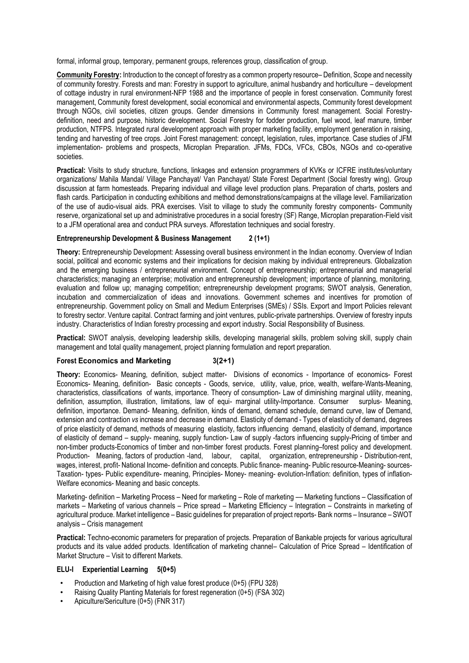formal, informal group, temporary, permanent groups, references group, classification of group.

**Community Forestry:** Introduction to the concept of forestry as a common property resource– Definition, Scope and necessity of community forestry. Forests and man: Forestry in support to agriculture, animal husbandry and horticulture – development of cottage industry in rural environment-NFP 1988 and the importance of people in forest conservation. Community forest management, Community forest development, social economical and environmental aspects, Community forest development through NGOs, civil societies, citizen groups. Gender dimensions in Community forest management. Social Forestrydefinition, need and purpose, historic development. Social Forestry for fodder production, fuel wood, leaf manure, timber production, NTFPS. Integrated rural development approach with proper marketing facility, employment generation in raising, tending and harvesting of tree crops. Joint Forest management: concept, legislation, rules, importance. Case studies of JFM implementation- problems and prospects, Microplan Preparation. JFMs, FDCs, VFCs, CBOs, NGOs and co-operative societies.

**Practical:** Visits to study structure, functions, linkages and extension programmers of KVKs or ICFRE institutes/voluntary organizations/ Mahila Mandal/ Village Panchayat/ Van Panchayat/ State Forest Department (Social forestry wing). Group discussion at farm homesteads. Preparing individual and village level production plans. Preparation of charts, posters and flash cards. Participation in conducting exhibitions and method demonstrations/campaigns at the village level. Familiarization of the use of audio-visual aids. PRA exercises. Visit to village to study the community forestry components- Community reserve, organizational set up and administrative procedures in a social forestry (SF) Range, Microplan preparation-Field visit to a JFM operational area and conduct PRA surveys. Afforestation techniques and social forestry.

## **Entrepreneurship Development & Business Management 2 (1+1)**

**Theory:** Entrepreneurship Development: Assessing overall business environment in the Indian economy. Overview of Indian social, political and economic systems and their implications for decision making by individual entrepreneurs. Globalization and the emerging business / entrepreneurial environment. Concept of entrepreneurship; entrepreneurial and managerial characteristics; managing an enterprise; motivation and entrepreneurship development; importance of planning, monitoring, evaluation and follow up; managing competition; entrepreneurship development programs; SWOT analysis, Generation, incubation and commercialization of ideas and innovations. Government schemes and incentives for promotion of entrepreneurship. Government policy on Small and Medium Enterprises (SMEs) / SSIs. Export and Import Policies relevant to forestry sector. Venture capital. Contract farming and joint ventures, public-private partnerships. Overview of forestry inputs industry. Characteristics of Indian forestry processing and export industry. Social Responsibility of Business.

Practical: SWOT analysis, developing leadership skills, developing managerial skills, problem solving skill, supply chain management and total quality management, project planning formulation and report preparation.

## **Forest Economics and Marketing 3(2+1)**

**Theory:** Economics- Meaning, definition, subject matter- Divisions of economics - Importance of economics- Forest Economics- Meaning, definition- Basic concepts - Goods, service, utility, value, price, wealth, welfare-Wants-Meaning, characteristics, classifications of wants, importance. Theory of consumption- Law of diminishing marginal utility, meaning, definition, assumption, illustration, limitations, law of equi- marginal utility-Importance. Consumer surplus- Meaning, definition, importance. Demand- Meaning, definition, kinds of demand, demand schedule, demand curve, law of Demand, extension and contraction *vs* increase and decrease in demand. Elasticity of demand - Types of elasticity of demand, degrees of price elasticity of demand, methods of measuring elasticity, factors influencing demand, elasticity of demand, importance of elasticity of demand – supply- meaning, supply function- Law of supply -factors influencing supply-Pricing of timber and non-timber products-Economics of timber and non-timber forest products. Forest planning–forest policy and development. Production- Meaning, factors of production -land, labour, capital, organization, entrepreneurship - Distribution-rent, wages, interest, profit- National Income- definition and concepts. Public finance- meaning- Public resource-Meaning- sources-Taxation- types- Public expenditure- meaning, Principles- Money- meaning- evolution-Inflation: definition, types of inflation-Welfare economics- Meaning and basic concepts.

Marketing- definition – Marketing Process – Need for marketing – Role of marketing — Marketing functions – Classification of markets – Marketing of various channels – Price spread – Marketing Efficiency – Integration – Constraints in marketing of agricultural produce. Market intelligence – Basic guidelines for preparation of project reports- Bank norms – Insurance – SWOT analysis – Crisis management

**Practical:** Techno-economic parameters for preparation of projects. Preparation of Bankable projects for various agricultural products and its value added products. Identification of marketing channel– Calculation of Price Spread – Identification of Market Structure – Visit to different Markets.

## **ELU-I Experiential Learning 5(0+5)**

- Production and Marketing of high value forest produce (0+5) (FPU 328)
- Raising Quality Planting Materials for forest regeneration (0+5) (FSA 302)
- Apiculture/Sericulture (0+5) (FNR 317)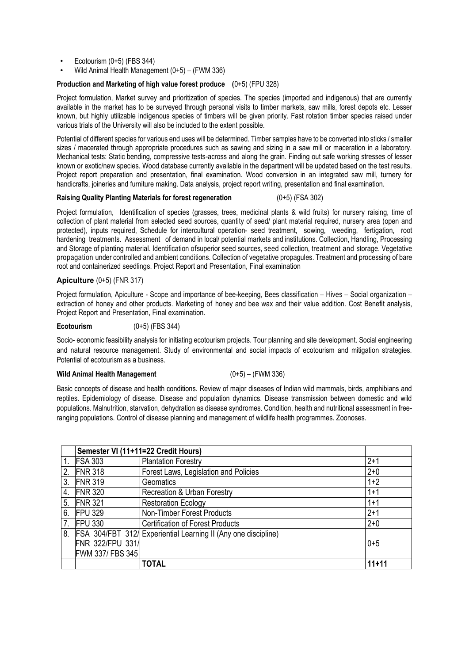- Ecotourism  $(0+5)$  (FBS 344)
- Wild Animal Health Management (0+5) (FWM 336)

## **Production and Marketing of high value forest produce (**0+5) (FPU 328)

Project formulation, Market survey and prioritization of species. The species (imported and indigenous) that are currently available in the market has to be surveyed through personal visits to timber markets, saw mills, forest depots etc. Lesser known, but highly utilizable indigenous species of timbers will be given priority. Fast rotation timber species raised under various trials of the University will also be included to the extent possible.

Potential of different species for various end uses will be determined. Timber samples have to be converted into sticks / smaller sizes / macerated through appropriate procedures such as sawing and sizing in a saw mill or maceration in a laboratory. Mechanical tests: Static bending, compressive tests-across and along the grain. Finding out safe working stresses of lesser known or exotic/new species. Wood database currently available in the department will be updated based on the test results. Project report preparation and presentation, final examination. Wood conversion in an integrated saw mill, turnery for handicrafts, joineries and furniture making. Data analysis, project report writing, presentation and final examination.

#### **Raising Quality Planting Materials for forest regeneration** (0+5) (FSA 302)

Project formulation, Identification of species (grasses, trees, medicinal plants & wild fruits) for nursery raising, time of collection of plant material from selected seed sources, quantity of seed/ plant material required, nursery area (open and protected), inputs required, Schedule for intercultural operation- seed treatment, sowing, weeding, fertigation, root hardening treatments. Assessment of demand in local/ potential markets and institutions. Collection, Handling, Processing and Storage of planting material. Identification ofsuperior seed sources, seed collection, treatment and storage. Vegetative propagation under controlled and ambient conditions. Collection of vegetative propagules. Treatment and processing of bare root and containerized seedlings. Project Report and Presentation, Final examination

## **Apiculture** (0+5) (FNR 317)

Project formulation, Apiculture - Scope and importance of bee-keeping, Bees classification – Hives – Social organization – extraction of honey and other products. Marketing of honey and bee wax and their value addition. Cost Benefit analysis, Project Report and Presentation, Final examination.

## **Ecotourism** (0+5) (FBS 344)

Socio- economic feasibility analysis for initiating ecotourism projects. Tour planning and site development. Social engineering and natural resource management. Study of environmental and social impacts of ecotourism and mitigation strategies. Potential of ecotourism as a business.

## **Wild Animal Health Management** (0+5) – (FWM 336)

Basic concepts of disease and health conditions. Review of major diseases of Indian wild mammals, birds, amphibians and reptiles. Epidemiology of disease. Disease and population dynamics. Disease transmission between domestic and wild populations. Malnutrition, starvation, dehydration as disease syndromes. Condition, health and nutritional assessment in freeranging populations. Control of disease planning and management of wildlife health programmes. Zoonoses.

|    | Semester VI (11+11=22 Credit Hours) |                                                                       |         |
|----|-------------------------------------|-----------------------------------------------------------------------|---------|
|    | <b>FSA 303</b>                      | <b>Plantation Forestry</b>                                            | $2+1$   |
| 2. | <b>FNR 318</b>                      | Forest Laws, Legislation and Policies                                 | $2 + 0$ |
| 3. | <b>FNR 319</b>                      | Geomatics                                                             | $1+2$   |
| 4. | <b>FNR 320</b>                      | Recreation & Urban Forestry                                           | $1 + 1$ |
| 5. | <b>FNR 321</b>                      | <b>Restoration Ecology</b>                                            | $1+1$   |
| 6. | <b>FPU 329</b>                      | Non-Timber Forest Products                                            | $2+1$   |
|    | <b>FPU 330</b>                      | <b>Certification of Forest Products</b>                               | $2 + 0$ |
| 8. |                                     | <b>FSA 304/FBT 312/ Experiential Learning II (Any one discipline)</b> |         |
|    | FNR 322/FPU 331/                    |                                                                       | $0 + 5$ |
|    | FWM 337/ FBS 345                    |                                                                       |         |
|    |                                     | <b>TOTAL</b>                                                          | $11+11$ |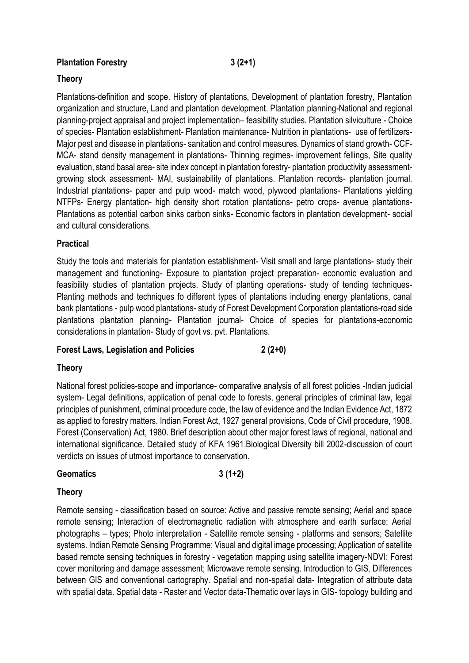## Plantation Forestry 3 (2+1)

## **Theory**

Plantations-definition and scope. History of plantations, Development of plantation forestry, Plantation organization and structure, Land and plantation development. Plantation planning-National and regional planning-project appraisal and project implementation– feasibility studies. Plantation silviculture - Choice of species- Plantation establishment- Plantation maintenance- Nutrition in plantations- use of fertilizers-Major pest and disease in plantations- sanitation and control measures. Dynamics of stand growth- CCF-MCA- stand density management in plantations- Thinning regimes- improvement fellings, Site quality evaluation, stand basal area- site index concept in plantation forestry- plantation productivity assessmentgrowing stock assessment- MAI, sustainability of plantations. Plantation records- plantation journal. Industrial plantations- paper and pulp wood- match wood, plywood plantations- Plantations yielding NTFPs- Energy plantation- high density short rotation plantations- petro crops- avenue plantations-Plantations as potential carbon sinks carbon sinks- Economic factors in plantation development- social and cultural considerations.

# **Practical**

Study the tools and materials for plantation establishment- Visit small and large plantations- study their management and functioning- Exposure to plantation project preparation- economic evaluation and feasibility studies of plantation projects. Study of planting operations- study of tending techniques-Planting methods and techniques fo different types of plantations including energy plantations, canal bank plantations - pulp wood plantations- study of Forest Development Corporation plantations-road side plantations plantation planning- Plantation journal- Choice of species for plantations-economic considerations in plantation- Study of govt vs. pvt. Plantations.

## **Forest Laws, Legislation and Policies 2 (2+0)**

## **Theory**

National forest policies-scope and importance- comparative analysis of all forest policies -Indian judicial system- Legal definitions, application of penal code to forests, general principles of criminal law, legal principles of punishment, criminal procedure code, the law of evidence and the Indian Evidence Act, 1872 as applied to forestry matters. Indian Forest Act, 1927 general provisions, Code of Civil procedure, 1908. Forest (Conservation) Act, 1980. Brief description about other major forest laws of regional, national and international significance. Detailed study of KFA 1961.Biological Diversity bill 2002-discussion of court verdicts on issues of utmost importance to conservation.

## **Geomatics 3 (1+2)**

## **Theory**

Remote sensing - classification based on source: Active and passive remote sensing; Aerial and space remote sensing; Interaction of electromagnetic radiation with atmosphere and earth surface; Aerial photographs – types; Photo interpretation - Satellite remote sensing - platforms and sensors; Satellite systems. Indian Remote Sensing Programme; Visual and digital image processing; Application of satellite based remote sensing techniques in forestry - vegetation mapping using satellite imagery-NDVI; Forest cover monitoring and damage assessment; Microwave remote sensing. Introduction to GIS. Differences between GIS and conventional cartography. Spatial and non-spatial data- Integration of attribute data with spatial data. Spatial data - Raster and Vector data-Thematic over lays in GIS- topology building and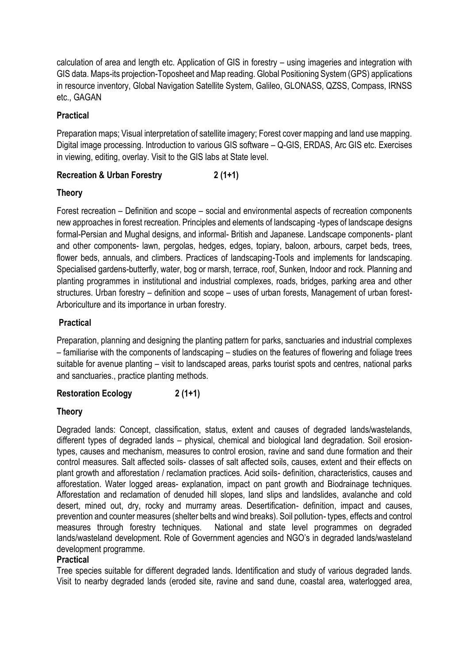calculation of area and length etc. Application of GIS in forestry – using imageries and integration with GIS data. Maps-its projection-Toposheet and Map reading. Global Positioning System (GPS) applications in resource inventory, Global Navigation Satellite System, Galileo, GLONASS, QZSS, Compass, IRNSS etc., GAGAN

# **Practical**

Preparation maps; Visual interpretation of satellite imagery; Forest cover mapping and land use mapping. Digital image processing. Introduction to various GIS software – Q-GIS, ERDAS, Arc GIS etc. Exercises in viewing, editing, overlay. Visit to the GIS labs at State level.

# **Recreation & Urban Forestry 2 (1+1)**

# **Theory**

Forest recreation – Definition and scope – social and environmental aspects of recreation components new approaches in forest recreation. Principles and elements of landscaping -types of landscape designs formal-Persian and Mughal designs, and informal- British and Japanese. Landscape components- plant and other components- lawn, pergolas, hedges, edges, topiary, baloon, arbours, carpet beds, trees, flower beds, annuals, and climbers. Practices of landscaping-Tools and implements for landscaping. Specialised gardens-butterfly, water, bog or marsh, terrace, roof, Sunken, Indoor and rock. Planning and planting programmes in institutional and industrial complexes, roads, bridges, parking area and other structures. Urban forestry – definition and scope – uses of urban forests, Management of urban forest-Arboriculture and its importance in urban forestry.

# **Practical**

Preparation, planning and designing the planting pattern for parks, sanctuaries and industrial complexes – familiarise with the components of landscaping – studies on the features of flowering and foliage trees suitable for avenue planting – visit to landscaped areas, parks tourist spots and centres, national parks and sanctuaries., practice planting methods.

# **Restoration Ecology 2 (1+1)**

# **Theory**

Degraded lands: Concept, classification, status, extent and causes of degraded lands/wastelands, different types of degraded lands – physical, chemical and biological land degradation. Soil erosiontypes, causes and mechanism, measures to control erosion, ravine and sand dune formation and their control measures. Salt affected soils- classes of salt affected soils, causes, extent and their effects on plant growth and afforestation / reclamation practices. Acid soils- definition, characteristics, causes and afforestation. Water logged areas- explanation, impact on pant growth and Biodrainage techniques. Afforestation and reclamation of denuded hill slopes, land slips and landslides, avalanche and cold desert, mined out, dry, rocky and murramy areas. Desertification- definition, impact and causes, prevention and counter measures (shelter belts and wind breaks). Soil pollution- types, effects and control measures through forestry techniques. National and state level programmes on degraded lands/wasteland development. Role of Government agencies and NGO's in degraded lands/wasteland development programme.

# **Practical**

Tree species suitable for different degraded lands. Identification and study of various degraded lands. Visit to nearby degraded lands (eroded site, ravine and sand dune, coastal area, waterlogged area,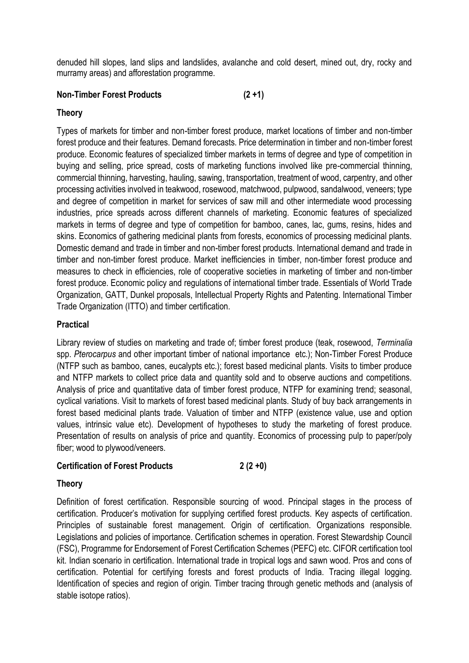denuded hill slopes, land slips and landslides, avalanche and cold desert, mined out, dry, rocky and murramy areas) and afforestation programme.

# **Non-Timber Forest Products (2 +1)**

## **Theory**

Types of markets for timber and non-timber forest produce, market locations of timber and non-timber forest produce and their features. Demand forecasts. Price determination in timber and non-timber forest produce. Economic features of specialized timber markets in terms of degree and type of competition in buying and selling, price spread, costs of marketing functions involved like pre-commercial thinning, commercial thinning, harvesting, hauling, sawing, transportation, treatment of wood, carpentry, and other processing activities involved in teakwood, rosewood, matchwood, pulpwood, sandalwood, veneers; type and degree of competition in market for services of saw mill and other intermediate wood processing industries, price spreads across different channels of marketing. Economic features of specialized markets in terms of degree and type of competition for bamboo, canes, lac, gums, resins, hides and skins. Economics of gathering medicinal plants from forests, economics of processing medicinal plants. Domestic demand and trade in timber and non-timber forest products. International demand and trade in timber and non-timber forest produce. Market inefficiencies in timber, non-timber forest produce and measures to check in efficiencies, role of cooperative societies in marketing of timber and non-timber forest produce. Economic policy and regulations of international timber trade. Essentials of World Trade Organization, GATT, Dunkel proposals, Intellectual Property Rights and Patenting. International Timber Trade Organization (ITTO) and timber certification.

# **Practical**

Library review of studies on marketing and trade of; timber forest produce (teak, rosewood, *Terminalia* spp. *Pterocarpus* and other important timber of national importance etc.); Non-Timber Forest Produce (NTFP such as bamboo, canes, eucalypts etc.); forest based medicinal plants. Visits to timber produce and NTFP markets to collect price data and quantity sold and to observe auctions and competitions. Analysis of price and quantitative data of timber forest produce, NTFP for examining trend; seasonal, cyclical variations. Visit to markets of forest based medicinal plants. Study of buy back arrangements in forest based medicinal plants trade. Valuation of timber and NTFP (existence value, use and option values, intrinsic value etc). Development of hypotheses to study the marketing of forest produce. Presentation of results on analysis of price and quantity. Economics of processing pulp to paper/poly fiber; wood to plywood/veneers.

## **Certification of Forest Products 2 (2 +0)**

## **Theory**

Definition of forest certification. Responsible sourcing of wood. Principal stages in the process of certification. Producer's motivation for supplying certified forest products. Key aspects of certification. Principles of sustainable forest management. Origin of certification. Organizations responsible. Legislations and policies of importance. Certification schemes in operation. Forest Stewardship Council (FSC), [Programme](http://credibleforestcertification.org/other_systems/other_certification_systems/) [for Endorsement of Forest Certification Schemes \(PEFC\)](http://credibleforestcertification.org/other_systems/other_certification_systems/) etc. CIFOR certification tool kit. Indian scenario in certification. International trade in tropical logs and sawn wood. Pros and cons of certification. Potential for certifying forests and forest products of India. Tracing illegal logging. Identification of species and region of origin. Timber tracing through genetic methods and (analysis of stable isotope ratios).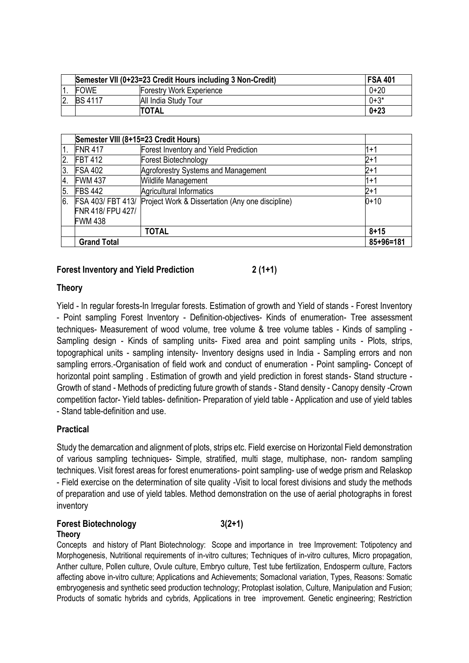|               | Semester VII (0+23=23 Credit Hours including 3 Non-Credit) |                          |           |
|---------------|------------------------------------------------------------|--------------------------|-----------|
|               | <b>FOWE</b>                                                | Forestry Work Experience | 0+20      |
| <sup>2.</sup> | <b>BS 4117</b>                                             | All India Study Tour     | $0 + 3^*$ |
|               |                                                            | <b>TOTAL</b>             | $0 + 23$  |

|                  | Semester VIII (8+15=23 Credit Hours) |                                                  |                 |  |
|------------------|--------------------------------------|--------------------------------------------------|-----------------|--|
| $\overline{1}$ . | <b>FNR 417</b>                       | Forest Inventory and Yield Prediction            | l1+1            |  |
| 2.               | <b>FBT 412</b>                       | Forest Biotechnology                             | $2 + 1$         |  |
| 3.               | <b>FSA 402</b>                       | Agroforestry Systems and Management              | $2 + 1$         |  |
| 4.               | <b>FWM 437</b>                       | Wildlife Management                              | l1+1            |  |
| 5.               | <b>FBS 442</b>                       | <b>Agricultural Informatics</b>                  | $2 + 1$         |  |
| Ι6.              | FSA 403/ FBT 413/                    | Project Work & Dissertation (Any one discipline) | $0 + 10$        |  |
|                  | FNR 418/ FPU 427/                    |                                                  |                 |  |
|                  | <b>FWM 438</b>                       |                                                  |                 |  |
|                  |                                      | <b>TOTAL</b>                                     | $8 + 15$        |  |
|                  | <b>Grand Total</b>                   |                                                  | $85 + 96 = 181$ |  |

## **Forest Inventory and Yield Prediction 2 (1+1)**

## **Theory**

Yield - In regular forests-In Irregular forests. Estimation of growth and Yield of stands - Forest Inventory - Point sampling Forest Inventory - Definition-objectives- Kinds of enumeration- Tree assessment techniques- Measurement of wood volume, tree volume & tree volume tables - Kinds of sampling - Sampling design - Kinds of sampling units- Fixed area and point sampling units - Plots, strips, topographical units - sampling intensity- Inventory designs used in India - Sampling errors and non sampling errors.-Organisation of field work and conduct of enumeration - Point sampling- Concept of horizontal point sampling . Estimation of growth and yield prediction in forest stands- Stand structure - Growth of stand - Methods of predicting future growth of stands - Stand density - Canopy density -Crown competition factor- Yield tables- definition- Preparation of yield table - Application and use of yield tables - Stand table-definition and use.

## **Practical**

Study the demarcation and alignment of plots, strips etc. Field exercise on Horizontal Field demonstration of various sampling techniques- Simple, stratified, multi stage, multiphase, non- random sampling techniques. Visit forest areas for forest enumerations- point sampling- use of wedge prism and Relaskop - Field exercise on the determination of site quality -Visit to local forest divisions and study the methods of preparation and use of yield tables. Method demonstration on the use of aerial photographs in forest inventory

## **Forest Biotechnology 3(2+1) Theory**

Concepts and history of Plant Biotechnology: Scope and importance in tree Improvement: Totipotency and Morphogenesis, Nutritional requirements of in-vitro cultures; Techniques of in-vitro cultures, Micro propagation, Anther culture, Pollen culture, Ovule culture, Embryo culture, Test tube fertilization, Endosperm culture, Factors affecting above in-vitro culture; Applications and Achievements; Somaclonal variation, Types, Reasons: Somatic embryogenesis and synthetic seed production technology; Protoplast isolation, Culture, Manipulation and Fusion; Products of somatic hybrids and cybrids, Applications in tree improvement. Genetic engineering; Restriction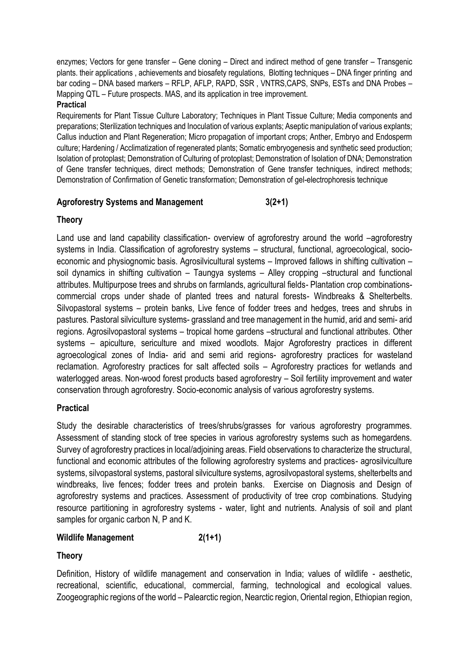enzymes; Vectors for gene transfer – Gene cloning – Direct and indirect method of gene transfer – Transgenic plants. their applications , achievements and biosafety regulations, Blotting techniques – DNA finger printing and bar coding – DNA based markers – RFLP, AFLP, RAPD, SSR , VNTRS,CAPS, SNPs, ESTs and DNA Probes – Mapping QTL – Future prospects. MAS, and its application in tree improvement.

## **Practical**

Requirements for Plant Tissue Culture Laboratory; Techniques in Plant Tissue Culture; Media components and preparations; Sterilization techniques and Inoculation of various explants; Aseptic manipulation of various explants; Callus induction and Plant Regeneration; Micro propagation of important crops; Anther, Embryo and Endosperm culture; Hardening / Acclimatization of regenerated plants; Somatic embryogenesis and synthetic seed production; Isolation of protoplast; Demonstration of Culturing of protoplast; Demonstration of Isolation of DNA; Demonstration of Gene transfer techniques, direct methods; Demonstration of Gene transfer techniques, indirect methods; Demonstration of Confirmation of Genetic transformation; Demonstration of gel-electrophoresis technique

# **Agroforestry Systems and Management 3(2+1)**

# **Theory**

Land use and land capability classification- overview of agroforestry around the world –agroforestry systems in India. Classification of agroforestry systems – structural, functional, agroecological, socioeconomic and physiognomic basis. Agrosilvicultural systems – Improved fallows in shifting cultivation – soil dynamics in shifting cultivation – Taungya systems – Alley cropping –structural and functional attributes. Multipurpose trees and shrubs on farmlands, agricultural fields- Plantation crop combinationscommercial crops under shade of planted trees and natural forests- Windbreaks & Shelterbelts. Silvopastoral systems – protein banks, Live fence of fodder trees and hedges, trees and shrubs in pastures. Pastoral silviculture systems- grassland and tree management in the humid, arid and semi- arid regions. Agrosilvopastoral systems – tropical home gardens –structural and functional attributes. Other systems – apiculture, sericulture and mixed woodlots. Major Agroforestry practices in different agroecological zones of India- arid and semi arid regions- agroforestry practices for wasteland reclamation. Agroforestry practices for salt affected soils – Agroforestry practices for wetlands and waterlogged areas. Non-wood forest products based agroforestry – Soil fertility improvement and water conservation through agroforestry. Socio-economic analysis of various agroforestry systems.

# **Practical**

Study the desirable characteristics of trees/shrubs/grasses for various agroforestry programmes. Assessment of standing stock of tree species in various agroforestry systems such as homegardens. Survey of agroforestry practices in local/adjoining areas. Field observations to characterize the structural, functional and economic attributes of the following agroforestry systems and practices- agrosilviculture systems, silvopastoral systems, pastoral silviculture systems, agrosilvopastoral systems, shelterbelts and windbreaks, live fences; fodder trees and protein banks. Exercise on Diagnosis and Design of agroforestry systems and practices. Assessment of productivity of tree crop combinations. Studying resource partitioning in agroforestry systems - water, light and nutrients. Analysis of soil and plant samples for organic carbon N, P and K.

# Wildlife Management 2(1+1)

# **Theory**

Definition, History of wildlife management and conservation in India; values of wildlife - aesthetic, recreational, scientific, educational, commercial, farming, technological and ecological values. Zoogeographic regions of the world – Palearctic region, Nearctic region, Oriental region, Ethiopian region,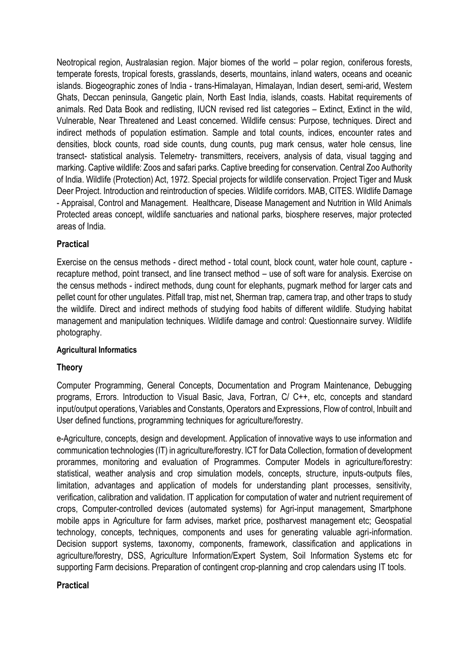Neotropical region, Australasian region. Major biomes of the world – polar region, coniferous forests, temperate forests, tropical forests, grasslands, deserts, mountains, inland waters, oceans and oceanic islands. Biogeographic zones of India - trans-Himalayan, Himalayan, Indian desert, semi-arid, Western Ghats, Deccan peninsula, Gangetic plain, North East India, islands, coasts. Habitat requirements of animals. Red Data Book and redlisting, IUCN revised red list categories – Extinct, Extinct in the wild, Vulnerable, Near Threatened and Least concerned. Wildlife census: Purpose, techniques. Direct and indirect methods of population estimation. Sample and total counts, indices, encounter rates and densities, block counts, road side counts, dung counts, pug mark census, water hole census, line transect- statistical analysis. Telemetry- transmitters, receivers, analysis of data, visual tagging and marking. Captive wildlife: Zoos and safari parks. Captive breeding for conservation. Central Zoo Authority of India. Wildlife (Protection) Act, 1972. Special projects for wildlife conservation. Project Tiger and Musk Deer Project. Introduction and reintroduction of species. Wildlife corridors. MAB, CITES. Wildlife Damage - Appraisal, Control and Management. Healthcare, Disease Management and Nutrition in Wild Animals Protected areas concept, wildlife sanctuaries and national parks, biosphere reserves, major protected areas of India.

## **Practical**

Exercise on the census methods - direct method - total count, block count, water hole count, capture recapture method, point transect, and line transect method – use of soft ware for analysis. Exercise on the census methods - indirect methods, dung count for elephants, pugmark method for larger cats and pellet count for other ungulates. Pitfall trap, mist net, Sherman trap, camera trap, and other traps to study the wildlife. Direct and indirect methods of studying food habits of different wildlife. Studying habitat management and manipulation techniques. Wildlife damage and control: Questionnaire survey. Wildlife photography.

## **Agricultural Informatics**

## **Theory**

Computer Programming, General Concepts, Documentation and Program Maintenance, Debugging programs, Errors. Introduction to Visual Basic, Java, Fortran, C/ C++, etc, concepts and standard input/output operations, Variables and Constants, Operators and Expressions, Flow of control, Inbuilt and User defined functions, programming techniques for agriculture/forestry.

e-Agriculture, concepts, design and development. Application of innovative ways to use information and communication technologies (IT) in agriculture/forestry. ICT for Data Collection, formation of development prorammes, monitoring and evaluation of Programmes. Computer Models in agriculture/forestry: statistical, weather analysis and crop simulation models, concepts, structure, inputs-outputs files, limitation, advantages and application of models for understanding plant processes, sensitivity, verification, calibration and validation. IT application for computation of water and nutrient requirement of crops, Computer-controlled devices (automated systems) for Agri-input management, Smartphone mobile apps in Agriculture for farm advises, market price, postharvest management etc; Geospatial technology, concepts, techniques, components and uses for generating valuable agri-information. Decision support systems, taxonomy, components, framework, classification and applications in agriculture/forestry, DSS, Agriculture Information/Expert System, Soil Information Systems etc for supporting Farm decisions. Preparation of contingent crop-planning and crop calendars using IT tools.

## **Practical**